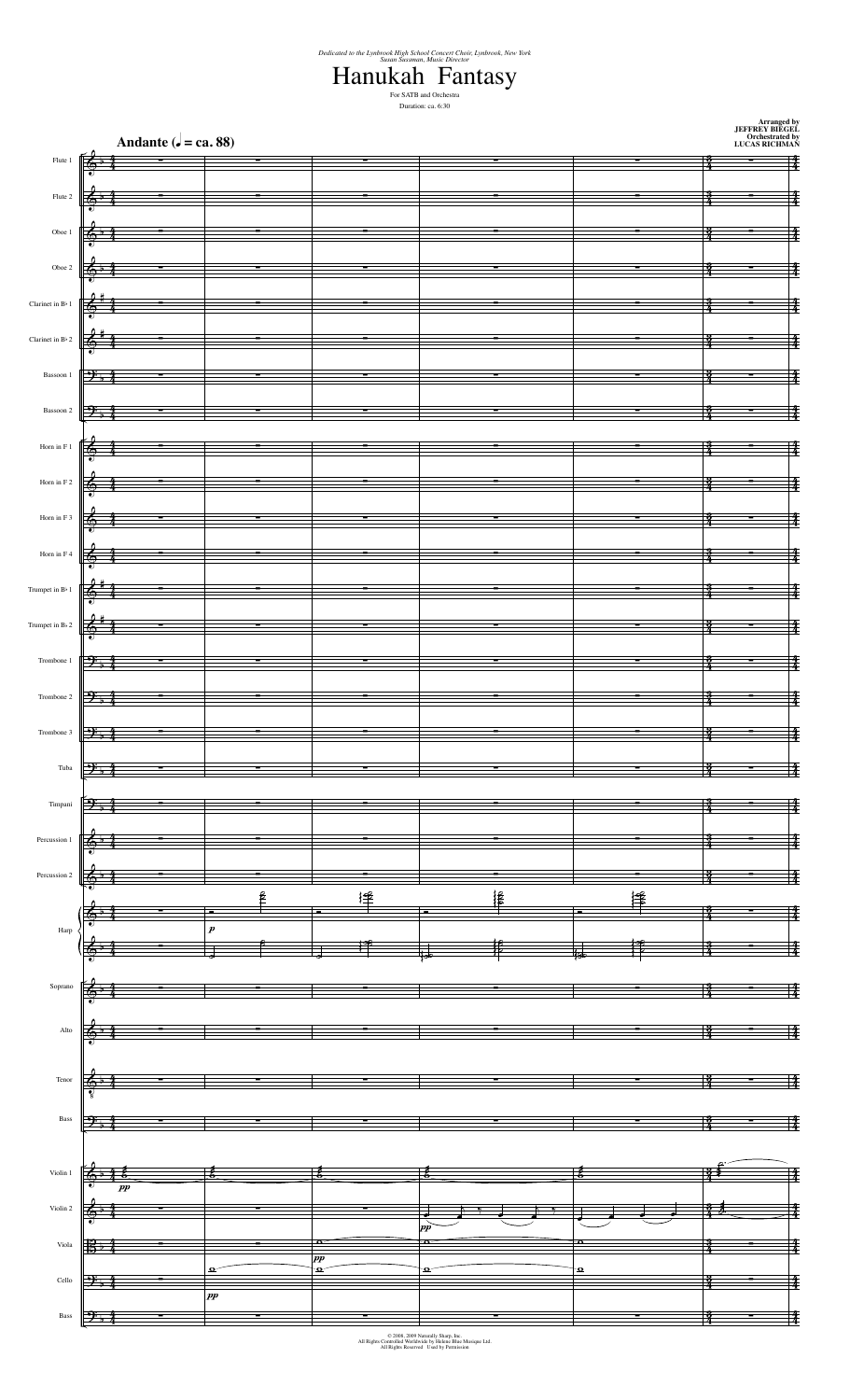*Dedicated to the Lynbrook High School Concert Choir, Lynbrook, New York Susan Sussman, Music Director*

Hanukah Fantasy

For SATB and Orchestra Duration: ca. 6:30

|                                  | Andante ( $\sqrt{ }$ = ca. 88)                                                                                                                                                                                                                                                                                      |                                                                                  |                                      |                         |                                | Arranged by<br>JEFFREY BIEGEL<br>Orchestrated by<br>LUCAS RICHMAN |
|----------------------------------|---------------------------------------------------------------------------------------------------------------------------------------------------------------------------------------------------------------------------------------------------------------------------------------------------------------------|----------------------------------------------------------------------------------|--------------------------------------|-------------------------|--------------------------------|-------------------------------------------------------------------|
| Flute 1                          |                                                                                                                                                                                                                                                                                                                     |                                                                                  |                                      |                         |                                | $\overline{\mathcal{A}}$                                          |
| Flute 2                          |                                                                                                                                                                                                                                                                                                                     |                                                                                  |                                      |                         |                                | $\frac{4}{4}$                                                     |
| Oboe 1                           |                                                                                                                                                                                                                                                                                                                     |                                                                                  |                                      |                         |                                | $\frac{1}{4}$                                                     |
|                                  |                                                                                                                                                                                                                                                                                                                     |                                                                                  |                                      |                         |                                |                                                                   |
| Oboe 2                           |                                                                                                                                                                                                                                                                                                                     |                                                                                  |                                      |                         |                                | $\frac{4}{4}$                                                     |
| Clarinet in B <sub>b</sub> 1     |                                                                                                                                                                                                                                                                                                                     |                                                                                  |                                      |                         |                                | $\frac{4}{4}$                                                     |
| Clarinet in $B \triangleright 2$ |                                                                                                                                                                                                                                                                                                                     |                                                                                  |                                      |                         |                                | $\vert 4$                                                         |
| Bassoon 1                        | ジー                                                                                                                                                                                                                                                                                                                  |                                                                                  |                                      |                         |                                | $\frac{4}{4}$                                                     |
|                                  |                                                                                                                                                                                                                                                                                                                     |                                                                                  |                                      |                         |                                |                                                                   |
| Bassoon 2                        | <u>),</u>                                                                                                                                                                                                                                                                                                           |                                                                                  |                                      |                         |                                | $\overline{\mathcal{A}}$<br>ж                                     |
| Horn in F 1                      | 6<br>۰                                                                                                                                                                                                                                                                                                              |                                                                                  |                                      |                         |                                | $\frac{4}{3}$                                                     |
| Horn in F 2                      | (m                                                                                                                                                                                                                                                                                                                  |                                                                                  |                                      |                         |                                | $\frac{4}{4}$                                                     |
| Horn in F $3\,$                  | ٠                                                                                                                                                                                                                                                                                                                   |                                                                                  |                                      |                         |                                |                                                                   |
|                                  | Θ,                                                                                                                                                                                                                                                                                                                  |                                                                                  |                                      |                         |                                | $\vert 4$                                                         |
| Horn in F4                       | 65                                                                                                                                                                                                                                                                                                                  |                                                                                  |                                      |                         |                                | $\frac{1}{4}$                                                     |
| Trumpet in B <sup>b</sup> 1      | (m                                                                                                                                                                                                                                                                                                                  |                                                                                  |                                      |                         |                                | $\frac{1}{4}$                                                     |
| Trumpet in B <sub>b</sub> 2      | ⋒                                                                                                                                                                                                                                                                                                                   |                                                                                  |                                      |                         |                                | $\frac{4}{3}$                                                     |
| Trombone 1                       | ٠<br>$\mathfrak{D}_{\overline{+}}$                                                                                                                                                                                                                                                                                  |                                                                                  |                                      |                         |                                | ö                                                                 |
|                                  |                                                                                                                                                                                                                                                                                                                     |                                                                                  |                                      |                         |                                | 彗                                                                 |
| Trombone 2                       | ᠫᡃ                                                                                                                                                                                                                                                                                                                  |                                                                                  |                                      |                         |                                | $\frac{1}{4}$<br>ą                                                |
| Trombone 3                       | $\mathbf{P}_{+}$                                                                                                                                                                                                                                                                                                    |                                                                                  |                                      |                         |                                | $\frac{4}{4}$                                                     |
| Tuba                             | $\mathbf{9}$                                                                                                                                                                                                                                                                                                        |                                                                                  |                                      |                         |                                |                                                                   |
| Timpani                          | $\mathbf{P}$                                                                                                                                                                                                                                                                                                        |                                                                                  |                                      |                         |                                |                                                                   |
|                                  |                                                                                                                                                                                                                                                                                                                     |                                                                                  |                                      |                         |                                |                                                                   |
| Percussion 1                     | $\frac{1}{\sqrt{2}}$                                                                                                                                                                                                                                                                                                |                                                                                  |                                      |                         |                                |                                                                   |
| Percussion $2\,$                 | 牵                                                                                                                                                                                                                                                                                                                   |                                                                                  | Ξ                                    |                         |                                |                                                                   |
|                                  | $\frac{2}{9}$                                                                                                                                                                                                                                                                                                       | $\frac{2}{\pi}$<br>$\frac{\frac{1}{\sqrt{1-\frac{1}{n}}}}{\sqrt{1-\frac{1}{n}}}$ | 準<br>⊨                               | 律                       | 撑<br>⋿                         | $\frac{4}{4}$                                                     |
| $_{\rm Harp}$                    | $\frac{2}{9}$                                                                                                                                                                                                                                                                                                       |                                                                                  | $\frac{1}{3}$                        | 挹                       |                                | $\frac{3}{4}$ -                                                   |
|                                  |                                                                                                                                                                                                                                                                                                                     |                                                                                  |                                      | $\overline{\mathbb{U}}$ | $\frac{1}{2}$<br>$\frac{1}{3}$ | $\frac{4}{3}$                                                     |
| $\label{eq:2} \text{Soprano}$    | $\frac{2}{3}$                                                                                                                                                                                                                                                                                                       |                                                                                  |                                      |                         |                                | $\frac{1}{2}$<br>$\exists 4$                                      |
| Alto                             | $\frac{2}{9}$ $\frac{1}{4}$ $\frac{2}{9}$ $\frac{1}{4}$ $\frac{1}{2}$ $\frac{1}{2}$ $\frac{1}{2}$ $\frac{1}{2}$ $\frac{1}{2}$ $\frac{1}{2}$ $\frac{1}{2}$ $\frac{1}{2}$ $\frac{1}{2}$ $\frac{1}{2}$ $\frac{1}{2}$ $\frac{1}{2}$ $\frac{1}{2}$ $\frac{1}{2}$ $\frac{1}{2}$ $\frac{1}{2}$ $\frac{1}{2}$ $\frac{1}{2}$ | $\mathbf{r}$                                                                     | Ξ                                    |                         |                                | $\frac{3}{2}$<br>$\frac{1}{4}$                                    |
|                                  |                                                                                                                                                                                                                                                                                                                     |                                                                                  |                                      |                         |                                |                                                                   |
| Tenor                            | $\frac{2}{\sqrt{2}}$                                                                                                                                                                                                                                                                                                |                                                                                  | $\equiv$                             |                         | $\frac{13}{2}$                 | $\frac{1}{4}$                                                     |
| Bass                             | 9,4                                                                                                                                                                                                                                                                                                                 |                                                                                  |                                      |                         |                                | 3                                                                 |
|                                  |                                                                                                                                                                                                                                                                                                                     |                                                                                  |                                      |                         |                                | $\frac{1}{4}$                                                     |
| Violin $\boldsymbol{1}$          | $\left[\begin{array}{c} 2 \\ 0 \\ 1 \end{array}\right]$ $\frac{1}{p^2}$                                                                                                                                                                                                                                             | $\frac{1}{2}$                                                                    | $\frac{2}{3}$                        | $\frac{1}{2}$           | $\frac{1}{3}$                  | $\frac{3}{2}$<br>$\frac{4}{3}$                                    |
| Violin $2\,$                     |                                                                                                                                                                                                                                                                                                                     |                                                                                  |                                      |                         |                                |                                                                   |
|                                  | $\frac{2}{9}$ 1                                                                                                                                                                                                                                                                                                     |                                                                                  |                                      | $\leftarrow$<br>pp      |                                |                                                                   |
| Viola                            | $\mathbb{B}$                                                                                                                                                                                                                                                                                                        |                                                                                  | $\overline{\bullet}$<br>$\boxed{pp}$ |                         | $\bullet$                      | $\vert 4$                                                         |
| Cello                            | $\mathbf{y}_{\overline{b}}$                                                                                                                                                                                                                                                                                         | Ω                                                                                |                                      | $\mathbf{o}$            | $\mathbf{a}$                   | $\frac{4}{4}$                                                     |
| Bass                             | $2^+$                                                                                                                                                                                                                                                                                                               | pp                                                                               |                                      |                         |                                | $\mathbb{I}$                                                      |
|                                  |                                                                                                                                                                                                                                                                                                                     |                                                                                  |                                      |                         |                                |                                                                   |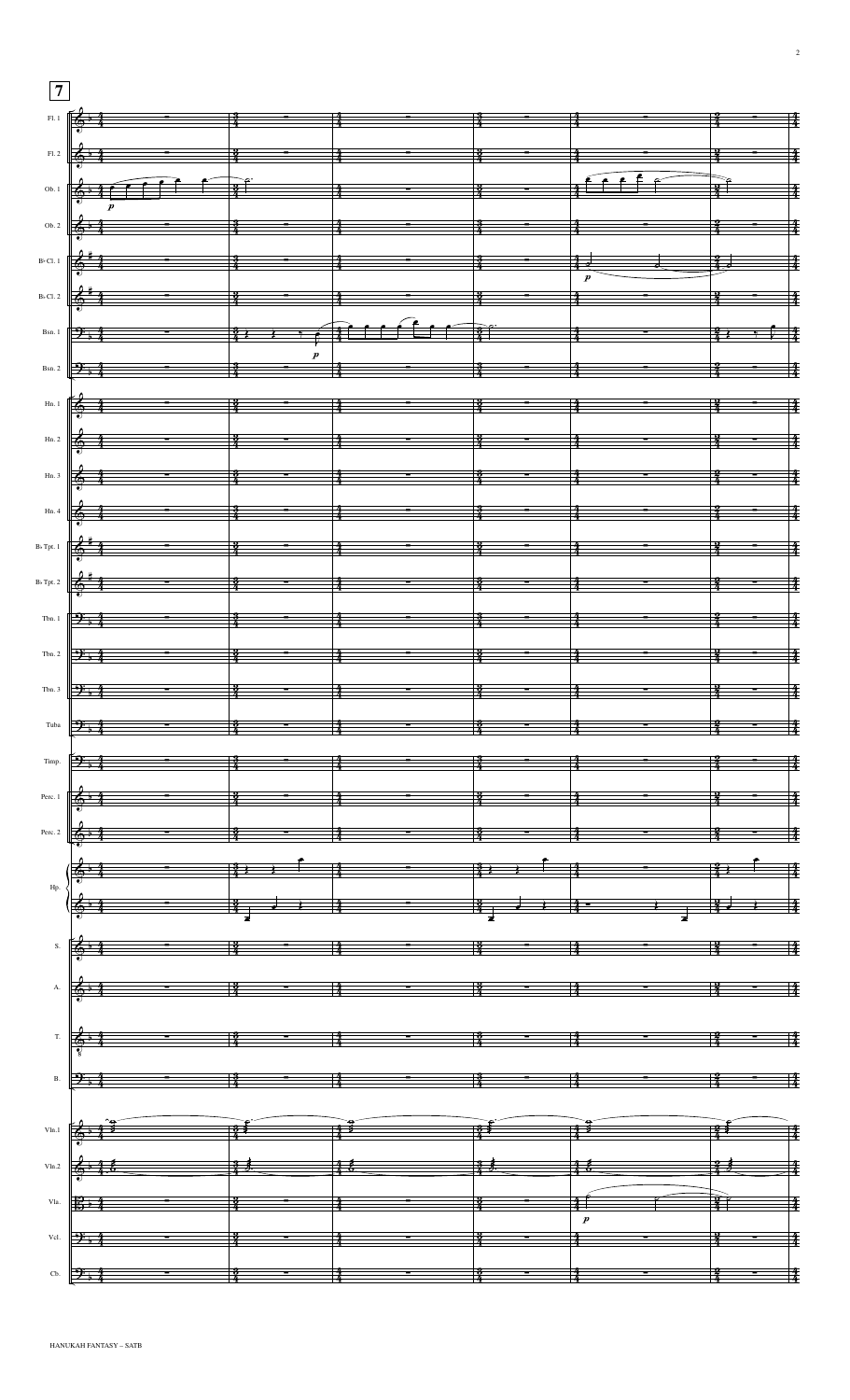| $\overline{7}$            |                                   |                                             |               |                                                                                                                                                                                                                                                                                               |                 |                                                                                                                                                                                                                                                                                                                                                                                                                          |                             |
|---------------------------|-----------------------------------|---------------------------------------------|---------------|-----------------------------------------------------------------------------------------------------------------------------------------------------------------------------------------------------------------------------------------------------------------------------------------------|-----------------|--------------------------------------------------------------------------------------------------------------------------------------------------------------------------------------------------------------------------------------------------------------------------------------------------------------------------------------------------------------------------------------------------------------------------|-----------------------------|
|                           | $F1.1$ $\phi$ $\frac{1}{4}$       |                                             |               | $\frac{3}{4}$ $\frac{4}{4}$ $\frac{3}{4}$ $\frac{3}{4}$ $\frac{4}{4}$                                                                                                                                                                                                                         |                 | $\frac{2}{3}$ -                                                                                                                                                                                                                                                                                                                                                                                                          |                             |
|                           |                                   |                                             |               |                                                                                                                                                                                                                                                                                               |                 |                                                                                                                                                                                                                                                                                                                                                                                                                          |                             |
|                           |                                   |                                             |               |                                                                                                                                                                                                                                                                                               |                 | $\frac{1}{2}$ $\frac{1}{2}$ $\frac{1}{2}$ $\frac{1}{2}$ $\frac{1}{2}$ $\frac{1}{2}$ $\frac{1}{2}$ $\frac{1}{2}$ $\frac{1}{2}$ $\frac{1}{2}$ $\frac{1}{2}$ $\frac{1}{2}$ $\frac{1}{2}$ $\frac{1}{2}$ $\frac{1}{2}$ $\frac{1}{2}$ $\frac{1}{2}$ $\frac{1}{2}$ $\frac{1}{2}$ $\frac{1}{2}$ $\frac{1}{2}$ $\frac{1}{2}$                                                                                                      |                             |
|                           |                                   |                                             |               |                                                                                                                                                                                                                                                                                               |                 |                                                                                                                                                                                                                                                                                                                                                                                                                          | $\frac{2}{4}$ $\frac{1}{4}$ |
|                           |                                   |                                             |               |                                                                                                                                                                                                                                                                                               |                 |                                                                                                                                                                                                                                                                                                                                                                                                                          |                             |
|                           |                                   |                                             |               |                                                                                                                                                                                                                                                                                               |                 | <b>B</b> Cl. 1 <b>c</b> $\frac{2+i}{3}$ <b>a</b> $\frac{3}{4}$ <b>b</b> $\frac{3}{4}$ <b>c</b> $\frac{3}{4}$ <b>c</b> $\frac{3}{4}$ <b>c</b> $\frac{3}{4}$                                                                                                                                                                                                                                                               |                             |
|                           |                                   |                                             |               | $B \cdot C1.2$ $8 - 4$ $1 - 8$                                                                                                                                                                                                                                                                |                 | $\frac{2}{4}$ $\frac{4}{4}$<br>$\exists 4$                                                                                                                                                                                                                                                                                                                                                                               |                             |
| Bsn.1                     |                                   |                                             |               |                                                                                                                                                                                                                                                                                               |                 | $\frac{3}{4}$ $\frac{3}{4}$ $\frac{3}{4}$ $\frac{3}{4}$ $\frac{3}{4}$ $\frac{3}{4}$ $\frac{3}{4}$ $\frac{3}{4}$ $\frac{3}{4}$ $\frac{3}{4}$ $\frac{3}{4}$                                                                                                                                                                                                                                                                |                             |
| Bsn. 2                    |                                   |                                             |               |                                                                                                                                                                                                                                                                                               |                 |                                                                                                                                                                                                                                                                                                                                                                                                                          |                             |
|                           |                                   |                                             |               |                                                                                                                                                                                                                                                                                               |                 |                                                                                                                                                                                                                                                                                                                                                                                                                          |                             |
|                           |                                   |                                             |               |                                                                                                                                                                                                                                                                                               |                 |                                                                                                                                                                                                                                                                                                                                                                                                                          |                             |
|                           |                                   |                                             |               |                                                                                                                                                                                                                                                                                               |                 | $\frac{1}{4}$ $\frac{1}{4}$ $\frac{1}{4}$ $\frac{1}{4}$ $\frac{1}{4}$ $\frac{1}{4}$ $\frac{1}{4}$ $\frac{1}{4}$ $\frac{1}{4}$ $\frac{1}{4}$                                                                                                                                                                                                                                                                              |                             |
|                           |                                   |                                             |               |                                                                                                                                                                                                                                                                                               |                 | $\frac{1}{4}$ $\frac{1}{4}$ $\frac{1}{4}$ $\frac{1}{4}$                                                                                                                                                                                                                                                                                                                                                                  |                             |
| Hn.4                      |                                   |                                             |               | $\frac{4}{4}$ and $\frac{3}{4}$ and $\frac{4}{4}$ and $\frac{3}{4}$ and $\frac{3}{4}$ and $\frac{3}{4}$ and $\frac{3}{4}$ and $\frac{3}{4}$ and $\frac{3}{4}$ and $\frac{3}{4}$ and $\frac{3}{4}$ and $\frac{3}{4}$ and $\frac{3}{4}$ and $\frac{3}{4}$ and $\frac{3}{4}$ and $\frac{3}{4}$ a |                 | $\frac{2}{4}$ $\frac{2}{4}$ $\frac{1}{4}$                                                                                                                                                                                                                                                                                                                                                                                |                             |
| $B \triangleright$ Tpt. 1 |                                   |                                             |               |                                                                                                                                                                                                                                                                                               |                 | $\frac{1}{3}$ $\frac{1}{3}$ $\frac{1}{3}$<br>$\frac{1}{4}$                                                                                                                                                                                                                                                                                                                                                               |                             |
|                           |                                   |                                             |               |                                                                                                                                                                                                                                                                                               |                 | B) $T_{\text{pt.2}}$ $\begin{array}{ccc} 2 & 3 & -12 \ 4 & -12 & 2 \end{array}$                                                                                                                                                                                                                                                                                                                                          |                             |
| Tbn. 1                    |                                   |                                             |               |                                                                                                                                                                                                                                                                                               |                 | $\begin{array}{ c c c c c c }\hline \textbf{1} & \textbf{2} & \textbf{3} & \textbf{4} & \textbf{5} & \textbf{6} & \textbf{7} & \textbf{8} & \textbf{8} & \textbf{1} & \textbf{1} & \textbf{1} & \textbf{1} & \textbf{1} & \textbf{1} & \textbf{1} & \textbf{1} & \textbf{1} & \textbf{1} & \textbf{1} & \textbf{1} & \textbf{1} & \textbf{1} & \textbf{1} & \textbf{1} & \textbf{1} & \textbf{1} & \textbf{1} & \textbf$ |                             |
|                           |                                   |                                             |               |                                                                                                                                                                                                                                                                                               |                 |                                                                                                                                                                                                                                                                                                                                                                                                                          |                             |
| Tbn. 2                    |                                   |                                             | $\frac{1}{4}$ |                                                                                                                                                                                                                                                                                               |                 |                                                                                                                                                                                                                                                                                                                                                                                                                          |                             |
|                           | Tbn. 3 $\left \frac{1}{2}\right $ |                                             |               |                                                                                                                                                                                                                                                                                               |                 | $\frac{3}{4}$ $\frac{1}{4}$ $\frac{4}{4}$ $\frac{3}{4}$ $\frac{1}{4}$ $\frac{4}{4}$ $\frac{1}{4}$ $\frac{2}{4}$ $\frac{2}{4}$                                                                                                                                                                                                                                                                                            |                             |
|                           |                                   |                                             | $\frac{1}{4}$ | $\frac{3}{4}$                                                                                                                                                                                                                                                                                 |                 | $\frac{2}{4}$ $\frac{1}{4}$                                                                                                                                                                                                                                                                                                                                                                                              |                             |
| Timp.                     |                                   |                                             |               |                                                                                                                                                                                                                                                                                               |                 | $\frac{3}{4}$ $\frac{4}{4}$ $\frac{3}{4}$ $\frac{4}{4}$ $\frac{4}{4}$ $\frac{4}{4}$ $\frac{2}{4}$ $\frac{2}{4}$                                                                                                                                                                                                                                                                                                          |                             |
|                           |                                   |                                             |               |                                                                                                                                                                                                                                                                                               |                 | Perc. 1 $\begin{array}{ccc} 2 & 2 & -1 \\ \hline 6 & 4 & -1 \end{array}$ 3 and 4 and 4 and 4 and 4 and 4 and 4 and 4 and 4 and 4 and 4 and 4 and 4 and 4 and 4 and 4 and 4 and 4 and 4 and 4 and 4 and 4 and 4 and 4 and 4 and 4 and 4 and 4 and 4 and 4 an                                                                                                                                                              |                             |
|                           |                                   |                                             |               |                                                                                                                                                                                                                                                                                               |                 |                                                                                                                                                                                                                                                                                                                                                                                                                          |                             |
|                           |                                   |                                             |               |                                                                                                                                                                                                                                                                                               |                 |                                                                                                                                                                                                                                                                                                                                                                                                                          |                             |
|                           |                                   |                                             |               |                                                                                                                                                                                                                                                                                               |                 | $\frac{2}{3}$ $\frac{2}{3}$ $\frac{3}{4}$ $\frac{5}{1}$ $\frac{2}{3}$ $\frac{3}{4}$ $\frac{3}{4}$ $\frac{5}{1}$ $\frac{2}{3}$ $\frac{5}{1}$ $\frac{2}{1}$                                                                                                                                                                                                                                                                |                             |
|                           |                                   |                                             |               |                                                                                                                                                                                                                                                                                               |                 | $\begin{array}{ccc} \sqrt{2} & 3 & - & - & 3 \end{array}$ $\rightarrow$ $\begin{array}{ccc} 3 & - & - & - & 3 \end{array}$ $\rightarrow$ $\begin{array}{ccc} 3 & - & 3 \end{array}$ $\rightarrow$ $\begin{array}{ccc} 3 & - & 3 \end{array}$                                                                                                                                                                             |                             |
|                           |                                   |                                             |               |                                                                                                                                                                                                                                                                                               |                 |                                                                                                                                                                                                                                                                                                                                                                                                                          |                             |
|                           |                                   |                                             |               |                                                                                                                                                                                                                                                                                               |                 |                                                                                                                                                                                                                                                                                                                                                                                                                          |                             |
|                           |                                   |                                             |               |                                                                                                                                                                                                                                                                                               |                 | $\frac{2}{3}$ $\frac{3}{4}$ $\frac{1}{3}$ $\frac{3}{4}$ $\frac{1}{3}$ $\frac{3}{4}$ $\frac{1}{3}$ $\frac{1}{3}$ $\frac{2}{3}$ $\frac{1}{3}$                                                                                                                                                                                                                                                                              |                             |
|                           |                                   |                                             |               |                                                                                                                                                                                                                                                                                               |                 | $\frac{2}{3}$ $\frac{2}{3}$ $\frac{3}{4}$ $\frac{3}{4}$ $\frac{3}{4}$ $\frac{3}{4}$ $\frac{3}{4}$ $\frac{3}{4}$ $\frac{3}{4}$ $\frac{3}{4}$ $\frac{3}{4}$                                                                                                                                                                                                                                                                |                             |
|                           |                                   |                                             |               |                                                                                                                                                                                                                                                                                               |                 |                                                                                                                                                                                                                                                                                                                                                                                                                          |                             |
|                           |                                   |                                             |               |                                                                                                                                                                                                                                                                                               |                 | $\frac{3}{4}$ $\frac{1}{4}$ $\frac{1}{4}$ $\frac{1}{4}$ $\frac{1}{4}$ $\frac{1}{4}$ $\frac{1}{4}$ $\frac{1}{4}$ $\frac{1}{4}$                                                                                                                                                                                                                                                                                            |                             |
|                           |                                   |                                             |               |                                                                                                                                                                                                                                                                                               |                 |                                                                                                                                                                                                                                                                                                                                                                                                                          |                             |
|                           |                                   |                                             |               |                                                                                                                                                                                                                                                                                               |                 | $\begin{array}{c ccccccccccccccccc}\n\hline\n\text{V} & \text{m.2} & \text{m.3} & \text{m.4} & \text{m.5} & \text{m.6} & \text{m.7} & \text{m.8} & \text{m.8} & \text{m.8} & \text{m.8} & \text{m.8} & \text{m.8} & \text{m.8} & \text{m.8} & \text{m.8} & \text{m.8} & \text{m.8} & \text{m.8} & \text{m.8} & \text{m.8} & \text{m.8} & \text{m.8} & \text{m.8} & \text{m.8} & \text{m$                                 |                             |
|                           |                                   |                                             |               |                                                                                                                                                                                                                                                                                               |                 | $\frac{1}{4}$ $\frac{1}{4}$                                                                                                                                                                                                                                                                                                                                                                                              |                             |
|                           |                                   | $-\frac{3}{4}$                              |               |                                                                                                                                                                                                                                                                                               |                 |                                                                                                                                                                                                                                                                                                                                                                                                                          |                             |
|                           |                                   |                                             |               | $\frac{3}{4}$ $\frac{4}{4}$ $\frac{3}{4}$ $\frac{4}{4}$ $\frac{3}{4}$ $\frac{4}{4}$ $\frac{4}{4}$                                                                                                                                                                                             |                 |                                                                                                                                                                                                                                                                                                                                                                                                                          | $\frac{2}{4}$ $\frac{1}{4}$ |
|                           |                                   | <u> Tanzania (h. 1878).</u><br>Digwyddiadau | $\frac{3}{4}$ |                                                                                                                                                                                                                                                                                               | $\frac{3}{4}$ - | $\frac{2}{4}$ $\frac{1}{4}$                                                                                                                                                                                                                                                                                                                                                                                              |                             |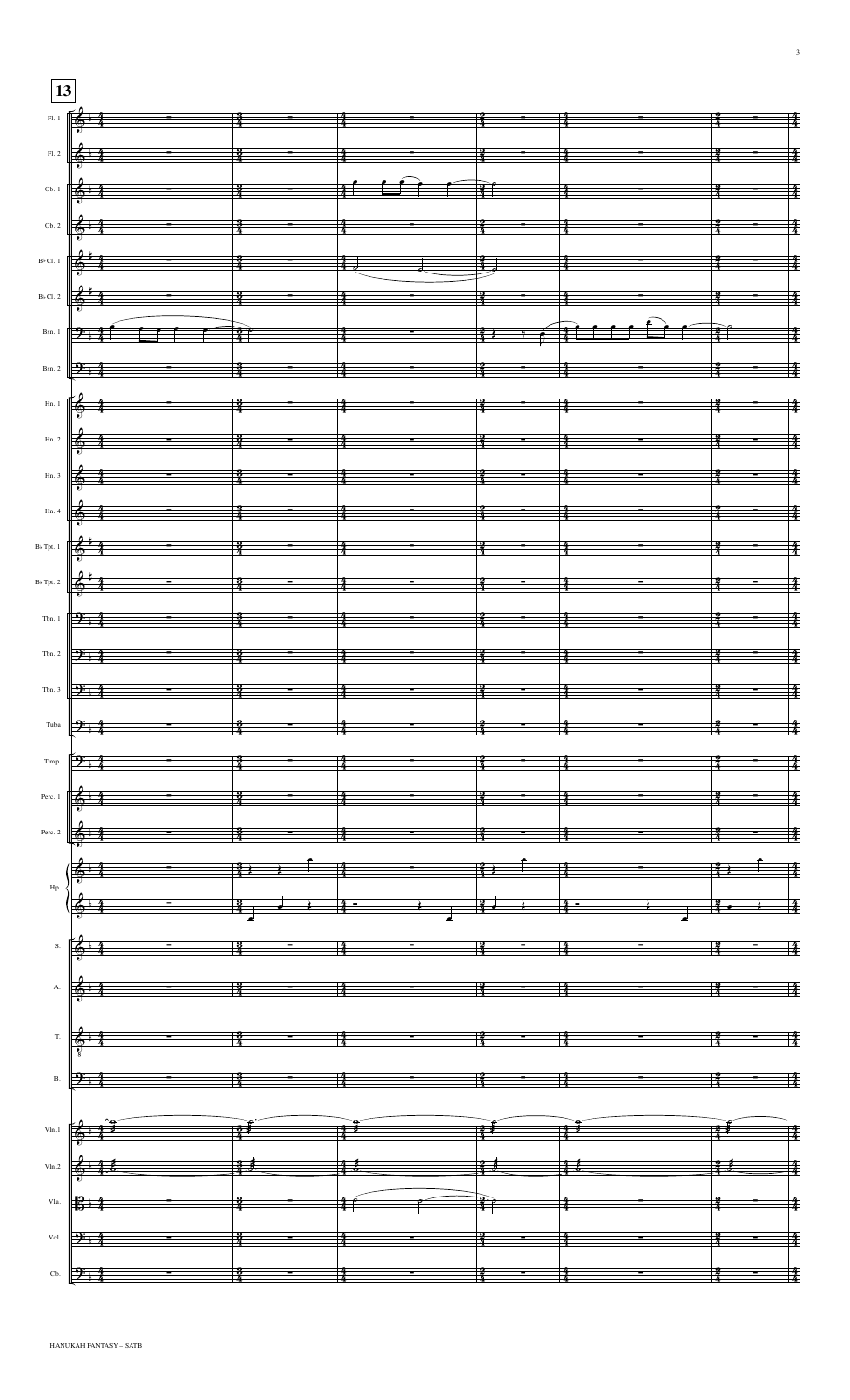| 13                                  |                                                                                                                                                                                                                                                                                                                                                                                                                                                                                                                                            |                                                                                                                               |                                                                                                                                                                                                                                                                                                                     |                                                                                     |  |                               |  |
|-------------------------------------|--------------------------------------------------------------------------------------------------------------------------------------------------------------------------------------------------------------------------------------------------------------------------------------------------------------------------------------------------------------------------------------------------------------------------------------------------------------------------------------------------------------------------------------------|-------------------------------------------------------------------------------------------------------------------------------|---------------------------------------------------------------------------------------------------------------------------------------------------------------------------------------------------------------------------------------------------------------------------------------------------------------------|-------------------------------------------------------------------------------------|--|-------------------------------|--|
|                                     |                                                                                                                                                                                                                                                                                                                                                                                                                                                                                                                                            | $\frac{3}{4}$ $\frac{1}{4}$ $\frac{2}{4}$ $\frac{2}{4}$ $\frac{1}{4}$ $\frac{2}{4}$ $\frac{1}{4}$                             |                                                                                                                                                                                                                                                                                                                     |                                                                                     |  |                               |  |
|                                     |                                                                                                                                                                                                                                                                                                                                                                                                                                                                                                                                            | $\frac{3}{4}$ $\frac{1}{4}$ $\frac{1}{4}$ $\frac{1}{4}$ $\frac{1}{4}$ $\frac{1}{4}$ $\frac{1}{4}$ $\frac{1}{4}$ $\frac{1}{4}$ |                                                                                                                                                                                                                                                                                                                     |                                                                                     |  |                               |  |
|                                     |                                                                                                                                                                                                                                                                                                                                                                                                                                                                                                                                            | $\frac{1}{4}$ $\frac{1}{4}$ $\frac{1}{4}$ $\frac{1}{4}$ $\frac{1}{4}$ $\frac{1}{4}$ $\frac{1}{4}$                             |                                                                                                                                                                                                                                                                                                                     |                                                                                     |  |                               |  |
|                                     | Ob. 1 $65$                                                                                                                                                                                                                                                                                                                                                                                                                                                                                                                                 |                                                                                                                               |                                                                                                                                                                                                                                                                                                                     |                                                                                     |  |                               |  |
|                                     | $rac{3}{4}$ $rac{2}{4}$ $rac{3}{4}$ $rac{1}{4}$ $rac{3}{4}$ $rac{2}{4}$ $rac{3}{4}$ $rac{1}{4}$                                                                                                                                                                                                                                                                                                                                                                                                                                            |                                                                                                                               |                                                                                                                                                                                                                                                                                                                     |                                                                                     |  | $\frac{2}{3}$ $\frac{1}{4}$   |  |
|                                     | <b>B</b> -Cl $\begin{array}{ c c c c c }\n\hline\n\text{A} & \text{B} & \text{C} & \text{A} & \text{A} \\ \hline\n\text{B} & \text{C} & \text{A} & \text{A} & \text{A} & \text{A} \\ \hline\n\text{C} & \text{A} & \text{B} & \text{A} & \text{A} & \text{A} \\ \hline\n\text{C} & \text{A} & \text{B} & \text{B} & \text{A} & \text{A} & \text{A} \\ \hline\n\text{D} & \text{A} & \text{B} & \text{B} & \text{B} & \$                                                                                                                    |                                                                                                                               |                                                                                                                                                                                                                                                                                                                     |                                                                                     |  |                               |  |
|                                     | <b>B</b> Cl. 2 $\frac{2}{3}$ $\frac{2}{3}$ $\frac{2}{3}$ $\frac{2}{3}$ $\frac{2}{3}$ $\frac{2}{3}$ $\frac{2}{3}$ $\frac{2}{3}$                                                                                                                                                                                                                                                                                                                                                                                                             |                                                                                                                               |                                                                                                                                                                                                                                                                                                                     |                                                                                     |  |                               |  |
|                                     | $Bsn.1$ $\frac{1}{2}$ $\frac{1}{2}$ $\frac{1}{2}$ $\frac{1}{2}$ $\frac{1}{2}$ $\frac{1}{2}$ $\frac{1}{2}$ $\frac{1}{2}$ $\frac{1}{2}$ $\frac{1}{2}$ $\frac{1}{2}$ $\frac{1}{2}$ $\frac{1}{2}$ $\frac{1}{2}$ $\frac{1}{2}$ $\frac{1}{2}$ $\frac{1}{2}$ $\frac{1}{2}$ $\frac{1}{2}$ $\frac{1}{2}$ $\frac{1}{2}$ $\frac{$                                                                                                                                                                                                                     |                                                                                                                               |                                                                                                                                                                                                                                                                                                                     |                                                                                     |  |                               |  |
|                                     |                                                                                                                                                                                                                                                                                                                                                                                                                                                                                                                                            |                                                                                                                               |                                                                                                                                                                                                                                                                                                                     |                                                                                     |  |                               |  |
|                                     | Bsn. 2 $\frac{3}{4}$ $\frac{1}{4}$ $\frac{3}{4}$ $\frac{1}{4}$ $\frac{1}{4}$ $\frac{1}{4}$ $\frac{1}{4}$ $\frac{1}{4}$ $\frac{1}{4}$ $\frac{1}{4}$ $\frac{1}{4}$                                                                                                                                                                                                                                                                                                                                                                           |                                                                                                                               |                                                                                                                                                                                                                                                                                                                     |                                                                                     |  |                               |  |
|                                     | $H_{\text{m-1}}$ $\begin{bmatrix} \frac{1}{2} & \frac{1}{2} & \frac{1}{2} & \frac{1}{2} & \frac{1}{2} & \frac{1}{2} & \frac{1}{2} & \frac{1}{2} & \frac{1}{2} & \frac{1}{2} & \frac{1}{2} & \frac{1}{2} & \frac{1}{2} & \frac{1}{2} & \frac{1}{2} & \frac{1}{2} & \frac{1}{2} & \frac{1}{2} & \frac{1}{2} & \frac{1}{2} & \frac{1}{2} & \frac{1}{2} & \frac{1}{2} & \frac{1}{2} & \frac{1}{2} & \frac$                                                                                                                                     |                                                                                                                               |                                                                                                                                                                                                                                                                                                                     |                                                                                     |  |                               |  |
|                                     | $\frac{1}{2}$ $\frac{1}{2}$ $\frac{1}{2}$ $\frac{1}{2}$ $\frac{1}{2}$ $\frac{1}{2}$ $\frac{1}{2}$ $\frac{1}{2}$ $\frac{1}{2}$ $\frac{1}{2}$ $\frac{1}{2}$                                                                                                                                                                                                                                                                                                                                                                                  |                                                                                                                               |                                                                                                                                                                                                                                                                                                                     |                                                                                     |  |                               |  |
|                                     | $\frac{2}{9}$ $\frac{1}{3}$ $\frac{1}{3}$ $\frac{1}{3}$ $\frac{1}{3}$ $\frac{1}{3}$ $\frac{1}{3}$ $\frac{1}{3}$ $\frac{1}{3}$ $\frac{1}{3}$ $\frac{1}{3}$ $\frac{1}{3}$ $\frac{1}{3}$                                                                                                                                                                                                                                                                                                                                                      |                                                                                                                               |                                                                                                                                                                                                                                                                                                                     |                                                                                     |  |                               |  |
|                                     |                                                                                                                                                                                                                                                                                                                                                                                                                                                                                                                                            |                                                                                                                               |                                                                                                                                                                                                                                                                                                                     |                                                                                     |  |                               |  |
|                                     |                                                                                                                                                                                                                                                                                                                                                                                                                                                                                                                                            | $\frac{4}{4}$ and $\frac{3}{4}$ and $\frac{4}{4}$ and $\frac{2}{4}$ and $\frac{4}{4}$ and $\frac{2}{4}$                       |                                                                                                                                                                                                                                                                                                                     |                                                                                     |  |                               |  |
|                                     | <b>B</b> -Tpt. 1 $\begin{array}{ c c c c }\n\hline\n\text{1} & \text{2} & \text{3} \\ \hline\n\text{2} & \text{4} & \text{4} \\ \hline\n\end{array}$                                                                                                                                                                                                                                                                                                                                                                                       |                                                                                                                               |                                                                                                                                                                                                                                                                                                                     |                                                                                     |  |                               |  |
|                                     | B, Tpt. 2 $\begin{array}{ c c c c c }\hline \begin{array}{cccccccccccccc} \bullet & \bullet & & & & & & & &\bullet\end{array} & & & & & &\bullet\end{array} & & & & & &\bullet\begin{array}{ c c c c c }\hline \begin{array}{cccccccccccccc} \bullet & \bullet & & & & & &\bullet\end{array} & & & & & &\bullet\end{array} & & & & & & &\bullet\begin{array}{cccccccccccccc} \bullet & \bullet & & & & &\bullet\end{array} & & & & & & &\bullet\end{array} & & & & & & &\bullet\begin{array}{cccccccccccccc} \bullet & \bullet & & & & &\$ |                                                                                                                               |                                                                                                                                                                                                                                                                                                                     |                                                                                     |  |                               |  |
|                                     | $\frac{3}{4}$ $\frac{3}{4}$ $\frac{3}{4}$ $\frac{1}{4}$ $\frac{3}{4}$ $\frac{1}{4}$ $\frac{1}{4}$ $\frac{1}{4}$ $\frac{1}{4}$ $\frac{1}{4}$ $\frac{1}{4}$                                                                                                                                                                                                                                                                                                                                                                                  |                                                                                                                               |                                                                                                                                                                                                                                                                                                                     |                                                                                     |  |                               |  |
|                                     |                                                                                                                                                                                                                                                                                                                                                                                                                                                                                                                                            |                                                                                                                               |                                                                                                                                                                                                                                                                                                                     |                                                                                     |  |                               |  |
| Tbn. $2$                            |                                                                                                                                                                                                                                                                                                                                                                                                                                                                                                                                            | $\frac{3}{4}$ $-\frac{4}{4}$ $-\frac{4}{4}$                                                                                   |                                                                                                                                                                                                                                                                                                                     | $\frac{2}{4}$ $-\frac{4}{4}$ $-\frac{1}{4}$                                         |  | $\frac{2}{3}$ - $\frac{4}{4}$ |  |
| Tbn. $3$                            |                                                                                                                                                                                                                                                                                                                                                                                                                                                                                                                                            | $\frac{3}{4}$ $\frac{4}{4}$ $\frac{2}{4}$ $\frac{4}{4}$ $\frac{4}{4}$                                                         |                                                                                                                                                                                                                                                                                                                     |                                                                                     |  | $\frac{2}{4}$ $-\frac{4}{4}$  |  |
|                                     |                                                                                                                                                                                                                                                                                                                                                                                                                                                                                                                                            |                                                                                                                               | $\frac{1}{2}$ $\frac{1}{2}$ $\frac{1}{2}$ $\frac{1}{2}$ $\frac{1}{2}$ $\frac{1}{2}$ $\frac{1}{2}$ $\frac{1}{2}$ $\frac{1}{2}$ $\frac{1}{2}$ $\frac{1}{2}$ $\frac{1}{2}$ $\frac{1}{2}$ $\frac{1}{2}$ $\frac{1}{2}$ $\frac{1}{2}$ $\frac{1}{2}$ $\frac{1}{2}$ $\frac{1}{2}$ $\frac{1}{2}$ $\frac{1}{2}$ $\frac{1}{2}$ | $\frac{2}{3}$ $\frac{1}{4}$ $\frac{1}{4}$ $\frac{1}{3}$ $\frac{2}{3}$ $\frac{1}{4}$ |  |                               |  |
|                                     |                                                                                                                                                                                                                                                                                                                                                                                                                                                                                                                                            | $\frac{4}{4}$ $\frac{2}{4}$ $\frac{2}{4}$ $\frac{4}{4}$                                                                       |                                                                                                                                                                                                                                                                                                                     |                                                                                     |  | $\frac{2}{4}$ $\frac{2}{4}$   |  |
|                                     |                                                                                                                                                                                                                                                                                                                                                                                                                                                                                                                                            | $\frac{3}{4}$ $\frac{4}{4}$ $\frac{2}{4}$ $\frac{4}{4}$ $\frac{2}{4}$ $\frac{2}{4}$                                           |                                                                                                                                                                                                                                                                                                                     |                                                                                     |  |                               |  |
| Perc. 1 $\left  \bigotimes \right $ |                                                                                                                                                                                                                                                                                                                                                                                                                                                                                                                                            |                                                                                                                               |                                                                                                                                                                                                                                                                                                                     |                                                                                     |  |                               |  |
|                                     | Perc. 2 $\left  \bigotimes^{\bullet}$                                                                                                                                                                                                                                                                                                                                                                                                                                                                                                      |                                                                                                                               |                                                                                                                                                                                                                                                                                                                     |                                                                                     |  |                               |  |
|                                     |                                                                                                                                                                                                                                                                                                                                                                                                                                                                                                                                            |                                                                                                                               |                                                                                                                                                                                                                                                                                                                     |                                                                                     |  |                               |  |
|                                     |                                                                                                                                                                                                                                                                                                                                                                                                                                                                                                                                            |                                                                                                                               |                                                                                                                                                                                                                                                                                                                     |                                                                                     |  |                               |  |
|                                     |                                                                                                                                                                                                                                                                                                                                                                                                                                                                                                                                            |                                                                                                                               |                                                                                                                                                                                                                                                                                                                     |                                                                                     |  |                               |  |
|                                     |                                                                                                                                                                                                                                                                                                                                                                                                                                                                                                                                            |                                                                                                                               |                                                                                                                                                                                                                                                                                                                     |                                                                                     |  |                               |  |
|                                     |                                                                                                                                                                                                                                                                                                                                                                                                                                                                                                                                            |                                                                                                                               |                                                                                                                                                                                                                                                                                                                     |                                                                                     |  |                               |  |
|                                     |                                                                                                                                                                                                                                                                                                                                                                                                                                                                                                                                            |                                                                                                                               |                                                                                                                                                                                                                                                                                                                     |                                                                                     |  |                               |  |
|                                     | $\frac{2}{3}$ $\frac{2}{3}$ $\frac{3}{4}$ $\frac{3}{4}$ $\frac{1}{3}$ $\frac{3}{4}$ $\frac{1}{3}$ $\frac{1}{3}$ $\frac{1}{3}$ $\frac{1}{3}$ $\frac{1}{3}$                                                                                                                                                                                                                                                                                                                                                                                  |                                                                                                                               |                                                                                                                                                                                                                                                                                                                     |                                                                                     |  |                               |  |
|                                     | $B = \frac{1}{2}$                                                                                                                                                                                                                                                                                                                                                                                                                                                                                                                          | $\frac{3}{4}$ $\frac{1}{4}$ $\frac{2}{4}$ $\frac{1}{4}$ $\frac{1}{4}$ $\frac{2}{4}$ $\frac{2}{4}$ $\frac{1}{4}$               |                                                                                                                                                                                                                                                                                                                     |                                                                                     |  |                               |  |
|                                     |                                                                                                                                                                                                                                                                                                                                                                                                                                                                                                                                            |                                                                                                                               |                                                                                                                                                                                                                                                                                                                     |                                                                                     |  |                               |  |
|                                     | $\frac{2}{3}$ $\frac{2}{3}$ $\frac{2}{3}$ $\frac{2}{3}$ $\frac{2}{3}$ $\frac{2}{3}$ $\frac{2}{3}$ $\frac{2}{3}$ $\frac{2}{3}$ $\frac{2}{3}$ $\frac{2}{3}$                                                                                                                                                                                                                                                                                                                                                                                  |                                                                                                                               |                                                                                                                                                                                                                                                                                                                     |                                                                                     |  |                               |  |
|                                     | $\frac{1}{2}$ $\frac{1}{2}$ $\frac{1}{2}$ $\frac{1}{2}$ $\frac{1}{2}$ $\frac{1}{2}$ $\frac{1}{2}$ $\frac{1}{2}$ $\frac{1}{2}$ $\frac{1}{2}$ $\frac{1}{2}$ $\frac{1}{2}$ $\frac{1}{2}$ $\frac{1}{2}$ $\frac{1}{2}$ $\frac{1}{2}$ $\frac{1}{2}$ $\frac{1}{2}$ $\frac{1}{2}$                                                                                                                                                                                                                                                                  |                                                                                                                               |                                                                                                                                                                                                                                                                                                                     |                                                                                     |  |                               |  |
|                                     |                                                                                                                                                                                                                                                                                                                                                                                                                                                                                                                                            | $\frac{3}{4}$ - $\frac{1}{4}$ $\frac{1}{4}$ $\frac{1}{4}$ $\frac{1}{4}$ $\frac{1}{4}$ $\frac{1}{4}$ $\frac{1}{4}$             |                                                                                                                                                                                                                                                                                                                     |                                                                                     |  |                               |  |
|                                     |                                                                                                                                                                                                                                                                                                                                                                                                                                                                                                                                            |                                                                                                                               |                                                                                                                                                                                                                                                                                                                     |                                                                                     |  |                               |  |
|                                     |                                                                                                                                                                                                                                                                                                                                                                                                                                                                                                                                            | $\frac{3}{4}$ $\frac{3}{4}$                                                                                                   |                                                                                                                                                                                                                                                                                                                     | $\frac{2}{4}$ $\frac{4}{4}$ $\frac{2}{4}$ $\frac{2}{4}$ $\frac{3}{4}$               |  |                               |  |
|                                     |                                                                                                                                                                                                                                                                                                                                                                                                                                                                                                                                            | <b>1</b> 1 2 2 3 2 3 $\frac{1}{4}$ 1 2 $\frac{1}{4}$ 1 $\frac{1}{4}$ 1 $\frac{1}{4}$ 1 $\frac{1}{4}$ 1 $\frac{1}{4}$          |                                                                                                                                                                                                                                                                                                                     |                                                                                     |  |                               |  |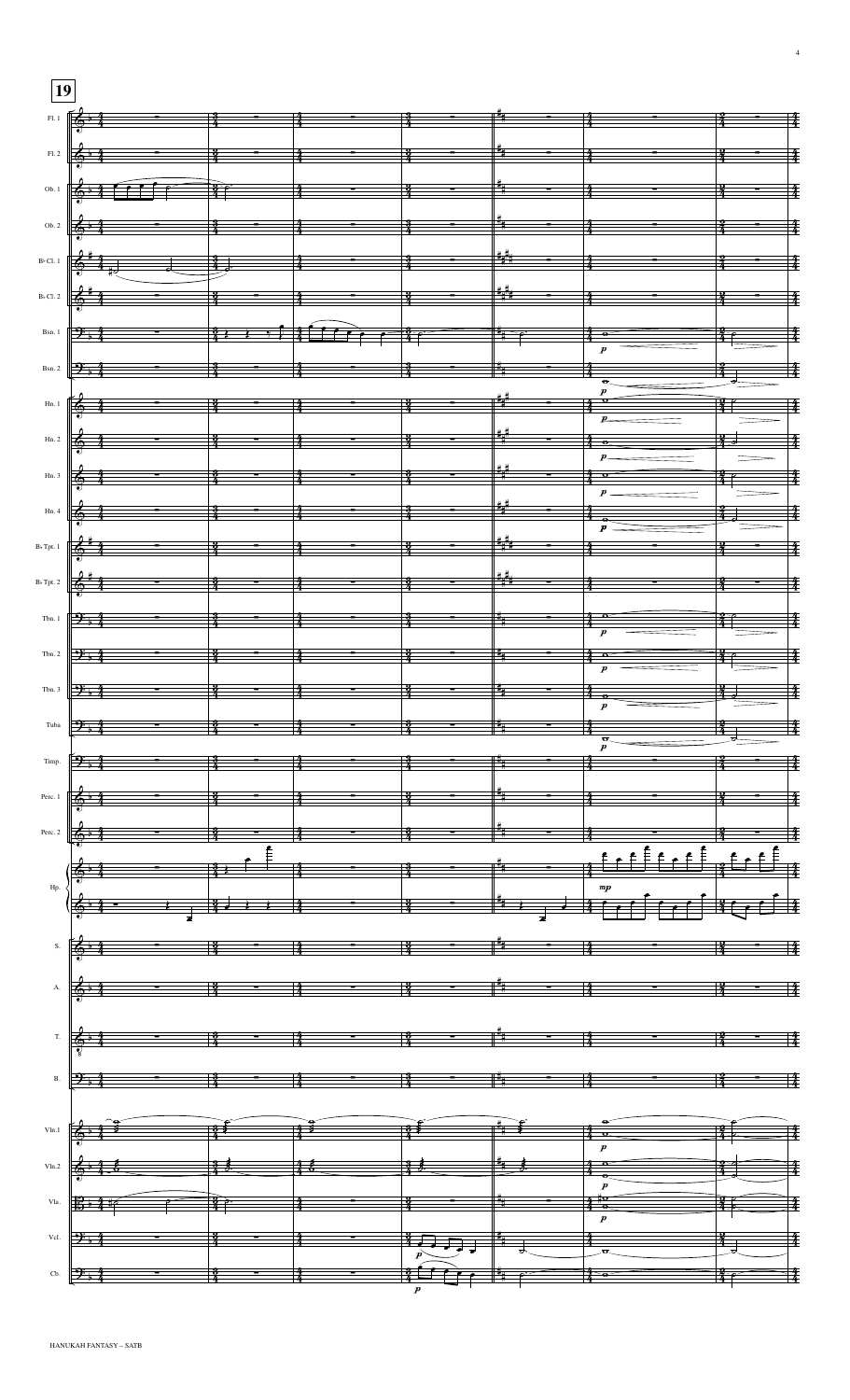| 19                         |                                     |                                                                                                                                                                                                                                                                                                                     |                                           |                                                                                                                                                                                                                                                                                                                     |                                                         |                                  |                                                                                                                                                                                                                                                                                                                     |                                |
|----------------------------|-------------------------------------|---------------------------------------------------------------------------------------------------------------------------------------------------------------------------------------------------------------------------------------------------------------------------------------------------------------------|-------------------------------------------|---------------------------------------------------------------------------------------------------------------------------------------------------------------------------------------------------------------------------------------------------------------------------------------------------------------------|---------------------------------------------------------|----------------------------------|---------------------------------------------------------------------------------------------------------------------------------------------------------------------------------------------------------------------------------------------------------------------------------------------------------------------|--------------------------------|
| F1.1                       |                                     |                                                                                                                                                                                                                                                                                                                     |                                           |                                                                                                                                                                                                                                                                                                                     | $\begin{array}{ccc} - & & 3 & - \\ 4 & & - \end{array}$ |                                  |                                                                                                                                                                                                                                                                                                                     |                                |
| $\mathbb{F} \mathbf{l}.$ 2 |                                     |                                                                                                                                                                                                                                                                                                                     |                                           |                                                                                                                                                                                                                                                                                                                     |                                                         |                                  |                                                                                                                                                                                                                                                                                                                     |                                |
| Ob. $\boldsymbol{1}$       |                                     |                                                                                                                                                                                                                                                                                                                     |                                           |                                                                                                                                                                                                                                                                                                                     |                                                         |                                  |                                                                                                                                                                                                                                                                                                                     |                                |
| Ob. $2$                    |                                     | $\frac{1}{\sqrt{2}}$                                                                                                                                                                                                                                                                                                |                                           |                                                                                                                                                                                                                                                                                                                     |                                                         |                                  |                                                                                                                                                                                                                                                                                                                     | $\frac{4}{3}$                  |
| $B \setminus C1.1$         |                                     |                                                                                                                                                                                                                                                                                                                     | $\frac{3}{4}$ and $\frac{3}{4}$           |                                                                                                                                                                                                                                                                                                                     |                                                         |                                  |                                                                                                                                                                                                                                                                                                                     | $\frac{2}{4}$<br>$\frac{4}{4}$ |
|                            | $B \cdot C1.2$ $67$                 |                                                                                                                                                                                                                                                                                                                     |                                           | $\frac{3}{4}$ $\frac{4}{4}$ $\frac{3}{4}$ $\frac{3}{4}$                                                                                                                                                                                                                                                             |                                                         |                                  |                                                                                                                                                                                                                                                                                                                     | $\frac{3}{4}$ $\frac{1}{4}$    |
| Bsn. 1                     |                                     |                                                                                                                                                                                                                                                                                                                     |                                           | $\frac{3}{4}$ $\frac{1}{4}$ $\frac{3}{4}$ $\frac{3}{4}$ $\frac{1}{4}$ $\frac{1}{4}$ $\frac{1}{4}$ $\frac{1}{2}$ $\frac{1}{4}$ $\frac{1}{2}$ $\frac{1}{2}$ $\frac{1}{2}$ $\frac{1}{2}$ $\frac{1}{2}$ $\frac{1}{2}$ $\frac{1}{2}$ $\frac{1}{2}$ $\frac{1}{2}$ $\frac{1}{2}$ $\frac{1}{2}$ $\frac{1}{2}$ $\frac{1}{2}$ |                                                         |                                  |                                                                                                                                                                                                                                                                                                                     | $\frac{2}{4}$ $\frac{4}{4}$    |
| Bsn. 2                     |                                     |                                                                                                                                                                                                                                                                                                                     |                                           |                                                                                                                                                                                                                                                                                                                     |                                                         |                                  |                                                                                                                                                                                                                                                                                                                     |                                |
|                            |                                     |                                                                                                                                                                                                                                                                                                                     |                                           |                                                                                                                                                                                                                                                                                                                     |                                                         |                                  |                                                                                                                                                                                                                                                                                                                     | $\frac{2}{4}$                  |
| $\rm Hn.$ 1                |                                     | $\frac{3}{4}$ $\frac{3}{4}$ $\frac{3}{4}$ $\frac{3}{4}$ $\frac{3}{4}$ $\frac{3}{4}$ $\frac{3}{4}$ $\frac{3}{4}$ $\frac{3}{4}$ $\frac{3}{4}$ $\frac{3}{4}$ $\frac{3}{4}$ $\frac{3}{4}$ $\frac{3}{4}$ $\frac{3}{4}$ $\frac{3}{4}$ $\frac{3}{4}$ $\frac{3}{4}$ $\frac{3}{4}$ $\frac{3}{4}$ $\frac{3}{4}$ $\frac{3}{4}$ |                                           | $\frac{3}{4}$                                                                                                                                                                                                                                                                                                       |                                                         |                                  |                                                                                                                                                                                                                                                                                                                     |                                |
| Hn.2                       |                                     |                                                                                                                                                                                                                                                                                                                     |                                           |                                                                                                                                                                                                                                                                                                                     |                                                         |                                  |                                                                                                                                                                                                                                                                                                                     | $\frac{4}{4}$                  |
| Hn. 3                      |                                     | <u> Tanzania (</u>                                                                                                                                                                                                                                                                                                  |                                           |                                                                                                                                                                                                                                                                                                                     |                                                         |                                  |                                                                                                                                                                                                                                                                                                                     |                                |
| Hn. 4                      |                                     |                                                                                                                                                                                                                                                                                                                     | $\frac{3}{4}$                             |                                                                                                                                                                                                                                                                                                                     |                                                         |                                  |                                                                                                                                                                                                                                                                                                                     | $\frac{4}{4}$                  |
| $B \triangleright$ Tpt. 1  |                                     |                                                                                                                                                                                                                                                                                                                     | $\frac{3}{4}$ $\frac{3}{4}$ $\frac{1}{4}$ |                                                                                                                                                                                                                                                                                                                     |                                                         |                                  |                                                                                                                                                                                                                                                                                                                     |                                |
| $B\overline{b}$ Tpt. 2     |                                     |                                                                                                                                                                                                                                                                                                                     |                                           | $\frac{3}{4}$ $\frac{4}{4}$ $\frac{3}{4}$ $\frac{3}{4}$                                                                                                                                                                                                                                                             |                                                         |                                  |                                                                                                                                                                                                                                                                                                                     | $\frac{4}{4}$                  |
| Tbn. 1                     |                                     |                                                                                                                                                                                                                                                                                                                     |                                           |                                                                                                                                                                                                                                                                                                                     |                                                         |                                  |                                                                                                                                                                                                                                                                                                                     | ⋕                              |
| Tbn. 2                     |                                     |                                                                                                                                                                                                                                                                                                                     |                                           |                                                                                                                                                                                                                                                                                                                     |                                                         |                                  |                                                                                                                                                                                                                                                                                                                     |                                |
|                            | Tbn. 3 $\left  \frac{1}{2} \right $ | ⋍                                                                                                                                                                                                                                                                                                                   | $\frac{3}{4}$<br><u>—</u>                 | 孝<br>$=$ $=$                                                                                                                                                                                                                                                                                                        | $\frac{3}{4}$ =                                         | 崜                                |                                                                                                                                                                                                                                                                                                                     |                                |
| ${\hbox{Tuba}}$            |                                     |                                                                                                                                                                                                                                                                                                                     |                                           | $ \frac{3}{4}$ $ \frac{1}{4}$                                                                                                                                                                                                                                                                                       |                                                         |                                  |                                                                                                                                                                                                                                                                                                                     | $\frac{2}{4}$                  |
|                            |                                     |                                                                                                                                                                                                                                                                                                                     | $\frac{1}{4}$                             |                                                                                                                                                                                                                                                                                                                     |                                                         | $\frac{1}{\sqrt{1-\frac{1}{2}}}$ |                                                                                                                                                                                                                                                                                                                     | $\frac{2}{4}$                  |
| Timp.                      |                                     |                                                                                                                                                                                                                                                                                                                     |                                           | $\frac{3}{4}$ $\frac{3}{4}$ $\frac{3}{4}$ $\frac{3}{4}$ $\frac{3}{4}$ $\frac{3}{4}$ $\frac{3}{4}$ $\frac{3}{4}$ $\frac{3}{4}$ $\frac{3}{4}$ $\frac{3}{4}$ $\frac{3}{4}$ $\frac{3}{4}$ $\frac{3}{4}$ $\frac{3}{4}$ $\frac{3}{4}$ $\frac{3}{4}$ $\frac{3}{4}$ $\frac{3}{4}$ $\frac{3}{4}$ $\frac{3}{4}$ $\frac{3}{4}$ |                                                         |                                  |                                                                                                                                                                                                                                                                                                                     | $\frac{3}{4}$ $-\frac{4}{4}$   |
| $\mbox{Perc.}$ $1$         |                                     |                                                                                                                                                                                                                                                                                                                     |                                           | $\frac{2}{3}$ - $\frac{3}{4}$ - $\frac{3}{4}$ - $\frac{3}{4}$ - $\frac{3}{4}$                                                                                                                                                                                                                                       |                                                         |                                  |                                                                                                                                                                                                                                                                                                                     | $\frac{2}{4}$ $-\frac{4}{4}$   |
|                            |                                     |                                                                                                                                                                                                                                                                                                                     |                                           | Perc. 2 $\begin{array}{ccc} 6 & 4 & - & 3 & - & 4 & - & 8 & - & 4 \end{array}$                                                                                                                                                                                                                                      |                                                         |                                  | $\frac{2}{3}$ - $\frac{2}{3}$ -                                                                                                                                                                                                                                                                                     | $\mathcal{F}_\mathcal{I}$      |
|                            |                                     |                                                                                                                                                                                                                                                                                                                     |                                           |                                                                                                                                                                                                                                                                                                                     |                                                         |                                  | $\frac{2}{3}$ $\frac{2}{3}$ $\frac{1}{3}$ $\frac{1}{3}$ $\frac{1}{3}$ $\frac{1}{3}$ $\frac{1}{3}$ $\frac{1}{3}$ $\frac{1}{3}$ $\frac{1}{3}$ $\frac{1}{3}$ $\frac{1}{3}$ $\frac{1}{3}$ $\frac{1}{3}$ $\frac{1}{3}$                                                                                                   |                                |
|                            |                                     |                                                                                                                                                                                                                                                                                                                     |                                           |                                                                                                                                                                                                                                                                                                                     |                                                         |                                  | $\frac{2}{3}$ , $\frac{1}{4}$ , $\frac{1}{3}$ , $\frac{1}{4}$ , $\frac{1}{3}$ , $\frac{1}{3}$ , $\frac{1}{3}$ , $\frac{1}{3}$ , $\frac{1}{3}$ , $\frac{1}{3}$ , $\frac{1}{3}$ , $\frac{1}{3}$ , $\frac{1}{3}$ , $\frac{1}{3}$ , $\frac{1}{3}$ , $\frac{1}{3}$ , $\frac{1}{3}$ , $\frac{1}{3}$ , $\frac{1$           |                                |
|                            |                                     |                                                                                                                                                                                                                                                                                                                     |                                           |                                                                                                                                                                                                                                                                                                                     |                                                         |                                  | $s = \frac{2}{3}$ $\frac{3}{4}$ $\frac{1}{3}$ $\frac{1}{3}$ $\frac{1}{3}$ $\frac{1}{3}$ $\frac{1}{3}$ $\frac{1}{3}$ $\frac{1}{3}$ $\frac{1}{3}$ $\frac{1}{3}$                                                                                                                                                       |                                |
|                            |                                     |                                                                                                                                                                                                                                                                                                                     |                                           |                                                                                                                                                                                                                                                                                                                     |                                                         |                                  |                                                                                                                                                                                                                                                                                                                     |                                |
|                            |                                     |                                                                                                                                                                                                                                                                                                                     |                                           |                                                                                                                                                                                                                                                                                                                     |                                                         |                                  |                                                                                                                                                                                                                                                                                                                     |                                |
|                            |                                     |                                                                                                                                                                                                                                                                                                                     |                                           |                                                                                                                                                                                                                                                                                                                     |                                                         |                                  | $\frac{1}{2}$ $\frac{2}{3}$ $\frac{3}{4}$ $\frac{1}{3}$ $\frac{3}{4}$ $\frac{1}{3}$ $\frac{1}{3}$ $\frac{1}{3}$ $\frac{1}{3}$ $\frac{1}{3}$ $\frac{1}{3}$ $\frac{1}{3}$ $\frac{1}{3}$ $\frac{1}{3}$ $\frac{1}{3}$ $\frac{1}{3}$ $\frac{1}{3}$ $\frac{1}{3}$ $\frac{1}{3}$ $\frac{1}{3}$ $\frac{1}{3}$ $\frac{1}{3}$ |                                |
|                            |                                     | $\frac{1}{4}$ $\frac{3}{4}$ $\frac{1}{4}$                                                                                                                                                                                                                                                                           |                                           | $\frac{3}{4}$                                                                                                                                                                                                                                                                                                       |                                                         | $\mathbb{I}^i$<br>$\frac{1}{4}$  | $\frac{2}{3}$ - $\frac{1}{4}$                                                                                                                                                                                                                                                                                       |                                |
|                            |                                     |                                                                                                                                                                                                                                                                                                                     |                                           |                                                                                                                                                                                                                                                                                                                     |                                                         |                                  |                                                                                                                                                                                                                                                                                                                     |                                |
|                            |                                     |                                                                                                                                                                                                                                                                                                                     |                                           |                                                                                                                                                                                                                                                                                                                     |                                                         |                                  | $V_{\text{In,I}}$ $\frac{2}{\sqrt{5}-\frac{3}{4}}$ $\frac{2}{3}$ $\frac{2}{3}$ $\frac{2}{3}$ $\frac{2}{3}$ $\frac{2}{3}$ $\frac{2}{3}$ $\frac{2}{3}$ $\frac{2}{3}$ $\frac{2}{3}$                                                                                                                                    |                                |
|                            |                                     |                                                                                                                                                                                                                                                                                                                     |                                           |                                                                                                                                                                                                                                                                                                                     |                                                         |                                  | $\frac{1}{2}$ $\frac{1}{2}$ $\frac{1}{2}$ $\frac{1}{2}$ $\frac{1}{2}$ $\frac{1}{2}$ $\frac{1}{2}$ $\frac{1}{2}$ $\frac{1}{2}$ $\frac{1}{2}$ $\frac{1}{2}$ $\frac{1}{2}$ $\frac{1}{2}$ $\frac{1}{2}$ $\frac{1}{2}$ $\frac{1}{2}$                                                                                     |                                |
| $_{\rm Vla.}$              |                                     |                                                                                                                                                                                                                                                                                                                     |                                           |                                                                                                                                                                                                                                                                                                                     |                                                         |                                  | $\frac{12.16}{10}$                                                                                                                                                                                                                                                                                                  |                                |
|                            |                                     |                                                                                                                                                                                                                                                                                                                     |                                           |                                                                                                                                                                                                                                                                                                                     |                                                         |                                  | $\frac{3}{2}$ and $\frac{3}{2}$ and $\frac{3}{2}$ and $\frac{3}{2}$ and $\frac{3}{2}$ and $\frac{3}{2}$ and $\frac{3}{2}$ and $\frac{3}{2}$ and $\frac{3}{2}$                                                                                                                                                       |                                |
|                            |                                     |                                                                                                                                                                                                                                                                                                                     |                                           |                                                                                                                                                                                                                                                                                                                     |                                                         |                                  | $\frac{1}{2}$ $\frac{1}{4}$ $\frac{1}{4}$ $\frac{1}{4}$ $\frac{1}{4}$ $\frac{1}{4}$ $\frac{1}{4}$                                                                                                                                                                                                                   |                                |
|                            |                                     |                                                                                                                                                                                                                                                                                                                     |                                           |                                                                                                                                                                                                                                                                                                                     |                                                         |                                  |                                                                                                                                                                                                                                                                                                                     |                                |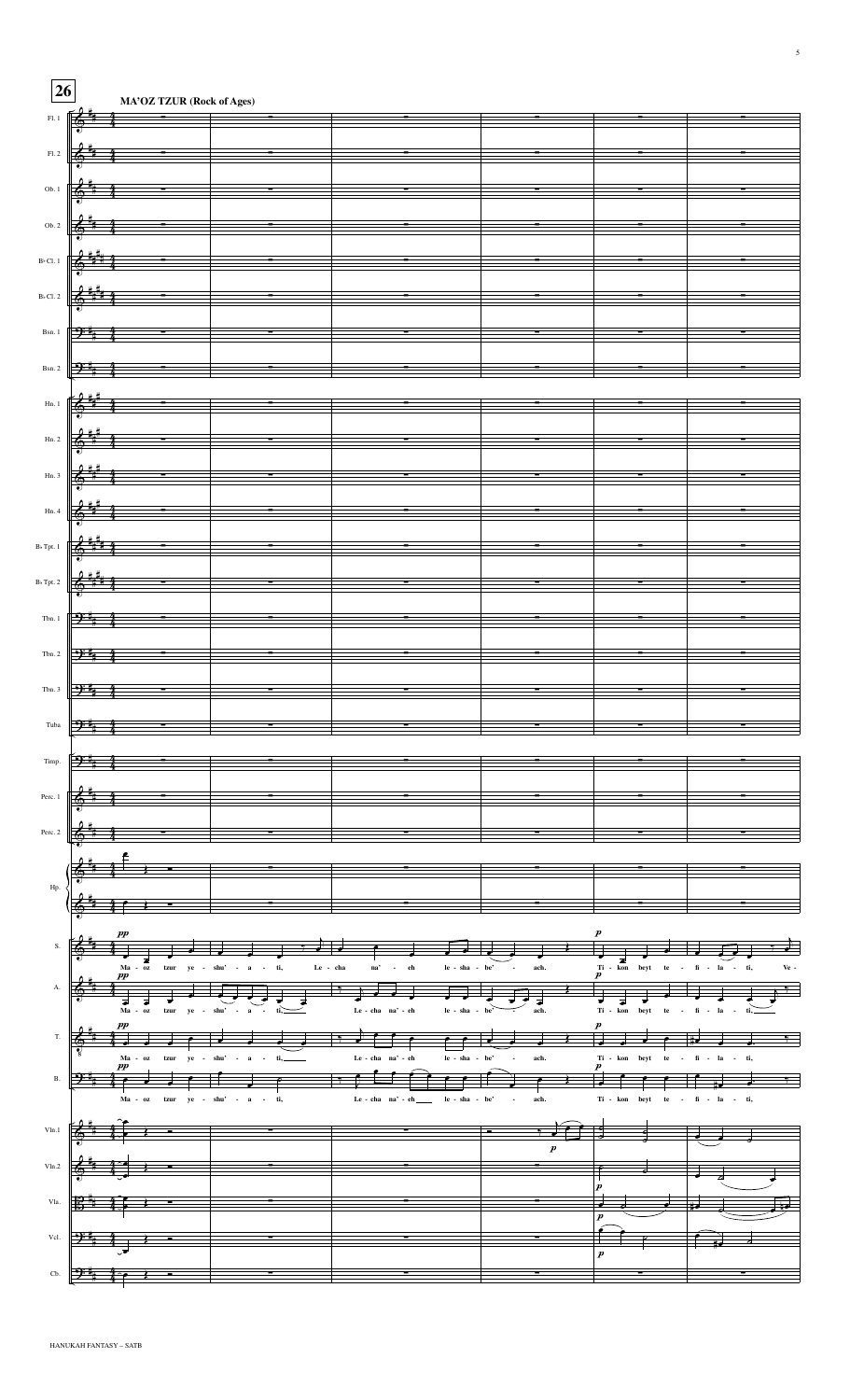| 26                         |                                                                                                                                                                                                             | MA'OZ TZUR (Rock of Ages)                                                                                                        |               |                                                           |                      |                                         |                                    |
|----------------------------|-------------------------------------------------------------------------------------------------------------------------------------------------------------------------------------------------------------|----------------------------------------------------------------------------------------------------------------------------------|---------------|-----------------------------------------------------------|----------------------|-----------------------------------------|------------------------------------|
| F1, 1                      | Ģ                                                                                                                                                                                                           |                                                                                                                                  |               |                                                           |                      |                                         |                                    |
| FL.2                       |                                                                                                                                                                                                             |                                                                                                                                  |               |                                                           |                      |                                         |                                    |
| Ob. 1                      | $\frac{2}{3}$                                                                                                                                                                                               |                                                                                                                                  |               |                                                           |                      |                                         |                                    |
|                            | Ob. 2 $\frac{2}{9}$                                                                                                                                                                                         |                                                                                                                                  |               |                                                           |                      |                                         |                                    |
|                            | $B \setminus C1.1$ $\left  \begin{array}{c} \begin{array}{c} \begin{array}{c} \end{array} \\ \end{array} \end{array} \right  \begin{array}{c} \begin{array}{c} \end{array} \end{array} \end{array} \right $ |                                                                                                                                  |               |                                                           |                      |                                         |                                    |
| $\mathbf{B}^{\flat}$ Cl. 2 | $\frac{2+1}{2}$                                                                                                                                                                                             |                                                                                                                                  |               |                                                           |                      |                                         |                                    |
| $_{\rm Bsn. \ 1}$          | 9:4                                                                                                                                                                                                         |                                                                                                                                  | =             |                                                           |                      |                                         |                                    |
| Bsn. 2                     | $\mathbb{P}^1$                                                                                                                                                                                              |                                                                                                                                  |               |                                                           |                      |                                         |                                    |
|                            |                                                                                                                                                                                                             |                                                                                                                                  |               |                                                           |                      |                                         |                                    |
|                            | $\frac{H_{\text{B}}}{1}$ $\frac{2\frac{H_{\text{B}}}{1}}{2}$                                                                                                                                                |                                                                                                                                  |               |                                                           |                      |                                         |                                    |
|                            | $\frac{3}{2}$ $\frac{2}{3}$                                                                                                                                                                                 |                                                                                                                                  |               |                                                           |                      |                                         |                                    |
|                            | $\frac{3}{2}$ $\frac{2}{2}$                                                                                                                                                                                 |                                                                                                                                  |               |                                                           |                      |                                         |                                    |
|                            | $Hn.4$ $\left  \left  \left  \left  \left  \left  \right  \right  \right  \right  \right  \right $                                                                                                          |                                                                                                                                  |               |                                                           |                      |                                         |                                    |
| $\mathbf{B}\flat$ Tpt. 1   | $\frac{2+1}{2}$                                                                                                                                                                                             |                                                                                                                                  | Ξ             | Ξ                                                         |                      |                                         |                                    |
|                            | B <sub>b Tpt. 2</sub>                                                                                                                                                                                       |                                                                                                                                  | Ξ             |                                                           |                      |                                         |                                    |
| Tbn. $1$                   | $9+$                                                                                                                                                                                                        |                                                                                                                                  |               |                                                           |                      |                                         |                                    |
| Tbn.2                      | 9:4                                                                                                                                                                                                         |                                                                                                                                  |               |                                                           |                      |                                         |                                    |
| $\mbox{Tbn.}$ $3$          | 9:4                                                                                                                                                                                                         | $\frac{4}{4}$                                                                                                                    |               |                                                           |                      |                                         |                                    |
| Tuba                       |                                                                                                                                                                                                             |                                                                                                                                  |               |                                                           |                      |                                         |                                    |
| Timp.                      |                                                                                                                                                                                                             |                                                                                                                                  |               |                                                           |                      |                                         |                                    |
| Perc. 1                    |                                                                                                                                                                                                             |                                                                                                                                  |               |                                                           |                      |                                         |                                    |
| Perc. $2\,$                |                                                                                                                                                                                                             |                                                                                                                                  |               |                                                           |                      |                                         |                                    |
|                            |                                                                                                                                                                                                             |                                                                                                                                  |               |                                                           |                      |                                         |                                    |
| Hp.                        |                                                                                                                                                                                                             |                                                                                                                                  |               |                                                           |                      |                                         |                                    |
|                            |                                                                                                                                                                                                             |                                                                                                                                  |               |                                                           |                      | $\boldsymbol{p}$                        |                                    |
| ${\bf S}.$                 |                                                                                                                                                                                                             | pp<br>$\overrightarrow{Ma}$ - oz tzur ye - shu' - a - ti,                                                                        | Le - cha      | $_{\rm eh}$<br>$\rm{le}$ - $\rm{sha}$ - $\rm{be'}$<br>na' | ach.<br>$\sim$       | $\overrightarrow{1}$ Ti - kon beyt te - | fi - la - ti,<br>Ve -              |
| А.                         |                                                                                                                                                                                                             | $\boldsymbol{pp}$<br>₹                                                                                                           |               |                                                           |                      | $\boldsymbol{p}$<br>₹                   |                                    |
|                            |                                                                                                                                                                                                             | $Ma - oz$ tzur ye - shu' - a -<br>$\bm{pp}$                                                                                      | $t_{i}$       | Le - cha na' - eh<br>$le - sha - be'$                     | $\frac{1}{\pi}$<br>÷ | Ti - kon beyt<br>$\,$ te<br>$\sim$      | $fi - Ia -$                        |
| $\mathbf T.$               |                                                                                                                                                                                                             | Ma - oz<br>tzur<br>ye<br>$\bm{pp}$                                                                                               | ti,<br>shu    | Le - cha na' - eh<br>le - sha                             | ach.                 | Ti - kon beyt<br>te<br>$\sim$<br>p      | $\tilde{z}$<br>$fi -$<br>ti,<br>la |
| $\, {\bf B}$ .             |                                                                                                                                                                                                             | $\mathbf{M}\mathbf{a} \quad \text{-}\quad \mathbf{oz} \qquad \mathbf{tzur} \qquad \mathbf{ye} \quad \text{-}\quad \mathbf{shu'}$ | $-$ a $-$ ti, | ⊨<br>Le - cha na' - eh<br>le - sha - be'                  | ach.<br>×,           | Ti - kon beyt<br>te<br>$\sim$           | $\overline{\ }$<br>fi - la - ti,   |
| $_{\rm Vln.1}$             |                                                                                                                                                                                                             |                                                                                                                                  |               |                                                           |                      |                                         |                                    |
| $_{\rm Vln.2}$             |                                                                                                                                                                                                             |                                                                                                                                  |               |                                                           | $\boldsymbol{p}$     |                                         |                                    |
| Vla.                       |                                                                                                                                                                                                             |                                                                                                                                  |               |                                                           |                      | $\boldsymbol{p}$                        |                                    |
|                            |                                                                                                                                                                                                             |                                                                                                                                  |               |                                                           |                      | p                                       |                                    |
| Vcl.                       |                                                                                                                                                                                                             |                                                                                                                                  |               |                                                           |                      | $\boldsymbol{p}$                        |                                    |
| Cb.                        |                                                                                                                                                                                                             |                                                                                                                                  |               |                                                           |                      |                                         |                                    |

 $\overline{\phantom{0}}$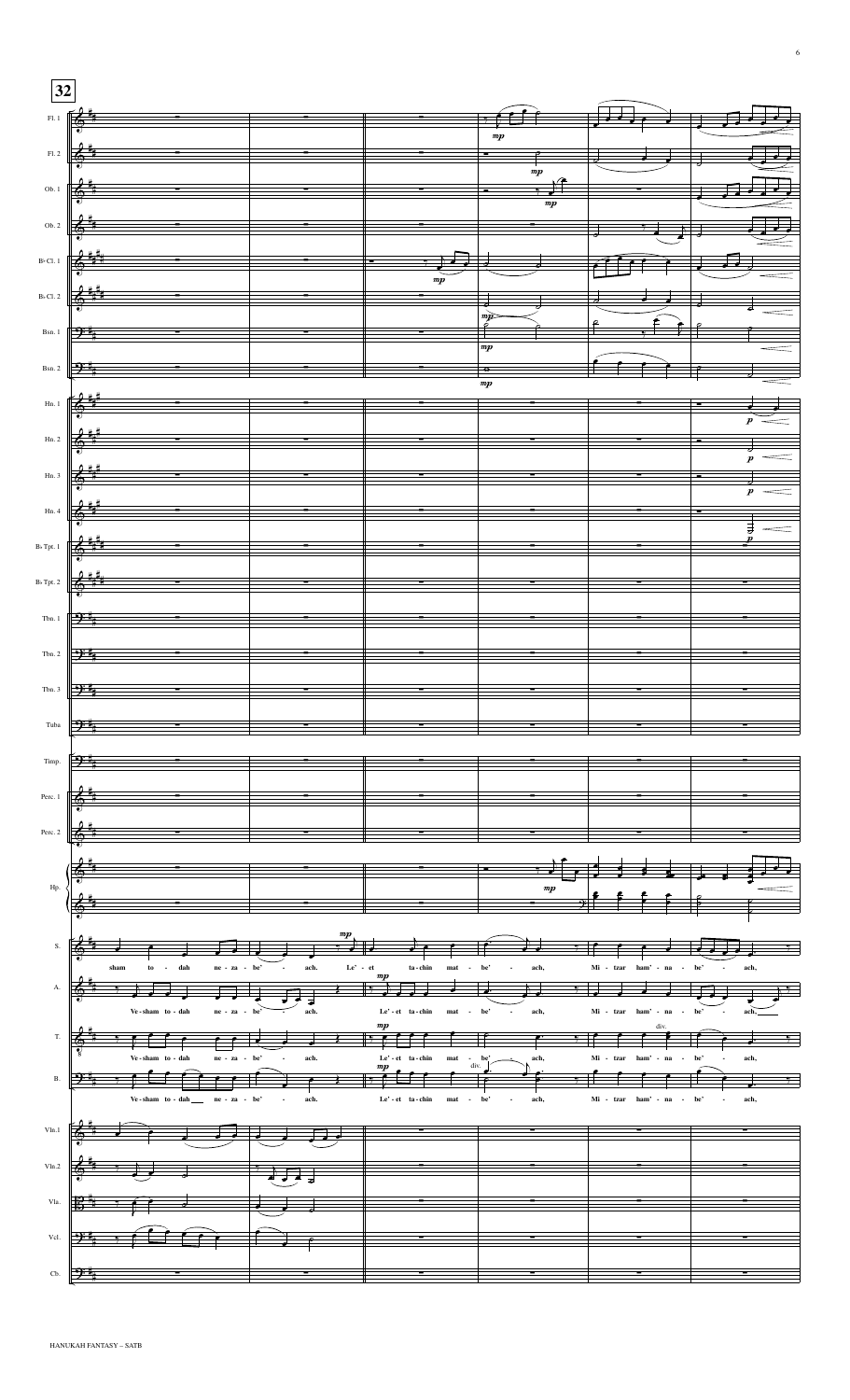| 32                         |                                        |                                           |                  |                                                                                                                                                                                                                                                                                                                                                                                                                                                                                                         |                      |                 |                                        |                                       |                      |                    |
|----------------------------|----------------------------------------|-------------------------------------------|------------------|---------------------------------------------------------------------------------------------------------------------------------------------------------------------------------------------------------------------------------------------------------------------------------------------------------------------------------------------------------------------------------------------------------------------------------------------------------------------------------------------------------|----------------------|-----------------|----------------------------------------|---------------------------------------|----------------------|--------------------|
| FL.1                       |                                        |                                           |                  |                                                                                                                                                                                                                                                                                                                                                                                                                                                                                                         |                      |                 |                                        |                                       |                      |                    |
|                            |                                        |                                           |                  |                                                                                                                                                                                                                                                                                                                                                                                                                                                                                                         | $\mathfrak{m}p$      |                 |                                        |                                       |                      |                    |
| $\mathbb{F} \mathbf{l}.$ 2 |                                        |                                           |                  |                                                                                                                                                                                                                                                                                                                                                                                                                                                                                                         |                      |                 |                                        |                                       |                      |                    |
|                            |                                        |                                           |                  |                                                                                                                                                                                                                                                                                                                                                                                                                                                                                                         |                      | $\it mp$        |                                        |                                       |                      |                    |
| Ob. 1                      |                                        |                                           |                  |                                                                                                                                                                                                                                                                                                                                                                                                                                                                                                         |                      | $\frac{1}{\pi}$ |                                        |                                       |                      |                    |
| Ob. 2                      |                                        |                                           |                  |                                                                                                                                                                                                                                                                                                                                                                                                                                                                                                         |                      |                 |                                        |                                       |                      |                    |
|                            |                                        |                                           |                  |                                                                                                                                                                                                                                                                                                                                                                                                                                                                                                         |                      |                 |                                        |                                       |                      | $\overline{\cdot}$ |
|                            | B > C1.1                               |                                           |                  | $\begin{array}{c c}\n\hline\n\end{array}\n\qquad \qquad \begin{array}{c}\n\hline\n\end{array}\n\qquad \qquad \begin{array}{c}\n\hline\n\end{array}\n\qquad \qquad \begin{array}{c}\n\hline\n\end{array}\n\qquad \qquad \begin{array}{c}\n\hline\n\end{array}\n\qquad \qquad \begin{array}{c}\n\hline\n\end{array}\n\qquad \qquad \begin{array}{c}\n\hline\n\end{array}\n\qquad \qquad \begin{array}{c}\n\hline\n\end{array}\n\qquad \qquad \begin{array}{c}\n\hline\n\end{array}\n\qquad \qquad \begin$ |                      |                 | $\sqrt{1}$<br>$\overline{\phantom{0}}$ |                                       | $\overline{\cdot}$ , |                    |
|                            |                                        |                                           |                  |                                                                                                                                                                                                                                                                                                                                                                                                                                                                                                         |                      |                 |                                        |                                       |                      |                    |
|                            | $B \rightarrow C1.2$                   |                                           |                  |                                                                                                                                                                                                                                                                                                                                                                                                                                                                                                         |                      |                 |                                        |                                       |                      |                    |
|                            |                                        |                                           |                  |                                                                                                                                                                                                                                                                                                                                                                                                                                                                                                         | $\frac{1}{2}$        |                 |                                        |                                       |                      |                    |
| $_{\rm Bsn. \, 1}$         | $\mathbf{P}^+$                         |                                           |                  |                                                                                                                                                                                                                                                                                                                                                                                                                                                                                                         | $\overline{m}p$      |                 |                                        |                                       |                      |                    |
| $_{\rm Bsn. \, 2}$         |                                        |                                           |                  |                                                                                                                                                                                                                                                                                                                                                                                                                                                                                                         | $\overline{\bullet}$ |                 |                                        |                                       |                      |                    |
|                            |                                        |                                           |                  |                                                                                                                                                                                                                                                                                                                                                                                                                                                                                                         | $\overline{mp}$      |                 |                                        |                                       |                      |                    |
| Hn. 1                      | $\frac{24}{9}$                         |                                           |                  |                                                                                                                                                                                                                                                                                                                                                                                                                                                                                                         |                      |                 |                                        |                                       |                      |                    |
|                            |                                        |                                           |                  |                                                                                                                                                                                                                                                                                                                                                                                                                                                                                                         |                      |                 |                                        |                                       |                      |                    |
|                            | $\frac{Hn.2}{100}$                     |                                           |                  |                                                                                                                                                                                                                                                                                                                                                                                                                                                                                                         |                      |                 |                                        |                                       |                      |                    |
|                            |                                        |                                           |                  |                                                                                                                                                                                                                                                                                                                                                                                                                                                                                                         |                      |                 |                                        |                                       |                      | $\boldsymbol{p}$   |
|                            | $\frac{3}{10}$                         |                                           |                  |                                                                                                                                                                                                                                                                                                                                                                                                                                                                                                         |                      |                 |                                        |                                       |                      | $\boldsymbol{p}$   |
|                            | $Hn.4$ $2 \frac{f^2 + f^2}{f^2}$       |                                           |                  |                                                                                                                                                                                                                                                                                                                                                                                                                                                                                                         |                      |                 |                                        |                                       | ÷                    |                    |
|                            |                                        |                                           |                  |                                                                                                                                                                                                                                                                                                                                                                                                                                                                                                         |                      |                 |                                        |                                       |                      | $\equiv$           |
|                            | $B^3$ Tpt. 1                           |                                           |                  |                                                                                                                                                                                                                                                                                                                                                                                                                                                                                                         |                      |                 |                                        |                                       |                      |                    |
|                            |                                        |                                           |                  |                                                                                                                                                                                                                                                                                                                                                                                                                                                                                                         |                      |                 |                                        |                                       |                      |                    |
| B <sub>b</sub> Tpt. 2      | $\frac{2\frac{11}{11}}{2}$             |                                           |                  |                                                                                                                                                                                                                                                                                                                                                                                                                                                                                                         |                      |                 |                                        |                                       |                      |                    |
| Tbn. $1$                   | $\cdot$ $\cdot$                        |                                           |                  |                                                                                                                                                                                                                                                                                                                                                                                                                                                                                                         |                      |                 |                                        |                                       |                      |                    |
|                            |                                        |                                           |                  |                                                                                                                                                                                                                                                                                                                                                                                                                                                                                                         |                      |                 |                                        |                                       |                      |                    |
| $\mbox{Tbn.}~2$            | 9:1                                    |                                           |                  |                                                                                                                                                                                                                                                                                                                                                                                                                                                                                                         |                      |                 |                                        |                                       |                      |                    |
|                            |                                        |                                           |                  |                                                                                                                                                                                                                                                                                                                                                                                                                                                                                                         |                      |                 |                                        |                                       |                      |                    |
| ${\rm Tbn.}$ $3$           | $9^{\circ}$                            |                                           |                  |                                                                                                                                                                                                                                                                                                                                                                                                                                                                                                         |                      |                 |                                        |                                       |                      |                    |
| Tuba                       | - 1                                    |                                           |                  |                                                                                                                                                                                                                                                                                                                                                                                                                                                                                                         |                      |                 |                                        |                                       |                      |                    |
|                            |                                        |                                           |                  |                                                                                                                                                                                                                                                                                                                                                                                                                                                                                                         |                      |                 |                                        |                                       |                      |                    |
| Timp.                      | <u> •): 1</u>                          |                                           |                  |                                                                                                                                                                                                                                                                                                                                                                                                                                                                                                         |                      |                 |                                        |                                       |                      |                    |
|                            |                                        |                                           |                  |                                                                                                                                                                                                                                                                                                                                                                                                                                                                                                         |                      |                 |                                        |                                       |                      |                    |
| Perc. 1                    |                                        |                                           |                  |                                                                                                                                                                                                                                                                                                                                                                                                                                                                                                         |                      |                 |                                        |                                       |                      |                    |
| Perc. 2                    |                                        |                                           |                  |                                                                                                                                                                                                                                                                                                                                                                                                                                                                                                         |                      |                 |                                        |                                       |                      |                    |
|                            |                                        |                                           |                  |                                                                                                                                                                                                                                                                                                                                                                                                                                                                                                         |                      |                 |                                        |                                       |                      |                    |
|                            |                                        |                                           |                  |                                                                                                                                                                                                                                                                                                                                                                                                                                                                                                         |                      |                 |                                        |                                       |                      |                    |
| Hp.                        |                                        |                                           |                  |                                                                                                                                                                                                                                                                                                                                                                                                                                                                                                         |                      | $\mathfrak{m}p$ |                                        |                                       |                      |                    |
|                            |                                        |                                           |                  |                                                                                                                                                                                                                                                                                                                                                                                                                                                                                                         |                      |                 |                                        |                                       |                      |                    |
|                            |                                        |                                           | $_{mp}$          |                                                                                                                                                                                                                                                                                                                                                                                                                                                                                                         |                      |                 |                                        |                                       |                      |                    |
| ${\bf S}.$                 |                                        |                                           |                  |                                                                                                                                                                                                                                                                                                                                                                                                                                                                                                         |                      |                 |                                        |                                       |                      |                    |
|                            | sham<br>to<br>$\overline{\phantom{a}}$ | dah<br>ne - za<br>- be'                   | Le' - et<br>ach. | ta-chin<br>mat<br>$\mathfrak{m}p$                                                                                                                                                                                                                                                                                                                                                                                                                                                                       | be                   | ach,            | Mi - tzar                              | ham' - na<br>$\sim$                   | be'                  | ach,               |
| A.                         |                                        |                                           |                  |                                                                                                                                                                                                                                                                                                                                                                                                                                                                                                         |                      |                 |                                        |                                       |                      |                    |
|                            | Ve-sham to-dah                         | ne - za<br>be                             | ach.             | Le' - et ta - chin<br>$_{\rm mat}$                                                                                                                                                                                                                                                                                                                                                                                                                                                                      | - be'<br>×           | ach,            | Mi - tzar ham' - na                    | $\sim$                                | be'                  | ach,               |
| T.                         |                                        |                                           |                  | $\mathfrak{m}p$                                                                                                                                                                                                                                                                                                                                                                                                                                                                                         |                      |                 |                                        | div.                                  |                      |                    |
|                            | Ve-sham to-dah                         | ne - za<br>- be'                          | ach.             | Le' - et ta - chin<br>$_{\rm mat}$<br>$\cdot$<br>div.                                                                                                                                                                                                                                                                                                                                                                                                                                                   | be                   | ach,            | Mi - tzar                              | ham' - na<br>$\overline{\phantom{a}}$ | be'                  | ach,               |
| $\, {\bf B} . \,$          |                                        |                                           |                  | mp                                                                                                                                                                                                                                                                                                                                                                                                                                                                                                      |                      |                 |                                        |                                       |                      |                    |
|                            | Ve-sham to - dah _____                 | ne - za<br>be<br>$\overline{\phantom{a}}$ | ach.             | Le' - et ta - chin<br>$_{\rm mat}$<br>$\sim$                                                                                                                                                                                                                                                                                                                                                                                                                                                            | be'                  | ach,            | Mi - tzar                              | ham' - na<br>$\sim$                   | be                   | ach,               |
|                            |                                        |                                           |                  |                                                                                                                                                                                                                                                                                                                                                                                                                                                                                                         |                      |                 |                                        |                                       |                      |                    |
| $_{\rm VIn.I}$             |                                        |                                           |                  |                                                                                                                                                                                                                                                                                                                                                                                                                                                                                                         |                      |                 |                                        |                                       |                      |                    |
| $_{\rm Vln.2}$             |                                        |                                           |                  |                                                                                                                                                                                                                                                                                                                                                                                                                                                                                                         |                      |                 |                                        |                                       |                      |                    |
|                            |                                        |                                           |                  |                                                                                                                                                                                                                                                                                                                                                                                                                                                                                                         |                      |                 |                                        |                                       |                      |                    |
| Vla.                       |                                        |                                           |                  |                                                                                                                                                                                                                                                                                                                                                                                                                                                                                                         |                      |                 |                                        |                                       |                      |                    |
|                            |                                        |                                           |                  |                                                                                                                                                                                                                                                                                                                                                                                                                                                                                                         |                      |                 |                                        |                                       |                      |                    |
| Vcl.                       |                                        |                                           |                  |                                                                                                                                                                                                                                                                                                                                                                                                                                                                                                         |                      |                 |                                        |                                       |                      |                    |
| Cb.                        | <u>•). դր</u>                          |                                           |                  |                                                                                                                                                                                                                                                                                                                                                                                                                                                                                                         |                      |                 |                                        |                                       |                      |                    |
|                            |                                        |                                           |                  |                                                                                                                                                                                                                                                                                                                                                                                                                                                                                                         |                      |                 |                                        |                                       |                      |                    |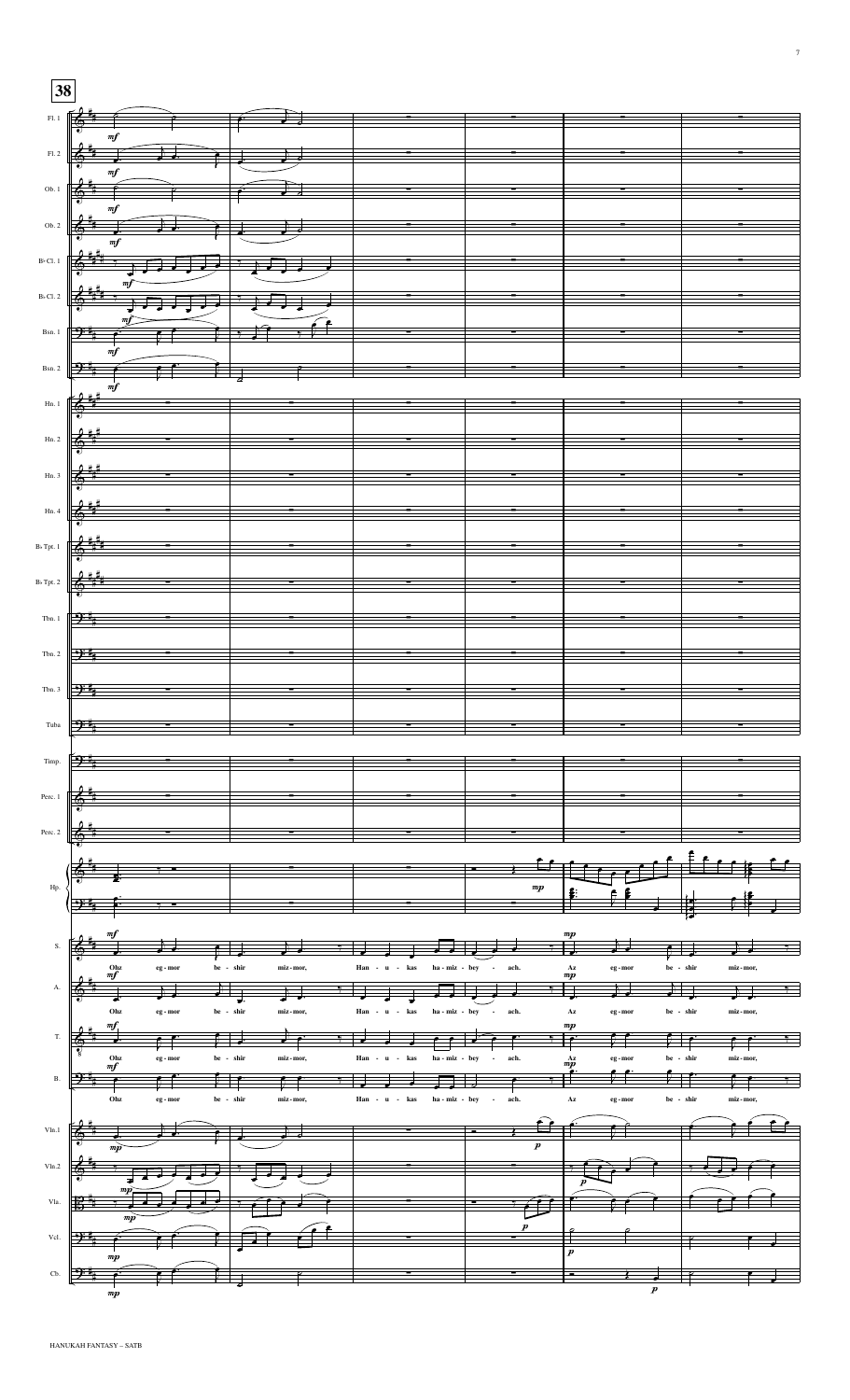| 38                         |                                                   |                      |                                                                                                                                                                                                                                                                                                                                                                                                                                                                                                                                     |                                          |                          |                                        |                       |
|----------------------------|---------------------------------------------------|----------------------|-------------------------------------------------------------------------------------------------------------------------------------------------------------------------------------------------------------------------------------------------------------------------------------------------------------------------------------------------------------------------------------------------------------------------------------------------------------------------------------------------------------------------------------|------------------------------------------|--------------------------|----------------------------------------|-----------------------|
|                            | F1.1                                              | $\overrightarrow{ }$ | $\blacktriangleright$ ,                                                                                                                                                                                                                                                                                                                                                                                                                                                                                                             |                                          |                          |                                        |                       |
|                            | $F1.2$ $\frac{24}{9}$                             | $\rightarrow$ .      | $\begin{array}{c} \hline \end{array}$                                                                                                                                                                                                                                                                                                                                                                                                                                                                                               |                                          |                          |                                        |                       |
|                            | m f                                               |                      |                                                                                                                                                                                                                                                                                                                                                                                                                                                                                                                                     |                                          |                          |                                        |                       |
| Ob. 1                      | $\frac{2\pi}{3}$                                  |                      | $\rightarrow$ $\rightarrow$ $\rightarrow$                                                                                                                                                                                                                                                                                                                                                                                                                                                                                           |                                          |                          |                                        |                       |
| Ob. 2                      |                                                   |                      | $\frac{2}{\sqrt{1-\frac{m^2}{c^2}}}$                                                                                                                                                                                                                                                                                                                                                                                                                                                                                                |                                          | $\overline{\phantom{0}}$ |                                        |                       |
| $\mathbf{B}^{\flat}$ Cl. 1 |                                                   |                      | $\frac{2}{9}$                                                                                                                                                                                                                                                                                                                                                                                                                                                                                                                       |                                          |                          |                                        |                       |
|                            |                                                   |                      |                                                                                                                                                                                                                                                                                                                                                                                                                                                                                                                                     |                                          |                          |                                        |                       |
| $\mathbf{B} \flat$ Cl. 2   |                                                   |                      | $\frac{1}{6}$                                                                                                                                                                                                                                                                                                                                                                                                                                                                                                                       |                                          |                          |                                        |                       |
| $_{\rm Bsn. \ 1}$          |                                                   |                      | $\frac{m\ddot{f}}{m\dot{f}}$                                                                                                                                                                                                                                                                                                                                                                                                                                                                                                        |                                          |                          |                                        |                       |
|                            |                                                   |                      |                                                                                                                                                                                                                                                                                                                                                                                                                                                                                                                                     | Ξ                                        |                          |                                        |                       |
|                            |                                                   |                      | $Bsn.2$ $\frac{1}{2}$ $\frac{1}{2}$ $\frac{1}{2}$ $\frac{1}{2}$ $\frac{1}{2}$ $\frac{1}{2}$ $\frac{1}{2}$ $\frac{1}{2}$ $\frac{1}{2}$ $\frac{1}{2}$ $\frac{1}{2}$ $\frac{1}{2}$ $\frac{1}{2}$ $\frac{1}{2}$ $\frac{1}{2}$ $\frac{1}{2}$ $\frac{1}{2}$ $\frac{1}{2}$ $\frac{1}{2}$ $\frac{1}{2}$ $\frac{1}{2}$ $\frac{$                                                                                                                                                                                                              |                                          |                          |                                        |                       |
|                            |                                                   |                      | $H_{n,1}$ $\left[\begin{array}{c c} \begin{array}{c} \begin{array}{c} \begin{array}{c} \begin{array}{c} \end{array} & \begin{array}{c} \begin{array}{c} \end{array} & \begin{array}{c} \end{array} & \begin{array}{c} \end{array} & \begin{array}{c} \end{array} & \begin{array}{c} \end{array} & \begin{array}{c} \end{array} & \begin{array}{c} \end{array} & \begin{array}{c} \end{array} & \begin{array}{c} \end{array} & \begin{array}{c} \end{array} & \begin{array}{c} \end{array} & \begin{array}{c} \end{array} & \begin{$ |                                          |                          |                                        |                       |
| Hn. 2                      |                                                   |                      | $\frac{2}{3}$                                                                                                                                                                                                                                                                                                                                                                                                                                                                                                                       |                                          |                          |                                        |                       |
| Hn.3                       |                                                   | $\frac{2\pi i}{3}$   |                                                                                                                                                                                                                                                                                                                                                                                                                                                                                                                                     |                                          |                          |                                        |                       |
|                            |                                                   |                      |                                                                                                                                                                                                                                                                                                                                                                                                                                                                                                                                     |                                          |                          |                                        |                       |
| Hn.4                       |                                                   | $8 +$                |                                                                                                                                                                                                                                                                                                                                                                                                                                                                                                                                     |                                          |                          |                                        |                       |
| $\rm B\textup{+}Tpt.$ l    |                                                   | $\frac{2+1}{2}$      | ÷                                                                                                                                                                                                                                                                                                                                                                                                                                                                                                                                   |                                          |                          |                                        |                       |
| B, Tpt. 2                  | $\frac{2+1}{2}$                                   | $\blacksquare$       | Ξ                                                                                                                                                                                                                                                                                                                                                                                                                                                                                                                                   |                                          |                          |                                        |                       |
|                            |                                                   |                      |                                                                                                                                                                                                                                                                                                                                                                                                                                                                                                                                     |                                          |                          |                                        |                       |
| Tbn. $l$                   | $9 -$                                             |                      |                                                                                                                                                                                                                                                                                                                                                                                                                                                                                                                                     |                                          |                          |                                        |                       |
| Tbn. $2$                   | 9:4                                               |                      |                                                                                                                                                                                                                                                                                                                                                                                                                                                                                                                                     |                                          |                          |                                        |                       |
| Tbn. $3\,$                 | 9:5                                               |                      |                                                                                                                                                                                                                                                                                                                                                                                                                                                                                                                                     |                                          |                          |                                        |                       |
| Tuba                       |                                                   |                      |                                                                                                                                                                                                                                                                                                                                                                                                                                                                                                                                     |                                          |                          |                                        |                       |
|                            |                                                   |                      |                                                                                                                                                                                                                                                                                                                                                                                                                                                                                                                                     |                                          |                          |                                        |                       |
| Timp.                      |                                                   |                      |                                                                                                                                                                                                                                                                                                                                                                                                                                                                                                                                     |                                          |                          |                                        |                       |
| Perc. 1                    |                                                   |                      |                                                                                                                                                                                                                                                                                                                                                                                                                                                                                                                                     |                                          |                          |                                        |                       |
| Perc. 2                    |                                                   |                      |                                                                                                                                                                                                                                                                                                                                                                                                                                                                                                                                     |                                          |                          |                                        |                       |
|                            |                                                   |                      |                                                                                                                                                                                                                                                                                                                                                                                                                                                                                                                                     |                                          |                          |                                        |                       |
| Hp.                        |                                                   |                      |                                                                                                                                                                                                                                                                                                                                                                                                                                                                                                                                     |                                          | тp                       |                                        |                       |
|                            |                                                   |                      |                                                                                                                                                                                                                                                                                                                                                                                                                                                                                                                                     |                                          |                          |                                        |                       |
| ${\bf S}.$                 |                                                   |                      |                                                                                                                                                                                                                                                                                                                                                                                                                                                                                                                                     |                                          |                          | $_{\it mp}$                            |                       |
|                            | Ohz                                               | eg - mor             | be - shir<br>miz-mor,                                                                                                                                                                                                                                                                                                                                                                                                                                                                                                               | Han - u - kas<br>ha - miz - bey          | ach.<br>$\sim$           | Az<br>eg - mor                         | be - shir<br>miz-mor, |
| А.                         | $m\bm{f}$                                         |                      |                                                                                                                                                                                                                                                                                                                                                                                                                                                                                                                                     |                                          |                          | $\mathfrak{m}p$                        |                       |
|                            | Ohz                                               | eg - mor             | be - shir<br>miz-mor,                                                                                                                                                                                                                                                                                                                                                                                                                                                                                                               | Han -<br>ha - miz - bey<br>u - kas       | ach.                     | Az<br>eg - mor<br>$\mathfrak{m}p$      | miz-mor,<br>be - shir |
| T.                         |                                                   |                      |                                                                                                                                                                                                                                                                                                                                                                                                                                                                                                                                     |                                          |                          |                                        |                       |
| В.                         | Ohz $\stackrel{\text{Ohz}}{m\textbf{\textit{f}}}$ | eg - mor             | be - shir<br>miz-mor,                                                                                                                                                                                                                                                                                                                                                                                                                                                                                                               | Han<br>ha-miz - bey<br>u - kas<br>$\sim$ | ach.                     | $m_{\bm{p}}^{\mathrm{Az}}$<br>eg - mor | be - shir<br>miz-mor, |
|                            | Ohz                                               | eg - mor             | be - shir<br>miz-mor,                                                                                                                                                                                                                                                                                                                                                                                                                                                                                                               | Han -<br>ha-miz - bey<br>u - kas         | ach.                     | Az<br>eg-mor                           | be - shir<br>miz-mor, |
| Vln.1                      |                                                   |                      |                                                                                                                                                                                                                                                                                                                                                                                                                                                                                                                                     |                                          |                          |                                        |                       |
|                            | $m\tilde{p}$                                      |                      |                                                                                                                                                                                                                                                                                                                                                                                                                                                                                                                                     |                                          | $\boldsymbol{p}$         |                                        |                       |
| Vln.2                      |                                                   |                      |                                                                                                                                                                                                                                                                                                                                                                                                                                                                                                                                     |                                          |                          |                                        |                       |
| Vla.                       |                                                   | mp                   |                                                                                                                                                                                                                                                                                                                                                                                                                                                                                                                                     |                                          |                          |                                        |                       |
| Vcl.                       |                                                   |                      |                                                                                                                                                                                                                                                                                                                                                                                                                                                                                                                                     |                                          |                          |                                        |                       |
|                            | $_{mp}$                                           |                      |                                                                                                                                                                                                                                                                                                                                                                                                                                                                                                                                     |                                          |                          | p                                      |                       |
| Cb.                        | $\mathfrak{m}p$                                   |                      |                                                                                                                                                                                                                                                                                                                                                                                                                                                                                                                                     |                                          |                          | $\boldsymbol{p}$                       |                       |

 $\overline{7}$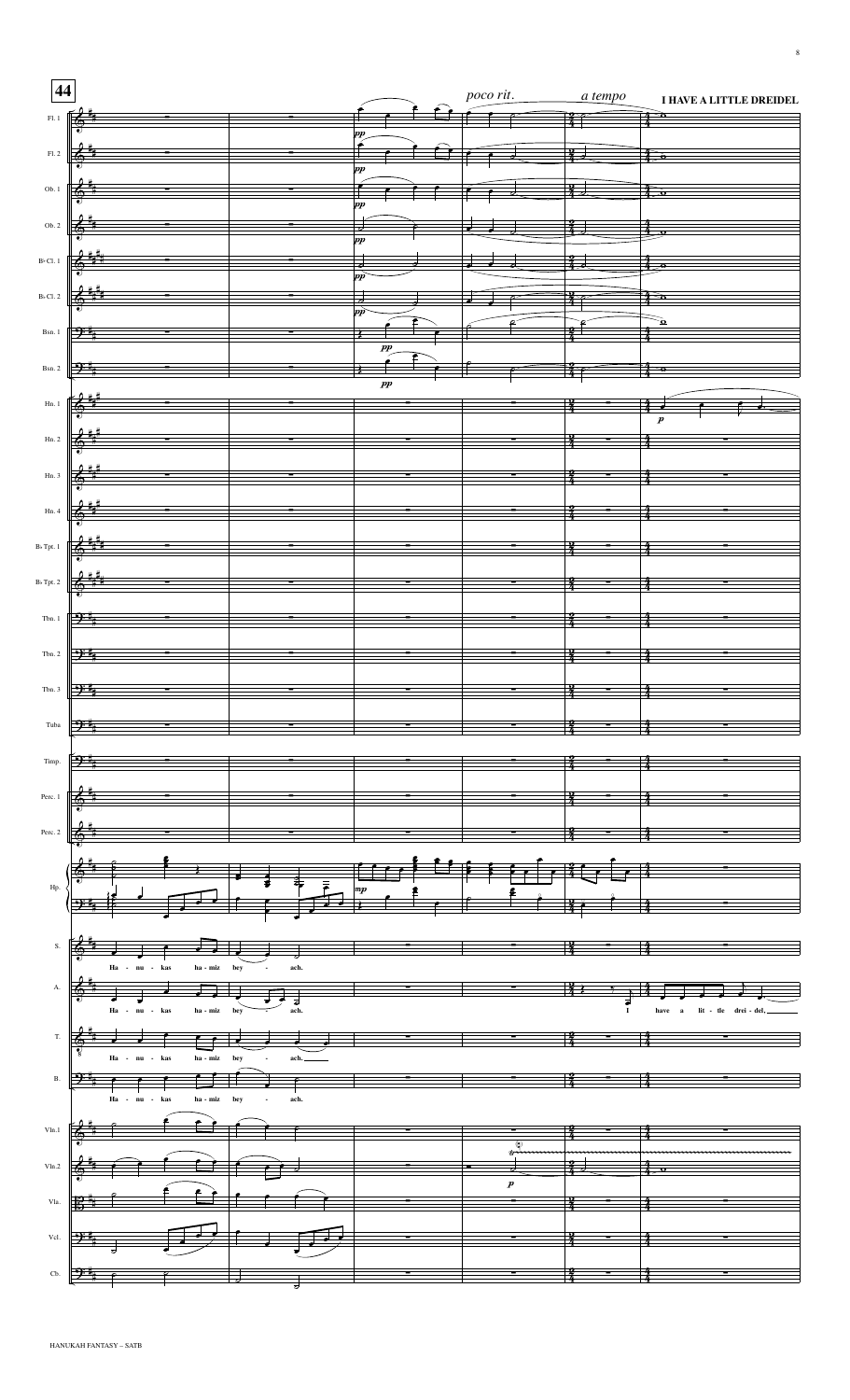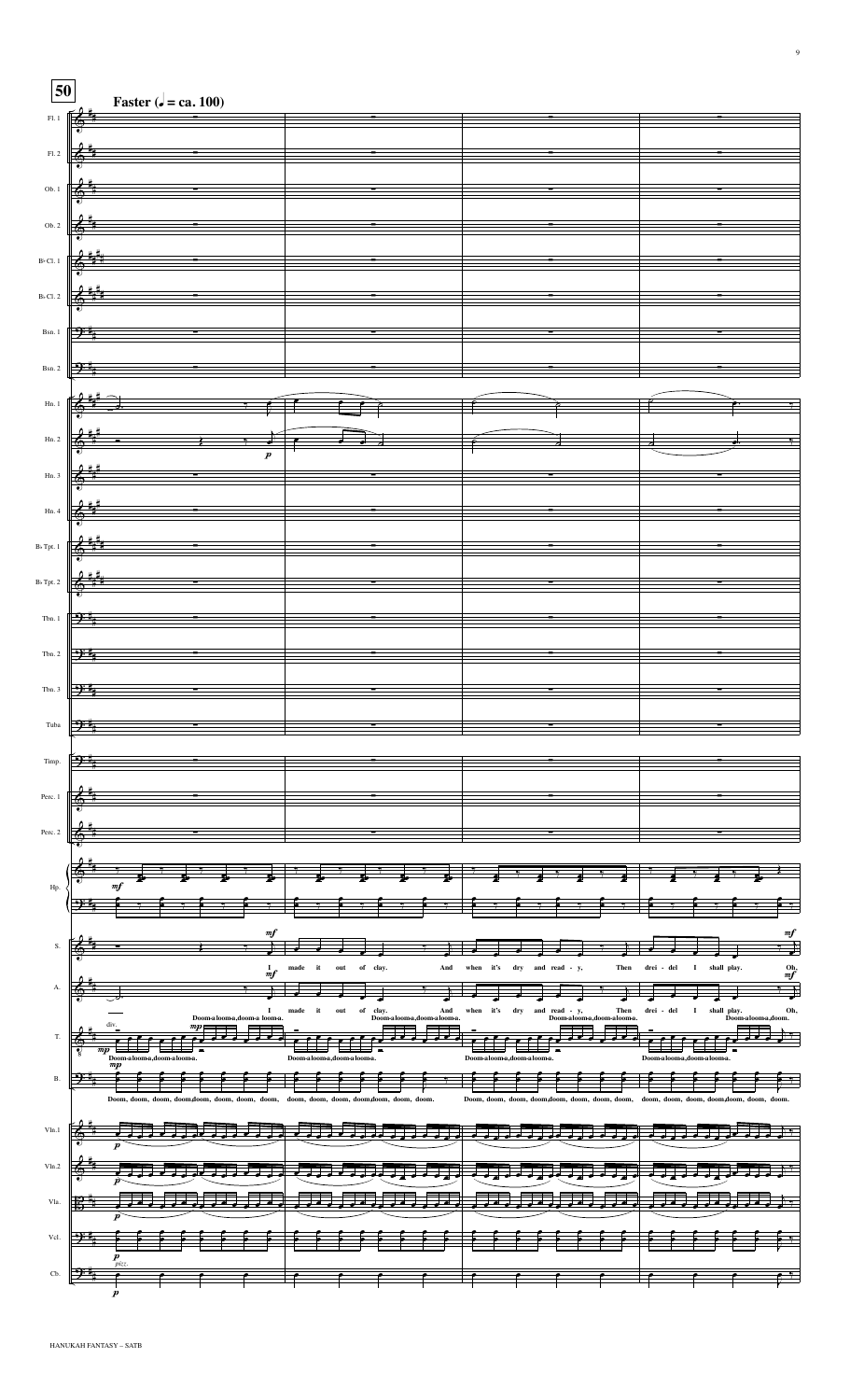| ${\bf 50}$                  | Faster ( $\dot{=}$ = ca. 100)                                   |                                                                                           |                                                                                           |                                                                     |
|-----------------------------|-----------------------------------------------------------------|-------------------------------------------------------------------------------------------|-------------------------------------------------------------------------------------------|---------------------------------------------------------------------|
| $\rm{Fl.}$ $1$              |                                                                 |                                                                                           |                                                                                           |                                                                     |
| $\mathbb{F}l.$ 2            |                                                                 |                                                                                           |                                                                                           |                                                                     |
| Ob. 1                       |                                                                 |                                                                                           |                                                                                           |                                                                     |
|                             |                                                                 |                                                                                           |                                                                                           |                                                                     |
| Ob. 2                       |                                                                 |                                                                                           |                                                                                           |                                                                     |
| $B \triangleright C1.1$     |                                                                 |                                                                                           |                                                                                           |                                                                     |
| $\mathrm{B}\!\!\flat$ Cl. 2 |                                                                 |                                                                                           |                                                                                           |                                                                     |
| Bsn.1                       | •)∺⊪                                                            |                                                                                           |                                                                                           |                                                                     |
| $_{\rm Bsn. \, 2}$          |                                                                 |                                                                                           |                                                                                           |                                                                     |
|                             |                                                                 |                                                                                           |                                                                                           |                                                                     |
| Hn.1                        |                                                                 |                                                                                           |                                                                                           |                                                                     |
| Hn.2                        | $\boldsymbol{p}$                                                | ر ش                                                                                       |                                                                                           | đ.                                                                  |
| Hn.3                        |                                                                 |                                                                                           |                                                                                           |                                                                     |
| Hn.4                        |                                                                 |                                                                                           |                                                                                           |                                                                     |
| $B \triangleright$ Tpt. 1   |                                                                 |                                                                                           |                                                                                           |                                                                     |
| $B\overline{b}$ Tpt. 2      |                                                                 |                                                                                           |                                                                                           |                                                                     |
|                             |                                                                 |                                                                                           |                                                                                           |                                                                     |
| Tbn.1                       | 9∺⊫                                                             |                                                                                           |                                                                                           |                                                                     |
| Tbn.2                       | 94                                                              |                                                                                           |                                                                                           |                                                                     |
| Tbn. $3$                    | $\mathbf{P}$                                                    |                                                                                           |                                                                                           |                                                                     |
| Tuba                        | $\cdot$ .                                                       |                                                                                           |                                                                                           |                                                                     |
| Timp.                       | •): 1,                                                          |                                                                                           |                                                                                           |                                                                     |
| Perc. 1                     |                                                                 |                                                                                           |                                                                                           |                                                                     |
| Perc. $2\,$                 |                                                                 |                                                                                           |                                                                                           |                                                                     |
|                             | ω,                                                              |                                                                                           |                                                                                           |                                                                     |
| Hp.                         | m f                                                             |                                                                                           |                                                                                           |                                                                     |
|                             | $\rightarrow$                                                   |                                                                                           |                                                                                           |                                                                     |
| ${\bf S}.$                  |                                                                 | тf                                                                                        |                                                                                           | mf<br>$\rightarrow$                                                 |
| <b>A.</b>                   |                                                                 | $_{\mathrm{of}}$<br>clay.<br>$\stackrel{\rm I}{\mathit{mf}}$<br>made<br>it<br>out<br>And  | Then<br>when<br>it's<br>dry<br>and read - y,                                              | $\stackrel{\text{Oh,}}{^m}$<br>drei - del<br>shall play.<br>-1<br>Ì |
|                             | Doom-aloom-a,doom-a loom-a.                                     | $\bf I$<br>of<br>made<br>it<br>clay. And<br>Doom-aloom-a,doom-aloom-a.<br>out             | Then<br>when it's<br>dry<br>and read - y, Then<br>Doom-aloom-a,doom-aloom-a.              | Oh,<br>drei - del<br>shall play. Ol<br>Doom-aloom-a,doom.<br>1      |
| T.                          | div.<br>$mp_1$<br>팋<br>mp                                       | $\overline{\phantom{a}}$                                                                  | ∙                                                                                         | $\gamma$                                                            |
| $\, {\bf B} . \,$           | Doom-aloom-a,doom-aloom-a. $\ensuremath{\mathit{mp}}$<br>•): 1. | Doom-aloom-a,doom-aloom-a.                                                                | Doom-aloom-a,doom-aloom-a.                                                                | Doom-a loom-a,doom-a loom-a.                                        |
|                             |                                                                 | Doom, doom, doom, doom, doom, doom, doom, doom, doom, doom, doom, doom, doom, doom, doom. | Doom, doom, doom, doom, doom, doom, doom, doom, doom, doom, doom, doom, doom, doom, doom. |                                                                     |
| Vln.1                       | ∙<br>$\boldsymbol{p}$                                           |                                                                                           |                                                                                           | $\mathcal{L}$                                                       |
| $_{\rm Vln.2}$              | G<br>٠                                                          |                                                                                           |                                                                                           | $\mathcal{N}$                                                       |
| Vla.                        |                                                                 | ᆗ<br>۰                                                                                    |                                                                                           | <u>ि १</u>                                                          |
| Vcl.                        | $\boldsymbol{p}$<br>$\cdot$ $\cdot$ $\cdot$                     |                                                                                           |                                                                                           |                                                                     |
|                             | $\boldsymbol{p}$<br>pizz                                        |                                                                                           |                                                                                           |                                                                     |
| Cb.                         | $\boldsymbol{p}$                                                |                                                                                           |                                                                                           | $5^{\frac{1}{7}}$                                                   |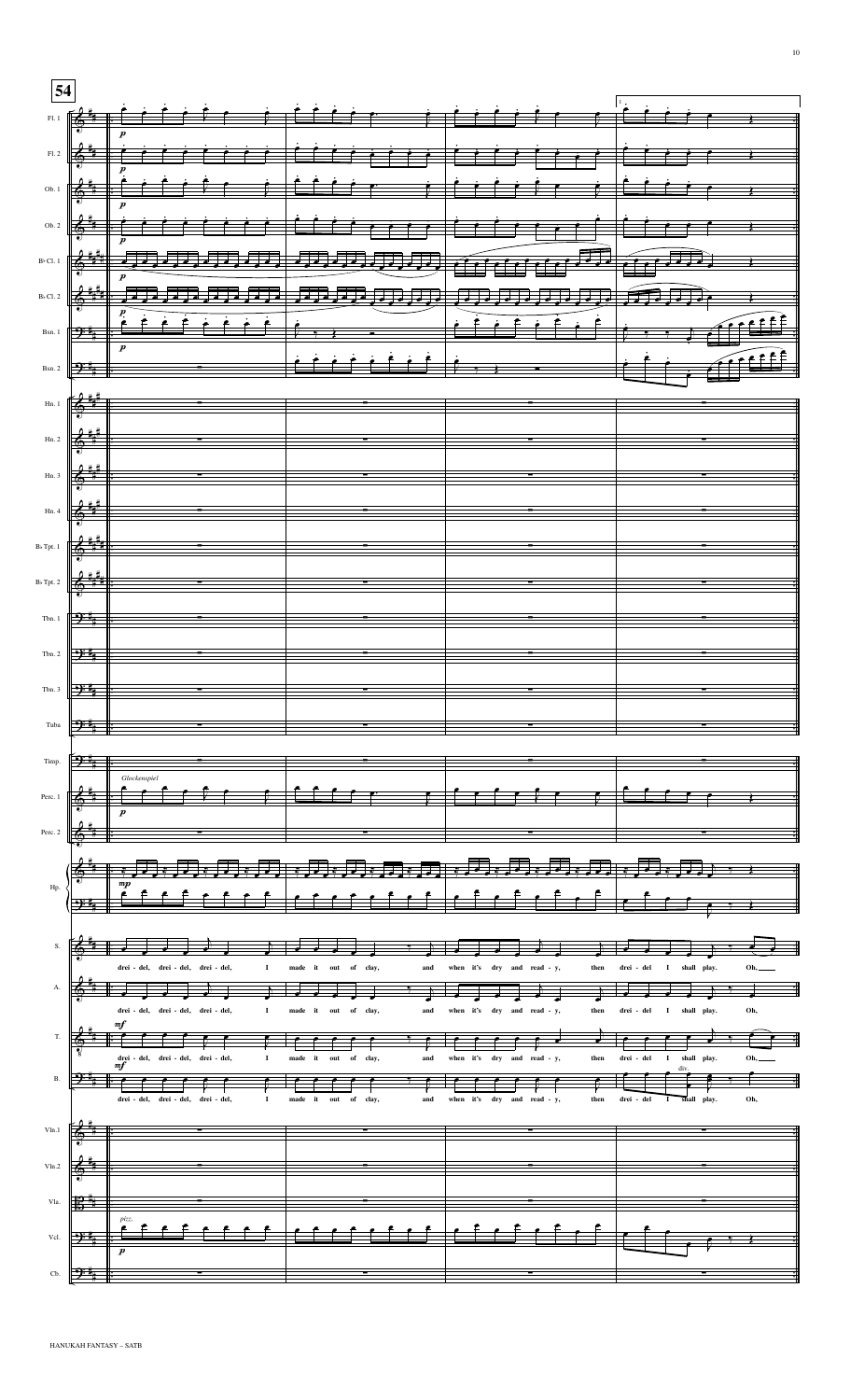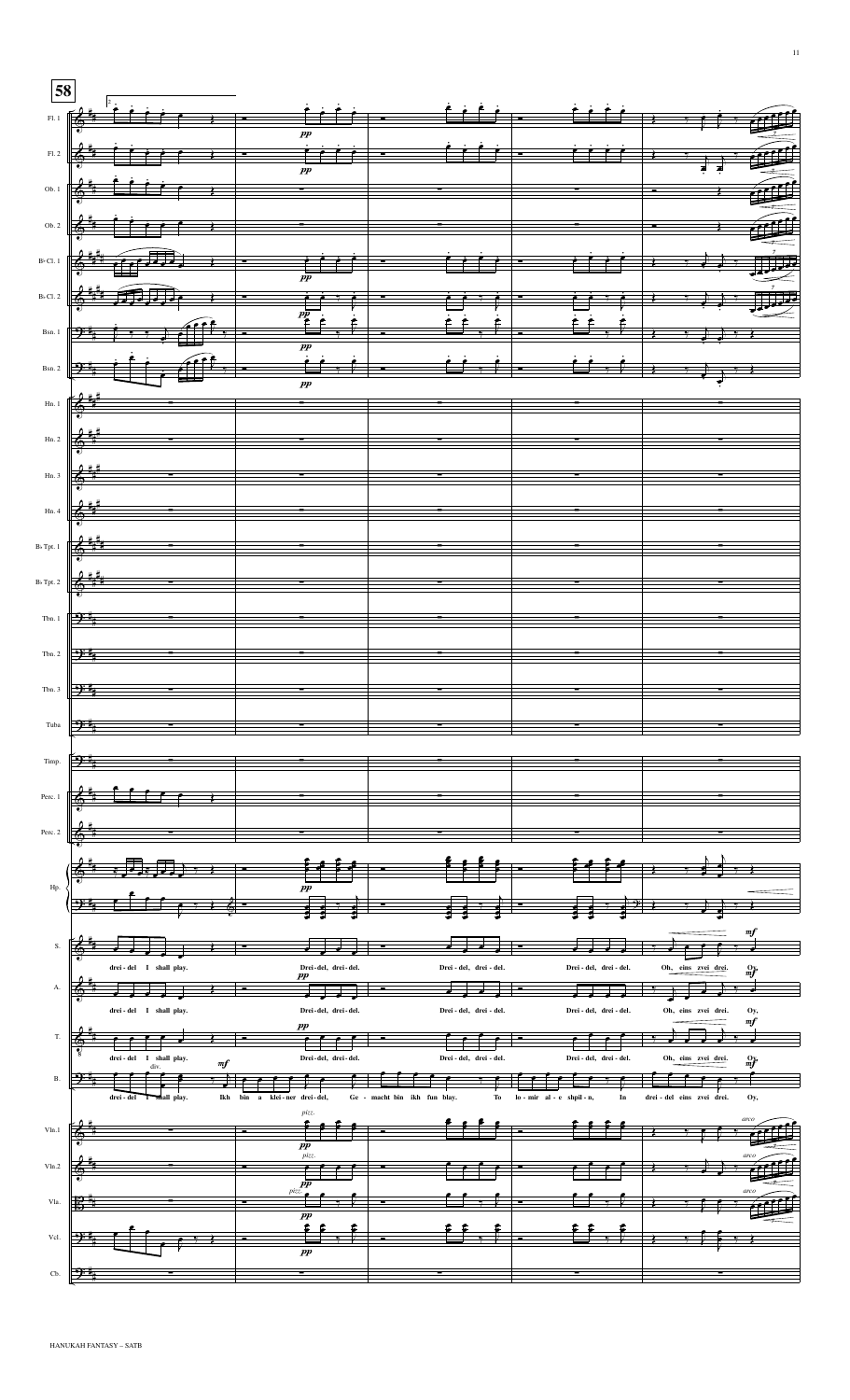| 58                            |                                                                                                                                                                                |                                      |                                    |                                  |                                                                                               |
|-------------------------------|--------------------------------------------------------------------------------------------------------------------------------------------------------------------------------|--------------------------------------|------------------------------------|----------------------------------|-----------------------------------------------------------------------------------------------|
|                               |                                                                                                                                                                                |                                      |                                    |                                  |                                                                                               |
|                               | $F1.1$ $\left[\begin{array}{ccc} 2 & 1 \\ 1 & 1 \end{array}\right]$                                                                                                            |                                      |                                    |                                  |                                                                                               |
|                               |                                                                                                                                                                                | $\boldsymbol{pp}$                    |                                    |                                  |                                                                                               |
| $\mathop{\rm Fl.}\nolimits 2$ | $\frac{1}{6}$                                                                                                                                                                  | $\overline{pp}$                      |                                    |                                  |                                                                                               |
|                               |                                                                                                                                                                                |                                      |                                    |                                  |                                                                                               |
| Ob. 1                         | $\frac{24}{9}$                                                                                                                                                                 |                                      |                                    |                                  |                                                                                               |
|                               |                                                                                                                                                                                |                                      |                                    |                                  |                                                                                               |
|                               | $06.2$ $\sqrt{\frac{2}{9}}$                                                                                                                                                    |                                      |                                    |                                  | ÉΠ                                                                                            |
|                               |                                                                                                                                                                                |                                      |                                    |                                  |                                                                                               |
|                               | B > C1.1                                                                                                                                                                       | $\frac{1}{pp}$                       |                                    |                                  |                                                                                               |
|                               |                                                                                                                                                                                |                                      |                                    |                                  |                                                                                               |
|                               | $B \setminus C1.2$                                                                                                                                                             |                                      |                                    |                                  |                                                                                               |
|                               |                                                                                                                                                                                |                                      |                                    |                                  |                                                                                               |
| $_{\rm Bsn. \, 1}$            | $ff1, \pm$<br>$\mathbb{P}^1$                                                                                                                                                   |                                      |                                    |                                  |                                                                                               |
|                               |                                                                                                                                                                                | $\overline{pp}$                      |                                    |                                  |                                                                                               |
|                               | $\left  \cdot \right $<br>Bsn. 2 $\frac{1}{2}$                                                                                                                                 |                                      |                                    |                                  |                                                                                               |
|                               |                                                                                                                                                                                | pp                                   |                                    |                                  |                                                                                               |
|                               | $Hn.1$ $\frac{24}{3}$                                                                                                                                                          |                                      |                                    |                                  |                                                                                               |
|                               |                                                                                                                                                                                |                                      |                                    |                                  |                                                                                               |
|                               | $Hn.2$ $\left  \bigotimes \frac{1}{2} \right $                                                                                                                                 |                                      |                                    |                                  |                                                                                               |
|                               |                                                                                                                                                                                |                                      |                                    |                                  |                                                                                               |
|                               | Hn.3                                                                                                                                                                           |                                      |                                    |                                  |                                                                                               |
|                               |                                                                                                                                                                                |                                      |                                    |                                  |                                                                                               |
|                               | $Hn.4$ $\left  \frac{2}{9} \frac{11}{10} \right $                                                                                                                              |                                      |                                    |                                  |                                                                                               |
|                               |                                                                                                                                                                                |                                      |                                    |                                  |                                                                                               |
|                               | $B \rightarrow T_{\text{pt.}}$ $\left\  \left\{ \left\{ \left  \left\{ \left  \left  \right. \right. \right. \right. \right\} \right\} ^{\frac{p}{p}} \right\} ^{\frac{p}{p}}$ |                                      |                                    |                                  |                                                                                               |
|                               |                                                                                                                                                                                |                                      |                                    |                                  |                                                                                               |
|                               |                                                                                                                                                                                |                                      |                                    |                                  |                                                                                               |
|                               | $B+Tpt.2$                                                                                                                                                                      |                                      |                                    |                                  |                                                                                               |
| T <sub>bn. 1</sub>            | 9:1                                                                                                                                                                            |                                      |                                    |                                  |                                                                                               |
|                               |                                                                                                                                                                                |                                      |                                    |                                  |                                                                                               |
|                               |                                                                                                                                                                                |                                      |                                    |                                  |                                                                                               |
| Tbn. $2$                      | $9 -$                                                                                                                                                                          |                                      |                                    |                                  |                                                                                               |
|                               |                                                                                                                                                                                |                                      |                                    |                                  |                                                                                               |
| Tbn. 3                        | $9 -$                                                                                                                                                                          |                                      |                                    |                                  |                                                                                               |
|                               |                                                                                                                                                                                |                                      |                                    |                                  |                                                                                               |
| Tuba                          |                                                                                                                                                                                |                                      |                                    |                                  |                                                                                               |
|                               |                                                                                                                                                                                |                                      |                                    |                                  |                                                                                               |
| Timp.                         | :י                                                                                                                                                                             |                                      |                                    |                                  |                                                                                               |
|                               |                                                                                                                                                                                |                                      |                                    |                                  |                                                                                               |
| Perc. 1                       |                                                                                                                                                                                |                                      |                                    |                                  |                                                                                               |
|                               |                                                                                                                                                                                |                                      |                                    |                                  |                                                                                               |
| Perc. $2$                     |                                                                                                                                                                                |                                      |                                    |                                  |                                                                                               |
|                               |                                                                                                                                                                                |                                      |                                    |                                  |                                                                                               |
|                               |                                                                                                                                                                                |                                      |                                    |                                  |                                                                                               |
| Hp.                           |                                                                                                                                                                                | $\boldsymbol{pp}$                    |                                    |                                  |                                                                                               |
|                               |                                                                                                                                                                                |                                      |                                    |                                  |                                                                                               |
|                               |                                                                                                                                                                                |                                      |                                    |                                  | mf                                                                                            |
| ${\bf S}.$                    |                                                                                                                                                                                |                                      |                                    |                                  |                                                                                               |
|                               | drei-del I shall play.                                                                                                                                                         | Drei-del, drei-del.                  | Drei - del, drei - del.            | Drei - del, drei - del.          | Oh, eins zvei drei.                                                                           |
| ${\bf A}.$                    |                                                                                                                                                                                | pp                                   |                                    |                                  | $\stackrel{\text{Oy}}{m}$                                                                     |
|                               |                                                                                                                                                                                |                                      |                                    |                                  |                                                                                               |
|                               | drei-del I shall play.                                                                                                                                                         | Drei-del, drei-del.                  | Drei - del, drei - del.            | Drei - del, drei - del.          | Oh, eins zvei drei.<br>Oy,<br>$\it mf$                                                        |
| T.                            |                                                                                                                                                                                | $\boldsymbol{pp}$                    |                                    |                                  |                                                                                               |
|                               | ٩<br>$\label{eq:4} \textbf{d} \textbf{r} \textbf{e} \textbf{i} \textbf{ } \cdot \textbf{d} \textbf{e} \textbf{l} \hspace{5mm} \textbf{I} \hspace{5mm} \textbf{shall play.}$    | Drei-del, drei-del.                  | Drei - del, drei - del.            | Drei - del, drei - del.          |                                                                                               |
|                               | m f<br>div.                                                                                                                                                                    |                                      |                                    |                                  | Oh, eins zvei drei.<br>$\stackrel{\textstyle\mathrm{O}}{m}\stackrel{\textstyle\mathrm{O}}{f}$ |
| $\, {\bf B}$ .                |                                                                                                                                                                                |                                      |                                    |                                  |                                                                                               |
|                               | shall play.<br>drei - del<br>-17                                                                                                                                               | Ikh bin a klei-ner drei-del,         | Ge - macht bin ikh fun blay.<br>To | lo - mir al - e shpil - n,<br>In | drei - del eins zvei drei.<br>Oy,                                                             |
|                               |                                                                                                                                                                                | pizz.<br>٤                           |                                    |                                  | arco                                                                                          |
| $_{\rm Vln.l}$                |                                                                                                                                                                                | $p\overline{p}$                      |                                    |                                  |                                                                                               |
|                               |                                                                                                                                                                                | pizz.                                |                                    |                                  | arco                                                                                          |
| $_{\rm Vln.2}$                |                                                                                                                                                                                |                                      |                                    |                                  |                                                                                               |
|                               |                                                                                                                                                                                | $\frac{p}{p}$                        |                                    |                                  | arco                                                                                          |
| Vla                           |                                                                                                                                                                                | Ξ                                    |                                    |                                  |                                                                                               |
|                               |                                                                                                                                                                                | $\boldsymbol{pp}$                    |                                    |                                  |                                                                                               |
| Vcl.                          |                                                                                                                                                                                |                                      |                                    |                                  |                                                                                               |
|                               |                                                                                                                                                                                | $p\hspace{-0.5mm}/\hspace{0.15mm} p$ |                                    |                                  |                                                                                               |
| Cb.                           |                                                                                                                                                                                |                                      |                                    |                                  |                                                                                               |
|                               |                                                                                                                                                                                |                                      |                                    |                                  |                                                                                               |

 $\overline{a}$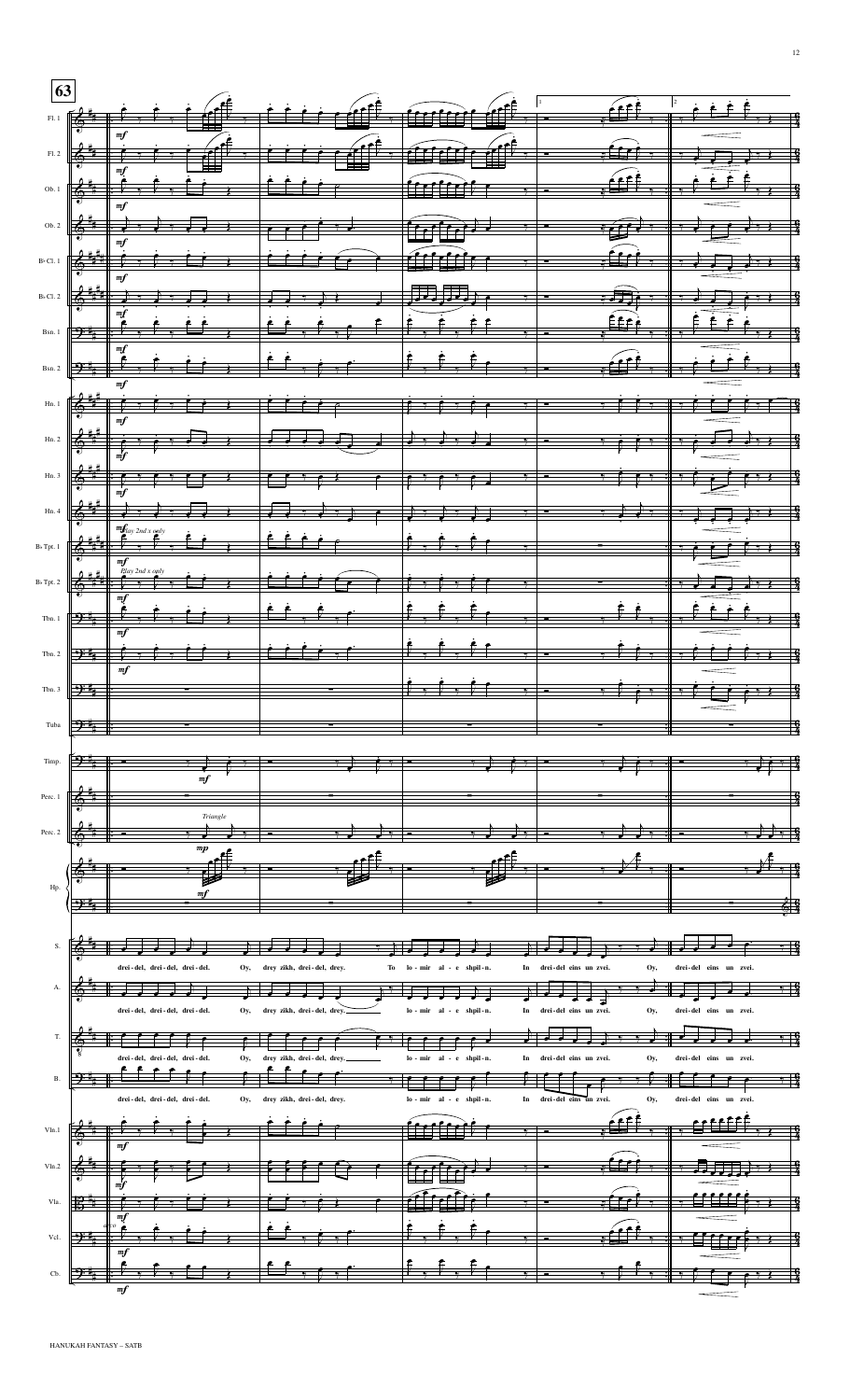| 63                       |                   |                                                                                                                                                                                                                                                                                                                                       |                                                                                                                                                                                                                         |                                                                                                                                                                                                                                                                                                                     |                                                   |                                                                        |
|--------------------------|-------------------|---------------------------------------------------------------------------------------------------------------------------------------------------------------------------------------------------------------------------------------------------------------------------------------------------------------------------------------|-------------------------------------------------------------------------------------------------------------------------------------------------------------------------------------------------------------------------|---------------------------------------------------------------------------------------------------------------------------------------------------------------------------------------------------------------------------------------------------------------------------------------------------------------------|---------------------------------------------------|------------------------------------------------------------------------|
| FL.1                     | ¦∮≝               |                                                                                                                                                                                                                                                                                                                                       |                                                                                                                                                                                                                         |                                                                                                                                                                                                                                                                                                                     |                                                   |                                                                        |
| F1.2                     | $\frac{2}{9}$     |                                                                                                                                                                                                                                                                                                                                       |                                                                                                                                                                                                                         | $\mathbb{C}$ , and $\mathbb{C}$                                                                                                                                                                                                                                                                                     |                                                   |                                                                        |
|                          |                   | $\it mf$                                                                                                                                                                                                                                                                                                                              |                                                                                                                                                                                                                         |                                                                                                                                                                                                                                                                                                                     |                                                   |                                                                        |
| Ob. $\boldsymbol{1}$     | $\frac{2}{5}$     |                                                                                                                                                                                                                                                                                                                                       |                                                                                                                                                                                                                         | <u>friri</u>                                                                                                                                                                                                                                                                                                        |                                                   | $-\frac{6}{4}$                                                         |
| Ob. $2$                  | $\frac{2}{3}$     |                                                                                                                                                                                                                                                                                                                                       | $\gamma$ .                                                                                                                                                                                                              | $\sqrt{2}$<br>$\gamma$ -                                                                                                                                                                                                                                                                                            | $\frac{1}{2}$                                     | $\frac{1}{2}$<br>$\rightarrow$ $\rightarrow$ $\rightarrow$             |
|                          |                   |                                                                                                                                                                                                                                                                                                                                       |                                                                                                                                                                                                                         |                                                                                                                                                                                                                                                                                                                     |                                                   |                                                                        |
| $\rm B \flat$ Cl. 1      | $\frac{2!}{2}$    |                                                                                                                                                                                                                                                                                                                                       |                                                                                                                                                                                                                         |                                                                                                                                                                                                                                                                                                                     | $\gamma$ =                                        |                                                                        |
| $\rm B \flat$ Cl. 2      |                   | $8 + 17$                                                                                                                                                                                                                                                                                                                              |                                                                                                                                                                                                                         |                                                                                                                                                                                                                                                                                                                     |                                                   | $\frac{16}{4}$<br>9 <sub>1</sub>                                       |
| $_{\rm Bsn. \ 1}$        |                   | $\mathcal{P}:\mathbb{F}\rightarrow\mathbb{F}$ ,                                                                                                                                                                                                                                                                                       | the second contract of $\equiv$                                                                                                                                                                                         | $\frac{\frac{1}{2} \cdot \frac{1}{2}}{\frac{1}{2} \cdot \frac{1}{2}}$                                                                                                                                                                                                                                               | $\frac{\text{eff}}{\text{eff}}$                   | $\frac{16}{4}$                                                         |
|                          |                   |                                                                                                                                                                                                                                                                                                                                       |                                                                                                                                                                                                                         | $\overline{P}$                                                                                                                                                                                                                                                                                                      |                                                   |                                                                        |
| $_{\rm Bsn. \, 2}$       | 24                |                                                                                                                                                                                                                                                                                                                                       |                                                                                                                                                                                                                         | $\frac{1}{2}$ $\frac{1}{2}$ $\frac{1}{2}$ $\frac{1}{2}$ $\frac{1}{2}$ $\frac{1}{2}$ $\frac{1}{2}$ $\frac{1}{2}$ $\frac{1}{2}$ $\frac{1}{2}$ $\frac{1}{2}$ $\frac{1}{2}$ $\frac{1}{2}$ $\frac{1}{2}$ $\frac{1}{2}$ $\frac{1}{2}$ $\frac{1}{2}$ $\frac{1}{2}$ $\frac{1}{2}$ $\frac{1}{2}$ $\frac{1}{2}$ $\frac{1}{2}$ |                                                   | $\frac{1}{2}$ , $\frac{1}{2}$                                          |
| $\rm Hn.$ 1              |                   |                                                                                                                                                                                                                                                                                                                                       |                                                                                                                                                                                                                         | $\frac{1}{2}$<br>$\gamma$ -<br>$\overline{\phantom{a}}$                                                                                                                                                                                                                                                             |                                                   | $\left  \begin{array}{ccc} 1 & 1 \\ 1 & 1 \end{array} \right $         |
|                          |                   | $\Box$                                                                                                                                                                                                                                                                                                                                |                                                                                                                                                                                                                         |                                                                                                                                                                                                                                                                                                                     | т.                                                |                                                                        |
|                          |                   | $\lim_{\epsilon \to 0} 2 \left\  \begin{array}{ccc} \frac{1}{\epsilon} & \frac{1}{\epsilon} & \frac{1}{\epsilon} & \frac{1}{\epsilon} \\ \frac{1}{\epsilon} & \frac{1}{\epsilon} & \frac{1}{\epsilon} & \frac{1}{\epsilon} \\ \frac{1}{\epsilon} & \frac{1}{\epsilon} & \frac{1}{\epsilon} & \frac{1}{\epsilon} \end{array} \right\ $ | $\frac{1}{2}$ $\frac{1}{2}$ $\frac{1}{2}$ $\frac{1}{2}$ $\frac{1}{2}$ $\frac{1}{2}$ $\frac{1}{2}$ $\frac{1}{2}$ $\frac{1}{2}$ $\frac{1}{2}$                                                                             |                                                                                                                                                                                                                                                                                                                     |                                                   |                                                                        |
| Hn.3                     |                   | $\left \left\langle \begin{array}{ccc} \frac{1}{2} & \frac{1}{2} \\ \frac{1}{2} & \frac{1}{2} \end{array} \right  \begin{array}{c} \frac{1}{2} & \frac{1}{2} \\ \frac{1}{2} & \frac{1}{2} \end{array} \right $<br>$\rightarrow$                                                                                                       | $\bullet$ $\bullet$ $\bullet$<br>$\overline{\cdot}$<br>$\frac{1}{\sqrt{2}}$                                                                                                                                             |                                                                                                                                                                                                                                                                                                                     |                                                   | $\int$ $\phi$ $\rightarrow$ $\frac{6}{4}$                              |
| Hn.4                     |                   | $8$ $+$ $+$ $+$                                                                                                                                                                                                                                                                                                                       |                                                                                                                                                                                                                         |                                                                                                                                                                                                                                                                                                                     |                                                   | $\rightarrow$ $\rightarrow$ $\rightarrow$                              |
| $\rm B\text{+}Tpt.$ l    |                   | $\begin{array}{ c c } \hline \textbf{H}_{\text{eff}} & \textbf{mf}_{lay\text{ and }x\text{ only}} \\ \hline \textbf{H}_{\text{eff}} & \textbf{F} & \textbf{F} \\ \hline \textbf{F} & \textbf{F} & \textbf{F} \\ \hline \end{array}$                                                                                                   | $\mathcal{P},$                                                                                                                                                                                                          |                                                                                                                                                                                                                                                                                                                     |                                                   |                                                                        |
|                          |                   |                                                                                                                                                                                                                                                                                                                                       |                                                                                                                                                                                                                         |                                                                                                                                                                                                                                                                                                                     |                                                   | $\mathbb{P}^2$                                                         |
| $\mathbf{B}\flat$ Tpt. 2 | $\frac{2}{9}$     | $\frac{Play \ 2nd \ x \ only}{9}$                                                                                                                                                                                                                                                                                                     |                                                                                                                                                                                                                         | $\mathbf{y}$                                                                                                                                                                                                                                                                                                        |                                                   | $\frac{-6}{4}$                                                         |
| $\mbox{Tbn.1}$           | $ 2+$             | $\mathcal{P}$ , $\mathcal{P}$ , $\mathcal{C}$                                                                                                                                                                                                                                                                                         | $\dot{\mathcal{P}}$ , $\dot{\mathcal{P}}$ , $\dot{\mathcal{P}}$ ,                                                                                                                                                       | $\gamma$ -                                                                                                                                                                                                                                                                                                          | $\overline{\mathbf{r}}$                           | $\frac{\rightarrow}{\rightarrow}$ 8                                    |
|                          |                   |                                                                                                                                                                                                                                                                                                                                       | $\begin{array}{c} \begin{array}{c} \bullet \\ \end{array} & \begin{array}{c} \bullet \\ \end{array} & \begin{array}{c} \bullet \\ \end{array} & \begin{array}{c} \bullet \\ \end{array} & \begin{array}{c} \end{array}$ | $ \dot{r} $ ,                                                                                                                                                                                                                                                                                                       | $\overline{0}$ $\gamma$                           |                                                                        |
| Tbn. $2\,$               | $2^{\frac{1}{4}}$ | $\gamma$ $\sqrt{2}$ $\gamma$<br>$\overline{mf}$                                                                                                                                                                                                                                                                                       |                                                                                                                                                                                                                         |                                                                                                                                                                                                                                                                                                                     | $\frac{4}{x}$<br><u>—</u>                         | $\Box$ $\sqrt{7}$ $\rightarrow$ $\sqrt{2}$<br>$\overline{\mathcal{A}}$ |
| Tbn. $3$                 | 9:4               |                                                                                                                                                                                                                                                                                                                                       |                                                                                                                                                                                                                         | $\overline{v}$ , $\overline{v}$ ,                                                                                                                                                                                                                                                                                   | $\overline{\phantom{a}}$ $\overline{\phantom{a}}$ |                                                                        |
| Tuba                     | •): 1.            |                                                                                                                                                                                                                                                                                                                                       |                                                                                                                                                                                                                         |                                                                                                                                                                                                                                                                                                                     |                                                   |                                                                        |
| Timp                     |                   |                                                                                                                                                                                                                                                                                                                                       |                                                                                                                                                                                                                         |                                                                                                                                                                                                                                                                                                                     |                                                   |                                                                        |
|                          |                   | m f                                                                                                                                                                                                                                                                                                                                   |                                                                                                                                                                                                                         |                                                                                                                                                                                                                                                                                                                     |                                                   |                                                                        |
| Perc. 1                  |                   |                                                                                                                                                                                                                                                                                                                                       |                                                                                                                                                                                                                         |                                                                                                                                                                                                                                                                                                                     |                                                   |                                                                        |
| Perc. 2                  |                   | Triangle                                                                                                                                                                                                                                                                                                                              |                                                                                                                                                                                                                         |                                                                                                                                                                                                                                                                                                                     |                                                   |                                                                        |
|                          |                   | $_{\it mp}$                                                                                                                                                                                                                                                                                                                           |                                                                                                                                                                                                                         |                                                                                                                                                                                                                                                                                                                     |                                                   |                                                                        |
| Hp.                      |                   | Е<br>m f                                                                                                                                                                                                                                                                                                                              |                                                                                                                                                                                                                         |                                                                                                                                                                                                                                                                                                                     |                                                   |                                                                        |
|                          |                   |                                                                                                                                                                                                                                                                                                                                       |                                                                                                                                                                                                                         |                                                                                                                                                                                                                                                                                                                     |                                                   | 61                                                                     |
| ${\bf S}.$               |                   |                                                                                                                                                                                                                                                                                                                                       |                                                                                                                                                                                                                         |                                                                                                                                                                                                                                                                                                                     |                                                   |                                                                        |
|                          | e.                | drei-del, drei-del, drei-del.<br>Oy,                                                                                                                                                                                                                                                                                                  | To<br>drey zikh, drei-del, drey.                                                                                                                                                                                        | lo-mir al - e shpil-n.<br>In                                                                                                                                                                                                                                                                                        | Oy,<br>drei-del eins un zvei.                     | drei-del eins un zvei.                                                 |
| А.                       |                   |                                                                                                                                                                                                                                                                                                                                       |                                                                                                                                                                                                                         |                                                                                                                                                                                                                                                                                                                     |                                                   |                                                                        |
|                          |                   | drei-del, drei-del, drei-del.<br>Oy,                                                                                                                                                                                                                                                                                                  | drey zikh, drei-del, drey.                                                                                                                                                                                              | In<br>$\ln - \text{mir}$ al - e<br>shpil - n.                                                                                                                                                                                                                                                                       | Oy,<br>drei-del eins un zvei.                     | drei-del eins un zvei.                                                 |
| T.                       |                   |                                                                                                                                                                                                                                                                                                                                       |                                                                                                                                                                                                                         |                                                                                                                                                                                                                                                                                                                     |                                                   | $\gamma$ $\pm$                                                         |
| <b>B.</b>                |                   | drei-del, drei-del, drei-del.<br>Oy,                                                                                                                                                                                                                                                                                                  | drey zikh, drei-del, drey                                                                                                                                                                                               | lo - mir al - e shpil-n.<br>In                                                                                                                                                                                                                                                                                      | drei-del eins un zvei.<br>Oy,                     | drei-del eins un zvei.<br>żΒ                                           |
|                          |                   | drei-del, drei-del, drei-del.<br>Oy,                                                                                                                                                                                                                                                                                                  | drey zikh, drei-del, drey.                                                                                                                                                                                              | lo-mir al-e shpil-n.<br>In                                                                                                                                                                                                                                                                                          | drei-del eins un zvei.<br>Oy,                     | drei-del eins un zvei.                                                 |
| Vln.1                    |                   |                                                                                                                                                                                                                                                                                                                                       |                                                                                                                                                                                                                         |                                                                                                                                                                                                                                                                                                                     |                                                   |                                                                        |
| Vln.2                    |                   | mf                                                                                                                                                                                                                                                                                                                                    |                                                                                                                                                                                                                         |                                                                                                                                                                                                                                                                                                                     |                                                   |                                                                        |
|                          |                   | тj                                                                                                                                                                                                                                                                                                                                    |                                                                                                                                                                                                                         |                                                                                                                                                                                                                                                                                                                     |                                                   |                                                                        |
| Vla.                     |                   | mf                                                                                                                                                                                                                                                                                                                                    |                                                                                                                                                                                                                         |                                                                                                                                                                                                                                                                                                                     |                                                   |                                                                        |
| Vcl.                     | יי לי             |                                                                                                                                                                                                                                                                                                                                       |                                                                                                                                                                                                                         |                                                                                                                                                                                                                                                                                                                     |                                                   |                                                                        |
|                          |                   | m f                                                                                                                                                                                                                                                                                                                                   |                                                                                                                                                                                                                         |                                                                                                                                                                                                                                                                                                                     |                                                   |                                                                        |
| Cb.                      |                   | m f                                                                                                                                                                                                                                                                                                                                   |                                                                                                                                                                                                                         |                                                                                                                                                                                                                                                                                                                     |                                                   |                                                                        |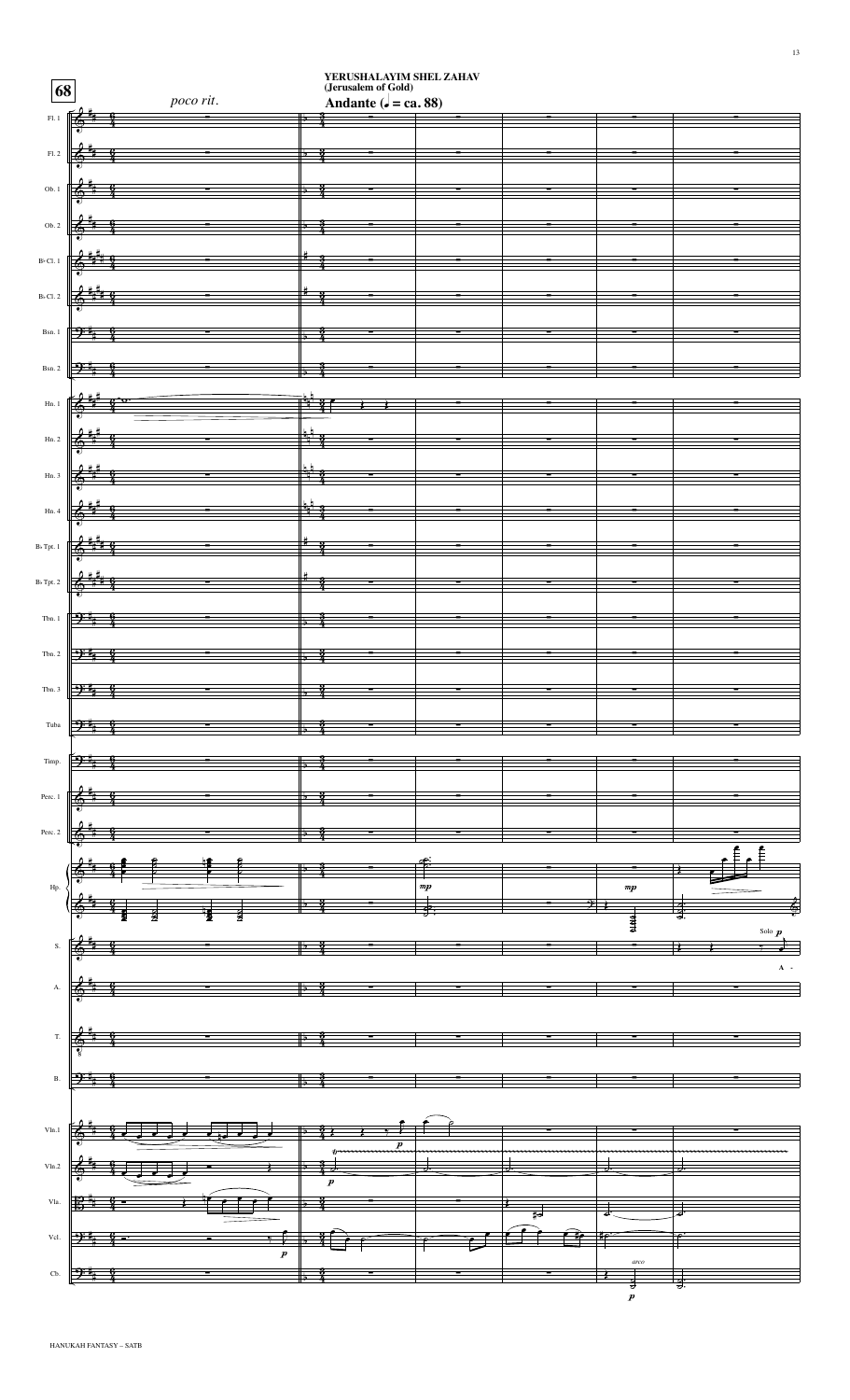| 68                             |                        |                                                                                                                                                                                                                                                                                                                             |               | YERUSHALAYIM SHEL ZAHAV<br>(Jerusalem of Gold) |                                                                                                                                                                                                                                                                                                                                                                                                                                   |                            |                  |   |
|--------------------------------|------------------------|-----------------------------------------------------------------------------------------------------------------------------------------------------------------------------------------------------------------------------------------------------------------------------------------------------------------------------|---------------|------------------------------------------------|-----------------------------------------------------------------------------------------------------------------------------------------------------------------------------------------------------------------------------------------------------------------------------------------------------------------------------------------------------------------------------------------------------------------------------------|----------------------------|------------------|---|
| F1.1                           |                        | poco rit.                                                                                                                                                                                                                                                                                                                   |               | Andante ( $\sqrt{ }$ = ca. 88)                 |                                                                                                                                                                                                                                                                                                                                                                                                                                   |                            |                  |   |
|                                |                        |                                                                                                                                                                                                                                                                                                                             |               |                                                |                                                                                                                                                                                                                                                                                                                                                                                                                                   |                            |                  |   |
| F1.2                           |                        |                                                                                                                                                                                                                                                                                                                             |               |                                                |                                                                                                                                                                                                                                                                                                                                                                                                                                   |                            |                  |   |
| Ob. 1                          |                        |                                                                                                                                                                                                                                                                                                                             |               |                                                |                                                                                                                                                                                                                                                                                                                                                                                                                                   |                            |                  |   |
|                                |                        |                                                                                                                                                                                                                                                                                                                             |               |                                                |                                                                                                                                                                                                                                                                                                                                                                                                                                   |                            |                  |   |
| Ob.2                           |                        |                                                                                                                                                                                                                                                                                                                             |               |                                                |                                                                                                                                                                                                                                                                                                                                                                                                                                   |                            |                  |   |
| $B \triangleright C1.1$        |                        |                                                                                                                                                                                                                                                                                                                             |               |                                                |                                                                                                                                                                                                                                                                                                                                                                                                                                   |                            |                  |   |
|                                |                        |                                                                                                                                                                                                                                                                                                                             |               |                                                |                                                                                                                                                                                                                                                                                                                                                                                                                                   |                            |                  |   |
| $\rm B\textsubscript{>}$ Cl. 2 |                        |                                                                                                                                                                                                                                                                                                                             |               |                                                |                                                                                                                                                                                                                                                                                                                                                                                                                                   |                            |                  |   |
| Bsn. 1                         |                        |                                                                                                                                                                                                                                                                                                                             |               |                                                |                                                                                                                                                                                                                                                                                                                                                                                                                                   |                            |                  |   |
| Bsn. 2                         |                        |                                                                                                                                                                                                                                                                                                                             |               |                                                |                                                                                                                                                                                                                                                                                                                                                                                                                                   |                            |                  |   |
|                                |                        |                                                                                                                                                                                                                                                                                                                             |               |                                                |                                                                                                                                                                                                                                                                                                                                                                                                                                   |                            |                  |   |
| Hn. 1                          |                        |                                                                                                                                                                                                                                                                                                                             |               |                                                |                                                                                                                                                                                                                                                                                                                                                                                                                                   |                            |                  |   |
| Hn. 2                          |                        |                                                                                                                                                                                                                                                                                                                             |               |                                                |                                                                                                                                                                                                                                                                                                                                                                                                                                   |                            |                  |   |
| Hn. 3                          |                        |                                                                                                                                                                                                                                                                                                                             |               |                                                |                                                                                                                                                                                                                                                                                                                                                                                                                                   |                            |                  |   |
|                                |                        |                                                                                                                                                                                                                                                                                                                             |               |                                                |                                                                                                                                                                                                                                                                                                                                                                                                                                   |                            |                  |   |
| Hn. 4                          |                        |                                                                                                                                                                                                                                                                                                                             |               |                                                |                                                                                                                                                                                                                                                                                                                                                                                                                                   |                            |                  |   |
| B <sub>b</sub> Tpt. 1          |                        |                                                                                                                                                                                                                                                                                                                             |               |                                                |                                                                                                                                                                                                                                                                                                                                                                                                                                   |                            |                  |   |
| $\rm B\!\!\,\flat$ Tpt. 2      |                        |                                                                                                                                                                                                                                                                                                                             |               |                                                |                                                                                                                                                                                                                                                                                                                                                                                                                                   |                            |                  |   |
|                                |                        |                                                                                                                                                                                                                                                                                                                             |               |                                                |                                                                                                                                                                                                                                                                                                                                                                                                                                   |                            |                  |   |
| Tbn. 1                         |                        |                                                                                                                                                                                                                                                                                                                             |               |                                                |                                                                                                                                                                                                                                                                                                                                                                                                                                   |                            |                  |   |
| Tbn. 2                         |                        |                                                                                                                                                                                                                                                                                                                             |               |                                                |                                                                                                                                                                                                                                                                                                                                                                                                                                   |                            |                  |   |
| Tbn.3                          | $\left  9:5 \right  6$ | =                                                                                                                                                                                                                                                                                                                           | $\frac{3}{2}$ |                                                |                                                                                                                                                                                                                                                                                                                                                                                                                                   |                            |                  |   |
|                                |                        |                                                                                                                                                                                                                                                                                                                             |               |                                                |                                                                                                                                                                                                                                                                                                                                                                                                                                   |                            |                  |   |
| Tuba                           |                        |                                                                                                                                                                                                                                                                                                                             |               |                                                |                                                                                                                                                                                                                                                                                                                                                                                                                                   |                            |                  |   |
| Timp                           |                        |                                                                                                                                                                                                                                                                                                                             |               |                                                |                                                                                                                                                                                                                                                                                                                                                                                                                                   |                            |                  |   |
|                                |                        |                                                                                                                                                                                                                                                                                                                             |               |                                                |                                                                                                                                                                                                                                                                                                                                                                                                                                   |                            |                  |   |
| Perc. $\it{l}$                 |                        | $\frac{1}{2}$ $\frac{3}{4}$                                                                                                                                                                                                                                                                                                 |               |                                                |                                                                                                                                                                                                                                                                                                                                                                                                                                   |                            |                  |   |
| Perc. $2\,$                    |                        |                                                                                                                                                                                                                                                                                                                             |               |                                                |                                                                                                                                                                                                                                                                                                                                                                                                                                   |                            |                  |   |
|                                |                        |                                                                                                                                                                                                                                                                                                                             |               |                                                |                                                                                                                                                                                                                                                                                                                                                                                                                                   |                            |                  |   |
| $_{\rm{Hp.}}$                  |                        |                                                                                                                                                                                                                                                                                                                             |               |                                                |                                                                                                                                                                                                                                                                                                                                                                                                                                   |                            |                  |   |
|                                |                        |                                                                                                                                                                                                                                                                                                                             |               |                                                |                                                                                                                                                                                                                                                                                                                                                                                                                                   |                            |                  |   |
|                                |                        | $s \left  \frac{2}{3} \right $ 1 2                                                                                                                                                                                                                                                                                          |               |                                                |                                                                                                                                                                                                                                                                                                                                                                                                                                   |                            |                  | R |
|                                |                        |                                                                                                                                                                                                                                                                                                                             |               |                                                |                                                                                                                                                                                                                                                                                                                                                                                                                                   |                            |                  |   |
| $\mathbf{A},$                  |                        | $\frac{2}{3}$ $\frac{2}{3}$ $\frac{2}{3}$ $\frac{2}{3}$ $\frac{2}{3}$ $\frac{2}{3}$ $\frac{2}{3}$ $\frac{2}{3}$ $\frac{2}{3}$ $\frac{2}{3}$ $\frac{2}{3}$ $\frac{2}{3}$ $\frac{2}{3}$ $\frac{2}{3}$ $\frac{2}{3}$ $\frac{2}{3}$ $\frac{2}{3}$ $\frac{2}{3}$ $\frac{2}{3}$ $\frac{2}{3}$ $\frac{2}{3}$ $\frac{2}{3}$         |               |                                                |                                                                                                                                                                                                                                                                                                                                                                                                                                   |                            |                  |   |
|                                |                        |                                                                                                                                                                                                                                                                                                                             |               |                                                |                                                                                                                                                                                                                                                                                                                                                                                                                                   |                            |                  |   |
|                                |                        | $\frac{2}{3}$ $\frac{1}{3}$ $\frac{1}{3}$ $\frac{1}{3}$ $\frac{1}{3}$ $\frac{1}{3}$ $\frac{1}{3}$ $\frac{1}{3}$ $\frac{1}{3}$ $\frac{1}{3}$ $\frac{1}{3}$ $\frac{1}{3}$ $\frac{1}{3}$ $\frac{1}{3}$ $\frac{1}{3}$ $\frac{1}{3}$ $\frac{1}{3}$ $\frac{1}{3}$ $\frac{1}{3}$ $\frac{1}{3}$ $\frac{1}{3}$ $\frac{1}{3}$         |               |                                                |                                                                                                                                                                                                                                                                                                                                                                                                                                   |                            |                  |   |
| В.                             |                        |                                                                                                                                                                                                                                                                                                                             | $\frac{1}{2}$ |                                                |                                                                                                                                                                                                                                                                                                                                                                                                                                   |                            |                  |   |
|                                |                        |                                                                                                                                                                                                                                                                                                                             |               |                                                |                                                                                                                                                                                                                                                                                                                                                                                                                                   |                            |                  |   |
| Vln.1                          |                        |                                                                                                                                                                                                                                                                                                                             |               |                                                |                                                                                                                                                                                                                                                                                                                                                                                                                                   | $\mathcal{L}(\mathcal{L})$ |                  |   |
| $_{\rm Vln.2}$                 |                        |                                                                                                                                                                                                                                                                                                                             |               |                                                |                                                                                                                                                                                                                                                                                                                                                                                                                                   |                            |                  |   |
|                                |                        |                                                                                                                                                                                                                                                                                                                             |               |                                                |                                                                                                                                                                                                                                                                                                                                                                                                                                   |                            |                  |   |
| Vla.                           |                        | $\mathbb{R}^{\frac{1}{2}}$ $\frac{2}{3}$ $\frac{1}{3}$ $\frac{1}{3}$ $\frac{1}{3}$ $\frac{1}{3}$ $\frac{1}{3}$ $\frac{1}{3}$ $\frac{1}{3}$ $\frac{1}{3}$ $\frac{1}{3}$ $\frac{1}{3}$ $\frac{1}{3}$ $\frac{1}{3}$ $\frac{1}{3}$ $\frac{1}{3}$ $\frac{1}{3}$ $\frac{1}{3}$ $\frac{1}{3}$ $\frac{1}{3}$ $\frac{1}{3}$ $\frac{$ |               |                                                | $\begin{array}{c c c c c} \hline \textbf{1} & \textbf{2} & \textbf{3} & \textbf{4} & \textbf{5} \\ \hline \textbf{2} & \textbf{1} & \textbf{1} & \textbf{1} & \textbf{1} & \textbf{1} & \textbf{1} \\ \hline \textbf{3} & \textbf{1} & \textbf{1} & \textbf{1} & \textbf{1} & \textbf{1} & \textbf{1} & \textbf{1} \\ \hline \textbf{4} & \textbf{1} & \textbf{1} & \textbf{1} & \textbf{1} & \textbf{1} & \textbf{1} & \textbf{$ |                            |                  |   |
| Vcl.                           |                        |                                                                                                                                                                                                                                                                                                                             |               |                                                |                                                                                                                                                                                                                                                                                                                                                                                                                                   |                            |                  |   |
| $\mathrm{Cb.}$                 |                        |                                                                                                                                                                                                                                                                                                                             |               |                                                |                                                                                                                                                                                                                                                                                                                                                                                                                                   |                            | $\mathit{arco}$  |   |
|                                |                        |                                                                                                                                                                                                                                                                                                                             | $\mathbb{F}$  |                                                |                                                                                                                                                                                                                                                                                                                                                                                                                                   |                            | $\boldsymbol{p}$ |   |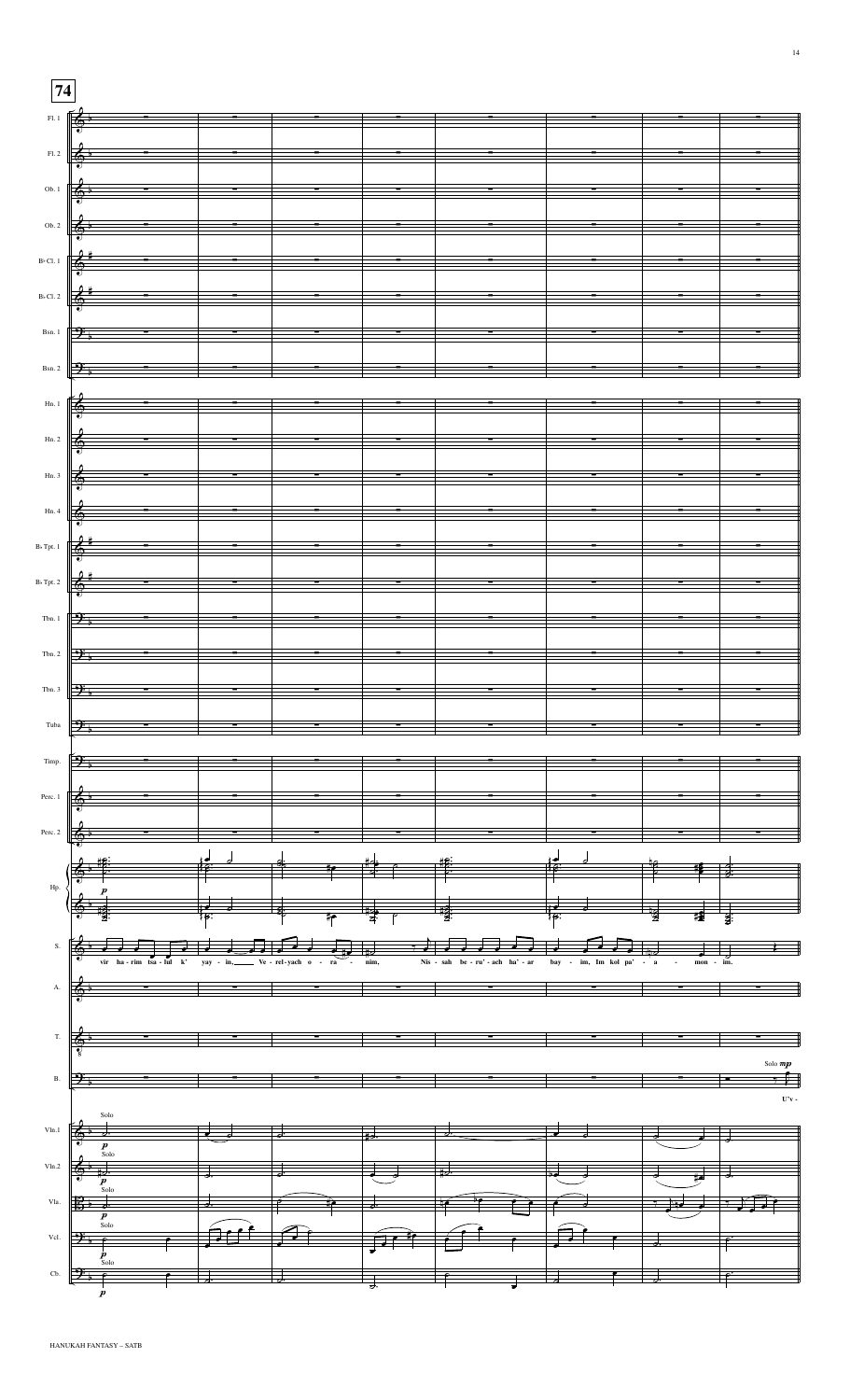| 74                      |                                                                                                                                       |                                  |                                    |                             |                                            |                           |                                  |                               |
|-------------------------|---------------------------------------------------------------------------------------------------------------------------------------|----------------------------------|------------------------------------|-----------------------------|--------------------------------------------|---------------------------|----------------------------------|-------------------------------|
| FL.1                    | ⊺∮                                                                                                                                    |                                  |                                    |                             |                                            |                           |                                  |                               |
| $\rm{Fl.}\,2$           | ⋍                                                                                                                                     | $\blacksquare$                   | $\equiv$                           | $\overline{\phantom{a}}$    |                                            |                           |                                  |                               |
|                         |                                                                                                                                       |                                  |                                    |                             |                                            |                           |                                  |                               |
| Ob. 1                   | $\frac{2}{\sqrt{2}}$<br><u>e de la componenta</u>                                                                                     |                                  |                                    |                             |                                            |                           |                                  |                               |
|                         |                                                                                                                                       |                                  |                                    |                             |                                            |                           |                                  |                               |
|                         | $0b.2$ $\bigotimes_{\bullet}$                                                                                                         |                                  |                                    |                             |                                            |                           |                                  |                               |
|                         | $B \cdot C1.1$                                                                                                                        |                                  |                                    |                             |                                            |                           |                                  |                               |
|                         | $B \cdot C1.2$                                                                                                                        |                                  |                                    |                             |                                            |                           |                                  |                               |
|                         |                                                                                                                                       |                                  |                                    |                             |                                            |                           |                                  |                               |
|                         | Bsn. 1 $\mathbf{9}$                                                                                                                   |                                  |                                    |                             |                                            |                           |                                  |                               |
| $_{\rm Bsn.2}$          | $\mathbb{P}$                                                                                                                          |                                  |                                    |                             |                                            |                           |                                  |                               |
|                         |                                                                                                                                       |                                  |                                    |                             |                                            |                           |                                  |                               |
| $\frac{Hn.1}{100}$      |                                                                                                                                       |                                  |                                    |                             |                                            |                           |                                  |                               |
| $\frac{Hn.2}{100}$      | <u> a shekara ta 1999 a shekara ta 1999 a shekara ta 1999 a shekara ta 1999 a shekara ta 1999 a shekara ta 1999 a</u>                 | <u>TIM</u>                       |                                    | ŧ                           |                                            |                           |                                  |                               |
|                         |                                                                                                                                       |                                  |                                    |                             |                                            |                           |                                  |                               |
| $\frac{Hn.3}{100}$      |                                                                                                                                       |                                  |                                    |                             |                                            |                           |                                  |                               |
| Hn.4                    |                                                                                                                                       | $\blacksquare$                   |                                    |                             |                                            |                           |                                  |                               |
|                         |                                                                                                                                       |                                  |                                    |                             |                                            |                           |                                  |                               |
|                         | $B_{\rm FPL,1}$ $\frac{2}{\sqrt{2}}$                                                                                                  |                                  |                                    |                             |                                            |                           |                                  |                               |
|                         | $B_5$ Tpt. 2 $\frac{2}{5}$                                                                                                            |                                  |                                    |                             |                                            |                           |                                  |                               |
| Tbn. 1 $\mathbf{2}$     | $\mathbf{r}$ and $\mathbf{r}$                                                                                                         | ╾                                |                                    |                             |                                            |                           |                                  |                               |
|                         |                                                                                                                                       |                                  |                                    |                             |                                            |                           |                                  |                               |
| $\mbox{Tbn.}~2$         | $\mathbf{P}$                                                                                                                          |                                  |                                    |                             |                                            |                           |                                  |                               |
| Tbn. $3\,$              | $\mathbf{P}$<br><u> a shekara ta 1999 a shekara ta 1991 a shekara ta 1991 a shekara ta 1991 a shekara ta 1991 a shekara ta 1991 a</u> |                                  |                                    |                             |                                            |                           |                                  |                               |
|                         |                                                                                                                                       |                                  |                                    |                             |                                            |                           |                                  |                               |
| Tuba                    |                                                                                                                                       |                                  |                                    |                             |                                            |                           |                                  |                               |
| Timp.                   |                                                                                                                                       |                                  |                                    |                             |                                            |                           |                                  |                               |
| Perc. 1                 |                                                                                                                                       |                                  |                                    |                             |                                            |                           |                                  |                               |
|                         |                                                                                                                                       |                                  |                                    |                             |                                            |                           |                                  |                               |
| $\mbox{Perc.}$ $2$      | ∣≼                                                                                                                                    |                                  |                                    |                             |                                            |                           |                                  |                               |
|                         |                                                                                                                                       |                                  |                                    |                             | ∣ा≸                                        |                           |                                  |                               |
| Hp.                     |                                                                                                                                       |                                  |                                    |                             |                                            |                           |                                  |                               |
|                         | $\frac{1}{9}$                                                                                                                         |                                  |                                    |                             | 欗                                          |                           | ख्रु<br>गई                       | ङ्क                           |
| ${\bf S}.$              |                                                                                                                                       |                                  | $\overline{\phantom{a}}$<br>لسلوبه | $\rightarrow$ $\rightarrow$ | $\overline{\phantom{a}}$                   |                           |                                  | Ų                             |
|                         | ∲<br>$\begin{array}{c c}\n\hline\n\end{array}$ ha - rim tsa - lul k'                                                                  | $yay - in,$ Ve - rel-yach o - ra | т.,                                | nim,                        | $be - ru' - ach - ha' - ar$<br>$Nis - sah$ | $bay -$<br>im, Im kol pa' | $\overline{a}$<br>$\mathbf{mon}$ |                               |
| ${\bf A}.$              | $\frac{6}{3}$                                                                                                                         |                                  |                                    |                             |                                            |                           |                                  |                               |
|                         |                                                                                                                                       |                                  |                                    |                             |                                            |                           |                                  |                               |
| $\mathbf{T}_{\text{e}}$ | $\frac{6}{3}$                                                                                                                         |                                  |                                    |                             |                                            |                           |                                  |                               |
| $\, {\bf B}$ .          |                                                                                                                                       |                                  |                                    |                             |                                            |                           |                                  | Solo mp                       |
|                         | 9≒                                                                                                                                    |                                  |                                    |                             |                                            |                           |                                  | $\mathbf{U}^\ast\mathbf{v}$ . |
|                         | Solo                                                                                                                                  |                                  |                                    |                             |                                            |                           |                                  |                               |
| $_{\rm VIn.1}$          | $\frac{1}{2}$                                                                                                                         |                                  |                                    | $\overline{\mathbf{1}}$     | d.                                         |                           |                                  |                               |
| $_{\rm Vln.2}$          | Solo<br>$\bigcirc$                                                                                                                    |                                  |                                    |                             |                                            | Б.                        |                                  |                               |
| Vla.                    | Solo                                                                                                                                  |                                  |                                    |                             |                                            |                           |                                  |                               |
|                         | $\mathbb{B}$<br>$\frac{p}{\text{Solo}}$                                                                                               |                                  | 窂                                  | $\overline{\phantom{a}}$    | terr<br>₩                                  |                           | 埀                                |                               |
| Vcl.                    | $\mathbf{\mathcal{P}}$ ,                                                                                                              | F                                | $\mathcal{P}$                      |                             | <b>Start of the Planet</b>                 |                           | $\frac{1}{\sqrt{2}}$             |                               |
| $\operatorname{Cb.}$    | $\frac{p}{\text{Solo}}$<br>∣ॐ                                                                                                         |                                  |                                    |                             |                                            | ≢                         |                                  | ₽                             |
|                         | $\boldsymbol{p}$                                                                                                                      |                                  |                                    | Г.,                         | $\frac{1}{2}$                              |                           |                                  |                               |

 $\overline{a}$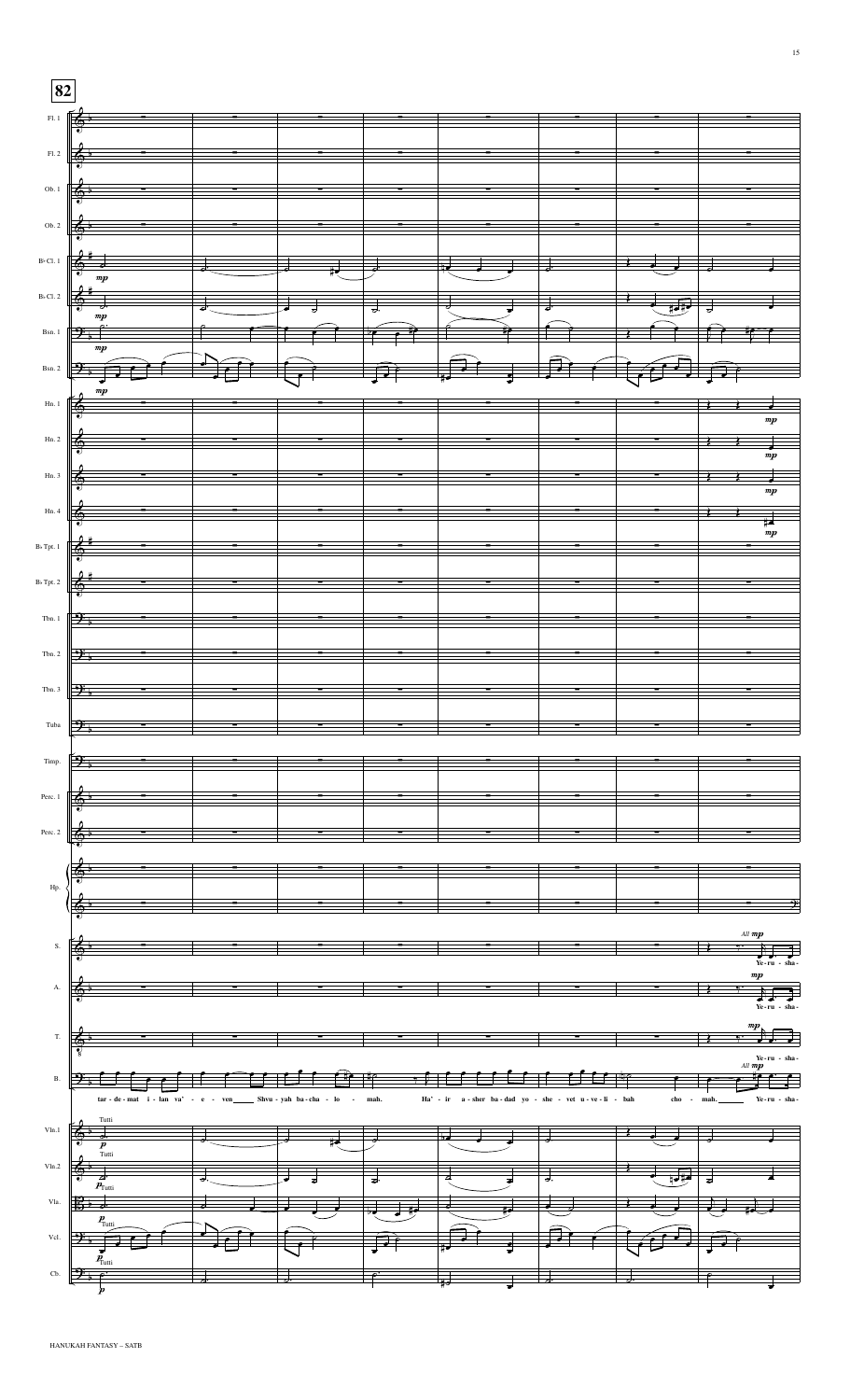| 82                       |                                                                                            |                                                                       |               |   |               |                                       |   |                                                                                                                                                                                                                                                                                                                                                     |    |  |                         |       |                                 |
|--------------------------|--------------------------------------------------------------------------------------------|-----------------------------------------------------------------------|---------------|---|---------------|---------------------------------------|---|-----------------------------------------------------------------------------------------------------------------------------------------------------------------------------------------------------------------------------------------------------------------------------------------------------------------------------------------------------|----|--|-------------------------|-------|---------------------------------|
| <b>FI.1</b>              |                                                                                            |                                                                       |               |   |               |                                       |   |                                                                                                                                                                                                                                                                                                                                                     |    |  |                         |       |                                 |
| F1.2                     | Ģ                                                                                          |                                                                       |               |   |               |                                       |   |                                                                                                                                                                                                                                                                                                                                                     |    |  |                         |       |                                 |
|                          |                                                                                            |                                                                       |               |   |               |                                       |   |                                                                                                                                                                                                                                                                                                                                                     |    |  |                         |       |                                 |
| Ob. 1                    | $\frac{1}{2}$                                                                              |                                                                       |               |   |               |                                       |   |                                                                                                                                                                                                                                                                                                                                                     |    |  |                         |       |                                 |
| Ob. 2                    | $\frac{1}{2}$                                                                              |                                                                       |               |   |               |                                       |   |                                                                                                                                                                                                                                                                                                                                                     |    |  |                         |       |                                 |
| $B \setminus C1.1$       |                                                                                            |                                                                       | $\frac{1}{e}$ |   |               |                                       |   |                                                                                                                                                                                                                                                                                                                                                     |    |  |                         |       |                                 |
|                          | $\mathbf{m}\mathbf{p}$<br>$B \cdot C1.2$                                                   |                                                                       | $\frac{1}{e}$ |   |               |                                       |   |                                                                                                                                                                                                                                                                                                                                                     |    |  |                         |       |                                 |
|                          | $\sqrt{np}$<br>$Bsn.1$ $\frac{1}{2}$                                                       |                                                                       | 隼             | ₹ |               | न्न<br>Þé<br>$\overline{\phantom{0}}$ | 羊 | ۴                                                                                                                                                                                                                                                                                                                                                   | ず  |  | $\overline{\mathbf{r}}$ | ₹     |                                 |
|                          | $\it mp$                                                                                   |                                                                       |               |   |               |                                       |   |                                                                                                                                                                                                                                                                                                                                                     |    |  |                         |       |                                 |
|                          | Bsn.2<br>$\mathbf{m}\mathbf{p}$                                                            |                                                                       | $\Rightarrow$ |   |               |                                       |   | $\begin{picture}(180,170) \put(0,0){\line(1,0){10}} \put(10,0){\line(1,0){10}} \put(10,0){\line(1,0){10}} \put(10,0){\line(1,0){10}} \put(10,0){\line(1,0){10}} \put(10,0){\line(1,0){10}} \put(10,0){\line(1,0){10}} \put(10,0){\line(1,0){10}} \put(10,0){\line(1,0){10}} \put(10,0){\line(1,0){10}} \put(10,0){\line(1,0){10}} \put(10,0){\line$ |    |  |                         |       |                                 |
| Hn. 1                    | ┣                                                                                          |                                                                       |               |   |               |                                       |   |                                                                                                                                                                                                                                                                                                                                                     |    |  |                         |       | $\it mp$                        |
| Hn. 2                    | $\hat{\mathbb{P}}$                                                                         |                                                                       |               |   |               |                                       |   |                                                                                                                                                                                                                                                                                                                                                     |    |  |                         |       |                                 |
| Hn.3                     |                                                                                            |                                                                       |               |   |               |                                       |   |                                                                                                                                                                                                                                                                                                                                                     |    |  |                         |       | $\bar{m}p$                      |
| Hn.4                     |                                                                                            |                                                                       |               |   |               |                                       |   |                                                                                                                                                                                                                                                                                                                                                     |    |  |                         |       | $\it mp$                        |
|                          | ∳                                                                                          |                                                                       |               |   |               |                                       |   |                                                                                                                                                                                                                                                                                                                                                     |    |  |                         |       | $\frac{1}{\frac{1}{mp}}$        |
| $\mathbf{B}\flat$ Tpt. 1 | 博                                                                                          |                                                                       |               |   |               |                                       |   |                                                                                                                                                                                                                                                                                                                                                     |    |  |                         |       |                                 |
|                          | $Bb$ Tpt. 2                                                                                |                                                                       |               |   |               |                                       |   |                                                                                                                                                                                                                                                                                                                                                     |    |  |                         |       |                                 |
| Tbn. $1$                 | -9                                                                                         |                                                                       |               |   |               |                                       |   |                                                                                                                                                                                                                                                                                                                                                     |    |  |                         |       |                                 |
| Tbn. $2\,$               | $\mathbf{9}$ ,                                                                             |                                                                       |               |   |               |                                       |   |                                                                                                                                                                                                                                                                                                                                                     |    |  |                         |       |                                 |
|                          |                                                                                            |                                                                       |               |   |               |                                       |   |                                                                                                                                                                                                                                                                                                                                                     |    |  |                         |       |                                 |
| Tbn. $3\,$               | $\mathbf{D}_{\pm}$                                                                         |                                                                       |               |   |               |                                       |   |                                                                                                                                                                                                                                                                                                                                                     |    |  |                         |       |                                 |
| Tuba                     |                                                                                            |                                                                       |               |   |               |                                       |   |                                                                                                                                                                                                                                                                                                                                                     |    |  |                         |       |                                 |
| Timp.                    |                                                                                            |                                                                       |               |   |               |                                       |   |                                                                                                                                                                                                                                                                                                                                                     |    |  |                         |       |                                 |
| Perc. 1                  |                                                                                            |                                                                       |               |   |               |                                       |   |                                                                                                                                                                                                                                                                                                                                                     |    |  |                         |       |                                 |
| Perc. 2                  |                                                                                            |                                                                       |               |   |               |                                       |   |                                                                                                                                                                                                                                                                                                                                                     |    |  |                         |       |                                 |
|                          |                                                                                            |                                                                       |               |   |               |                                       |   |                                                                                                                                                                                                                                                                                                                                                     |    |  |                         |       |                                 |
| Hp.                      |                                                                                            |                                                                       |               |   |               |                                       |   |                                                                                                                                                                                                                                                                                                                                                     |    |  |                         |       |                                 |
|                          |                                                                                            |                                                                       |               |   |               |                                       |   |                                                                                                                                                                                                                                                                                                                                                     |    |  |                         |       |                                 |
| ${\bf S}.$               |                                                                                            |                                                                       |               |   |               |                                       |   |                                                                                                                                                                                                                                                                                                                                                     |    |  |                         |       | All $mp$                        |
|                          |                                                                                            |                                                                       |               |   |               |                                       |   |                                                                                                                                                                                                                                                                                                                                                     |    |  |                         |       | Ye-ru - sha-<br>$\mathfrak{m}p$ |
| $\mathbf{A}.$            |                                                                                            |                                                                       |               |   |               |                                       |   |                                                                                                                                                                                                                                                                                                                                                     |    |  |                         |       | ₹<br>₹<br>Ye-ru - sha-          |
| $\mathbf{T}.$            |                                                                                            |                                                                       |               |   |               |                                       |   |                                                                                                                                                                                                                                                                                                                                                     |    |  |                         |       | $_{\it mp}$                     |
|                          | 맇                                                                                          |                                                                       |               |   |               |                                       |   |                                                                                                                                                                                                                                                                                                                                                     |    |  |                         |       | Ye-ru - sha $All \; mp$         |
| $\, {\bf B} . \,$        |                                                                                            | tar - de - mat i - lan va' - e - ven _______ Shvu - yah ba - cha - lo |               |   | $\sim$ $\sim$ | mah.                                  |   | Ha' - ir a - sher ba - dad yo - she - vet u - ve - li - bah                                                                                                                                                                                                                                                                                         |    |  | cho<br>$\sim$           | mah._ | Ye-ru - sha                     |
| $_{\rm VIn.I}$           | Tutti                                                                                      |                                                                       |               |   |               |                                       |   |                                                                                                                                                                                                                                                                                                                                                     |    |  |                         |       |                                 |
|                          | Ģ<br>$\boldsymbol{p}$<br>Tutti                                                             |                                                                       |               |   |               |                                       |   |                                                                                                                                                                                                                                                                                                                                                     |    |  |                         |       |                                 |
| $V\!In.2$                | Ģ<br>$\boldsymbol{p}_{\text{Tutti}}$                                                       |                                                                       |               |   |               |                                       |   |                                                                                                                                                                                                                                                                                                                                                     | ರ. |  |                         |       |                                 |
| Vla.                     | $P_{\text{Tutti}}$                                                                         |                                                                       |               |   |               |                                       | Þ |                                                                                                                                                                                                                                                                                                                                                     |    |  |                         |       |                                 |
| Vcl.                     |                                                                                            |                                                                       |               |   |               |                                       |   |                                                                                                                                                                                                                                                                                                                                                     |    |  |                         |       |                                 |
| Cb.                      | $\bm{\mathit{p}}_{\!\scriptscriptstyle\mathrm{Tutt}}^{\!\scriptscriptstyle\mathrm{}}$<br>⊐ |                                                                       |               |   |               |                                       |   |                                                                                                                                                                                                                                                                                                                                                     |    |  |                         |       |                                 |
|                          | p                                                                                          |                                                                       |               |   |               |                                       |   |                                                                                                                                                                                                                                                                                                                                                     |    |  |                         |       |                                 |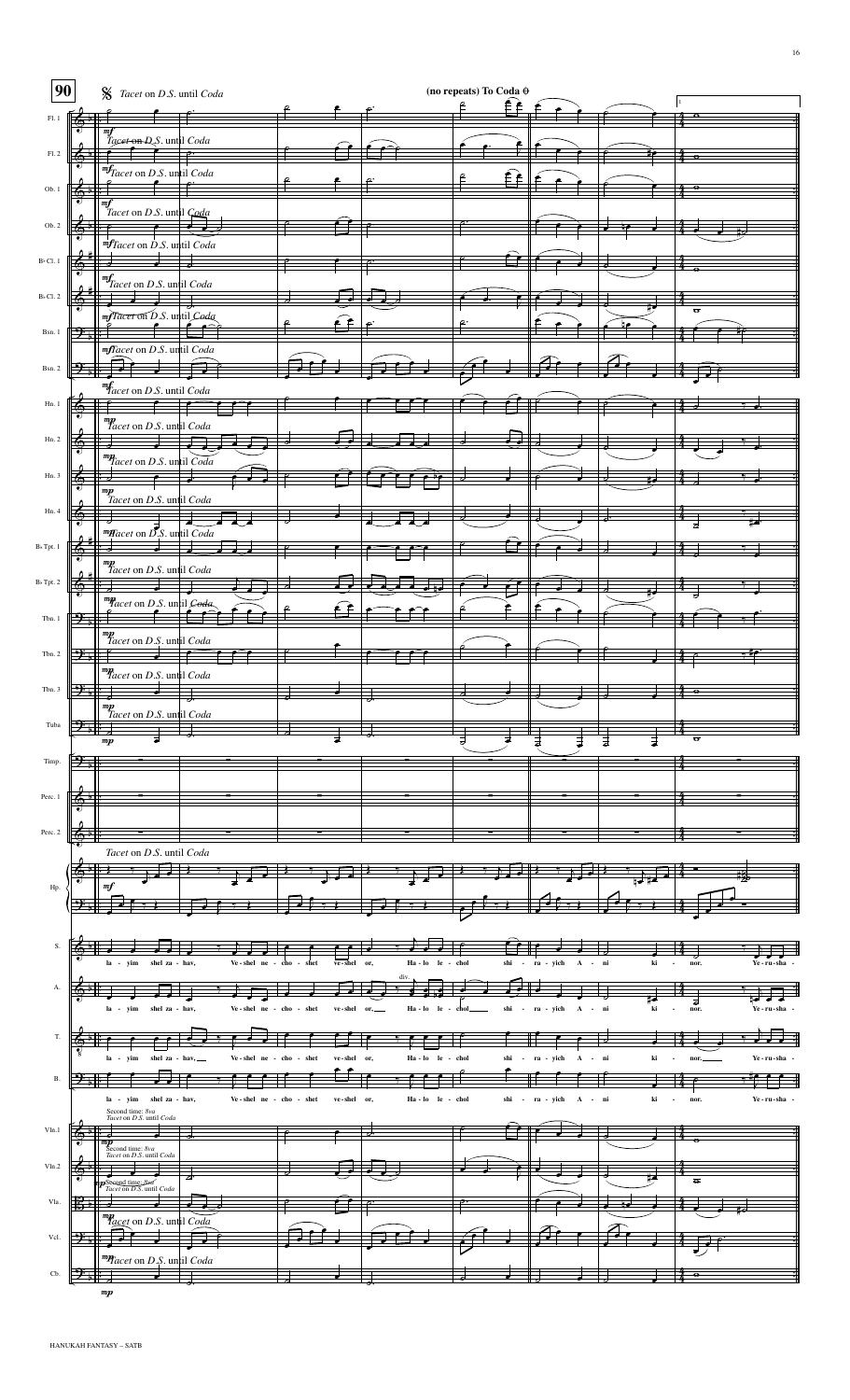| 90                        |                        | <b>X</b> Tacet on D.S. until Coda                                                                                                                                                                                                                                                                                                                                                                                                                                                        |                        |                             | (no repeats) To Coda $\Theta$ |                                               |                                      |                             |
|---------------------------|------------------------|------------------------------------------------------------------------------------------------------------------------------------------------------------------------------------------------------------------------------------------------------------------------------------------------------------------------------------------------------------------------------------------------------------------------------------------------------------------------------------------|------------------------|-----------------------------|-------------------------------|-----------------------------------------------|--------------------------------------|-----------------------------|
| $\rm Fl.$ $1$             |                        |                                                                                                                                                                                                                                                                                                                                                                                                                                                                                          |                        |                             | Ê£                            |                                               |                                      |                             |
|                           | ∲                      | $\frac{m f}{T \cdot \text{d} \cdot \text{d} \cdot \text{d} \cdot \text{d} \cdot \text{d} \cdot \text{d} \cdot \text{d} \cdot \text{d} \cdot \text{d} \cdot \text{d} \cdot \text{d} \cdot \text{d} \cdot \text{d} \cdot \text{d} \cdot \text{d} \cdot \text{d} \cdot \text{d} \cdot \text{d} \cdot \text{d} \cdot \text{d} \cdot \text{d} \cdot \text{d} \cdot \text{d} \cdot \text{d} \cdot \text{d} \cdot \text{d} \cdot \text{d} \cdot \text{d} \cdot \text{d} \cdot \text{d} \cdot \$ |                        |                             |                               |                                               |                                      |                             |
| F1.2                      | ⊕                      | $\overline{\rho}$                                                                                                                                                                                                                                                                                                                                                                                                                                                                        |                        |                             |                               |                                               |                                      | $\overline{\mathbf{o}}$     |
|                           | e                      | $m f_{Tacet}$ on D.S. until Coda                                                                                                                                                                                                                                                                                                                                                                                                                                                         | ρ                      |                             | ÊÈ                            |                                               |                                      |                             |
| Ob. $1$                   | 6                      | ≏                                                                                                                                                                                                                                                                                                                                                                                                                                                                                        |                        |                             |                               |                                               |                                      |                             |
|                           | ∙                      | mf<br>Tacet on D.S. until Coda                                                                                                                                                                                                                                                                                                                                                                                                                                                           |                        |                             |                               |                                               |                                      |                             |
| Ob. $2$                   | ♠<br>⊽                 |                                                                                                                                                                                                                                                                                                                                                                                                                                                                                          |                        |                             |                               |                                               |                                      |                             |
|                           |                        | mfTacet on D.S. until Coda                                                                                                                                                                                                                                                                                                                                                                                                                                                               |                        |                             |                               |                                               |                                      |                             |
| $\rm B \flat$ Cl. 1       | ∳                      |                                                                                                                                                                                                                                                                                                                                                                                                                                                                                          |                        |                             |                               |                                               |                                      |                             |
| $\rm B \flat$ Cl. 2       |                        | <i>mf</i><br>Tacet on D.S. until Coda                                                                                                                                                                                                                                                                                                                                                                                                                                                    |                        |                             |                               |                                               |                                      |                             |
|                           | ⊕                      | mfTacet on D.S. until Coda                                                                                                                                                                                                                                                                                                                                                                                                                                                               |                        |                             |                               |                                               |                                      | ᢐ                           |
| Bsn. 1                    | $9^{\circ}$            |                                                                                                                                                                                                                                                                                                                                                                                                                                                                                          |                        |                             |                               |                                               |                                      |                             |
|                           |                        | mflacet on D.S. until Coda                                                                                                                                                                                                                                                                                                                                                                                                                                                               |                        |                             |                               |                                               |                                      |                             |
| Bsn. 2                    | $9 -$                  | $\overline{\phantom{0}}$                                                                                                                                                                                                                                                                                                                                                                                                                                                                 |                        |                             |                               |                                               |                                      |                             |
|                           |                        | <i>mf</i> <sub>acet</sub> on <i>D.S.</i> until <i>Coda</i>                                                                                                                                                                                                                                                                                                                                                                                                                               |                        |                             |                               |                                               |                                      |                             |
| Hn. 1                     | ⊕                      | ۰                                                                                                                                                                                                                                                                                                                                                                                                                                                                                        |                        |                             |                               |                                               |                                      |                             |
|                           | ∙                      | <i>mp</i><br>Tacet on D.S. until Coda                                                                                                                                                                                                                                                                                                                                                                                                                                                    |                        |                             |                               |                                               |                                      |                             |
| Hn. 2                     | ⊕<br>∙                 |                                                                                                                                                                                                                                                                                                                                                                                                                                                                                          |                        |                             |                               |                                               |                                      |                             |
|                           |                        | $m_{Tacet \text{ on } D.S. \text{ until } Coda}$                                                                                                                                                                                                                                                                                                                                                                                                                                         |                        |                             |                               |                                               |                                      |                             |
| Hn. 3                     | ⊕                      |                                                                                                                                                                                                                                                                                                                                                                                                                                                                                          |                        |                             |                               |                                               |                                      |                             |
|                           |                        | $T_{\text{accept on }D.S.\text{ until }Coda}$                                                                                                                                                                                                                                                                                                                                                                                                                                            |                        |                             |                               |                                               |                                      |                             |
| Hn.4                      | ⊕                      | ₹                                                                                                                                                                                                                                                                                                                                                                                                                                                                                        |                        |                             |                               |                                               |                                      |                             |
| $B \triangleright Tpt.$ 1 |                        | $m$ <b>T</b> acet on $\overline{D}$ .S. until Coda                                                                                                                                                                                                                                                                                                                                                                                                                                       |                        |                             |                               |                                               |                                      |                             |
|                           | ∲                      | $\frac{mp}{Tace}$ on <i>D.S.</i> until <i>Coda</i>                                                                                                                                                                                                                                                                                                                                                                                                                                       |                        |                             |                               |                                               |                                      |                             |
| B <sub>b</sub> Tpt. 2     | ♠                      |                                                                                                                                                                                                                                                                                                                                                                                                                                                                                          |                        |                             |                               |                                               |                                      |                             |
|                           |                        | ◢<br><i>mpacet</i> on D.S. until Coda.                                                                                                                                                                                                                                                                                                                                                                                                                                                   |                        |                             |                               |                                               |                                      |                             |
| Tbn. 1                    | $9 +$                  | £<br>f                                                                                                                                                                                                                                                                                                                                                                                                                                                                                   |                        |                             |                               |                                               |                                      |                             |
|                           |                        | $\frac{mp}{Tace}$ on D.S. until Coda                                                                                                                                                                                                                                                                                                                                                                                                                                                     |                        |                             |                               |                                               |                                      |                             |
| Tbn. 2                    | $\mathfrak{R}_{\flat}$ |                                                                                                                                                                                                                                                                                                                                                                                                                                                                                          |                        |                             |                               |                                               |                                      |                             |
|                           |                        | <i>mp</i> <sub>acet</sub> on <i>D.S.</i> until Coda                                                                                                                                                                                                                                                                                                                                                                                                                                      |                        |                             |                               |                                               |                                      |                             |
| Tbn. 3                    | $\mathbf{P}$           |                                                                                                                                                                                                                                                                                                                                                                                                                                                                                          |                        |                             |                               |                                               |                                      |                             |
|                           |                        | <i>mp</i><br>Tacet on D.S. until Coda                                                                                                                                                                                                                                                                                                                                                                                                                                                    |                        |                             |                               |                                               |                                      |                             |
| Tuba                      | ኃ                      | mp                                                                                                                                                                                                                                                                                                                                                                                                                                                                                       |                        |                             | 귱                             | 긓                                             |                                      | $\boldsymbol{\sigma}$       |
| Timp.                     | 9.1                    |                                                                                                                                                                                                                                                                                                                                                                                                                                                                                          |                        |                             |                               |                                               |                                      |                             |
|                           |                        |                                                                                                                                                                                                                                                                                                                                                                                                                                                                                          |                        |                             |                               |                                               |                                      |                             |
| Perc. 1                   | ⊕                      |                                                                                                                                                                                                                                                                                                                                                                                                                                                                                          |                        |                             |                               |                                               |                                      |                             |
|                           | $\bullet$              |                                                                                                                                                                                                                                                                                                                                                                                                                                                                                          |                        |                             |                               |                                               |                                      |                             |
| Perc. 2                   | ⊕                      |                                                                                                                                                                                                                                                                                                                                                                                                                                                                                          |                        |                             |                               |                                               |                                      |                             |
|                           |                        | Tacet on D.S. until Coda                                                                                                                                                                                                                                                                                                                                                                                                                                                                 |                        |                             |                               |                                               |                                      |                             |
|                           | ⊕                      |                                                                                                                                                                                                                                                                                                                                                                                                                                                                                          |                        |                             |                               |                                               |                                      |                             |
| Hp.                       |                        | m f                                                                                                                                                                                                                                                                                                                                                                                                                                                                                      |                        |                             |                               |                                               |                                      |                             |
|                           | ➡                      |                                                                                                                                                                                                                                                                                                                                                                                                                                                                                          |                        |                             |                               |                                               |                                      |                             |
|                           |                        |                                                                                                                                                                                                                                                                                                                                                                                                                                                                                          |                        |                             |                               |                                               |                                      |                             |
| S.                        | 6                      |                                                                                                                                                                                                                                                                                                                                                                                                                                                                                          |                        |                             |                               |                                               |                                      |                             |
|                           | e                      | Ve-shel ne - cho - shet<br>la - yim<br>shel za - hav,                                                                                                                                                                                                                                                                                                                                                                                                                                    | ve-shel or,            | Ha-lo le - chol<br>div.     |                               | shi - ra - yich<br>$\mathbf{A}$<br>$-$ ni     | ki<br>$\sim$                         | Ye-ru-sha -<br>nor.         |
| А.                        |                        |                                                                                                                                                                                                                                                                                                                                                                                                                                                                                          |                        |                             |                               |                                               |                                      |                             |
|                           |                        | la - yim<br>shel za - hav,<br>$\mathrm{Ve}$ - $\mathrm{shel}\quad \mathrm{ne}\quad$ - $\quad$ cho $\,$ - $\,$ shet                                                                                                                                                                                                                                                                                                                                                                       | $ve$ -shel or, _______ | Ha - lo<br>le - chol        | shi<br>$\sim$                 | ra - yich<br>$\mathbf A$<br>$-$ ni            | Ţ.<br>ki<br>$\sim$                   | ۰<br>ਡ<br>Ye-ru-sha<br>nor. |
|                           |                        |                                                                                                                                                                                                                                                                                                                                                                                                                                                                                          |                        |                             |                               |                                               |                                      |                             |
| T.                        | œ                      |                                                                                                                                                                                                                                                                                                                                                                                                                                                                                          |                        |                             |                               |                                               |                                      | ▾<br>▾                      |
|                           |                        | la - yim<br>shel za - hav,<br>$\mathrm{Ve}$ - $\mathrm{shel}\quad \mathrm{ne}\quad$ - $\quad$ cho $\,$ - $\,$ shet                                                                                                                                                                                                                                                                                                                                                                       | ve - shel              | Ha - lo<br>le - chol<br>or, | shi<br>$\sim$                 | ra - yich<br>$\mathbf A$<br>$\sim$            | ki<br>ni<br>$\overline{\phantom{a}}$ | Ye-ru-sha-<br>nor.          |
| <b>B.</b>                 | ゚゚゚゚゚゚                 |                                                                                                                                                                                                                                                                                                                                                                                                                                                                                          |                        |                             |                               |                                               |                                      | ŦΑ                          |
|                           |                        | la - yim shel za - hav,<br>Ve-shel ne - cho - shet<br>Second time: 8va                                                                                                                                                                                                                                                                                                                                                                                                                   | ve-shel or,            | Ha-lo le - chol             |                               | shi - ra - yich<br>$\mathbf{A}$<br>$\cdot$ ni | ki<br>$\cdot$                        | nor.<br>Ye-ru-sha-          |
| Vln.1                     |                        | Tacet on D.S. until Coda                                                                                                                                                                                                                                                                                                                                                                                                                                                                 |                        |                             |                               |                                               |                                      |                             |
|                           | ⊕<br>$\bullet$         | б<br>mp<br>Second time: 8va<br>Tacet on D.S. until Coda                                                                                                                                                                                                                                                                                                                                                                                                                                  |                        |                             |                               |                                               |                                      |                             |
| Vln.2                     | 6                      |                                                                                                                                                                                                                                                                                                                                                                                                                                                                                          |                        |                             |                               |                                               |                                      |                             |
|                           | ∙                      | pSecond time: 8va<br>Tacet on D.S. until Coda                                                                                                                                                                                                                                                                                                                                                                                                                                            |                        |                             |                               |                                               |                                      | $\overline{\bullet}$        |
| Vla.                      | $\mathbb{B}$           |                                                                                                                                                                                                                                                                                                                                                                                                                                                                                          |                        |                             |                               |                                               |                                      |                             |
|                           |                        | <i>mp</i> <sub>acet</sub> on D.S. until Coda                                                                                                                                                                                                                                                                                                                                                                                                                                             |                        |                             |                               |                                               |                                      |                             |
| Vcl.                      | ⋺                      |                                                                                                                                                                                                                                                                                                                                                                                                                                                                                          |                        |                             |                               |                                               |                                      |                             |
|                           |                        | <i>mA</i> <sub>acet</sub> on D.S. until Coda                                                                                                                                                                                                                                                                                                                                                                                                                                             |                        |                             |                               |                                               |                                      |                             |
| Cb.                       | ⇒                      |                                                                                                                                                                                                                                                                                                                                                                                                                                                                                          |                        |                             |                               |                                               |                                      | $\bullet$                   |
|                           |                        | $\mathbf{m}\mathbf{p}$                                                                                                                                                                                                                                                                                                                                                                                                                                                                   |                        |                             |                               |                                               |                                      |                             |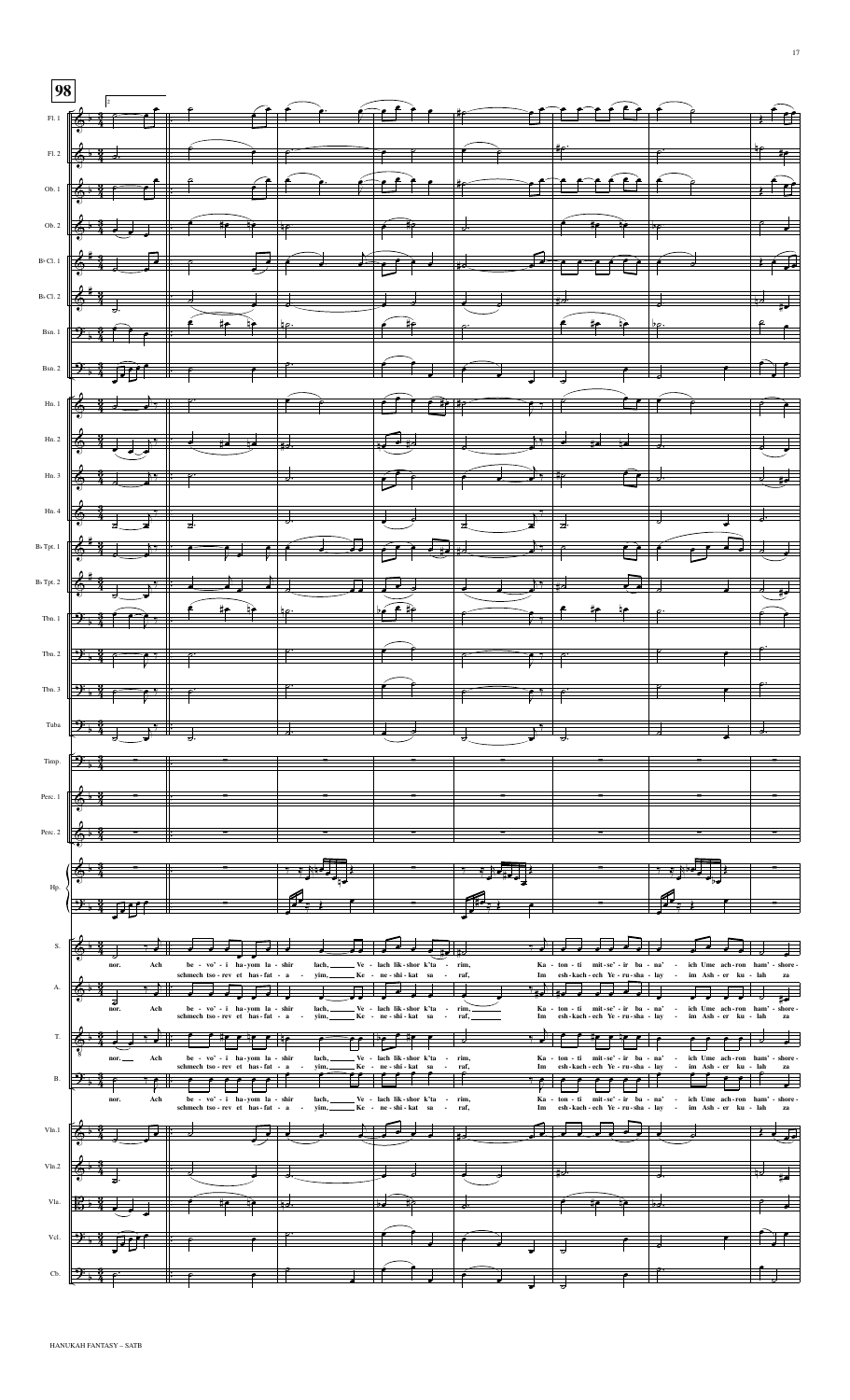| 98                        |                |     |                                                                                                                                                                                                                                                                                                                                                                                                                                                                                           |    |                         |            |                                                                                                                                                                                                                                                                                                                                                                                                                                                       |                  |                |    |                |                                                                                                                                                                                                                                                                                                                                                                                                                               |                  |        |                      |                                           |
|---------------------------|----------------|-----|-------------------------------------------------------------------------------------------------------------------------------------------------------------------------------------------------------------------------------------------------------------------------------------------------------------------------------------------------------------------------------------------------------------------------------------------------------------------------------------------|----|-------------------------|------------|-------------------------------------------------------------------------------------------------------------------------------------------------------------------------------------------------------------------------------------------------------------------------------------------------------------------------------------------------------------------------------------------------------------------------------------------------------|------------------|----------------|----|----------------|-------------------------------------------------------------------------------------------------------------------------------------------------------------------------------------------------------------------------------------------------------------------------------------------------------------------------------------------------------------------------------------------------------------------------------|------------------|--------|----------------------|-------------------------------------------|
| F1.1                      |                |     | $\begin{picture}(130,10) \put(0,0){\vector(1,0){100}} \put(15,0){\vector(1,0){100}} \put(15,0){\vector(1,0){100}} \put(15,0){\vector(1,0){100}} \put(15,0){\vector(1,0){100}} \put(15,0){\vector(1,0){100}} \put(15,0){\vector(1,0){100}} \put(15,0){\vector(1,0){100}} \put(15,0){\vector(1,0){100}} \put(15,0){\vector(1,0){100}} \put(15,0){\vector(1,0){100}} \$                                                                                                                      |    |                         |            |                                                                                                                                                                                                                                                                                                                                                                                                                                                       |                  |                |    |                |                                                                                                                                                                                                                                                                                                                                                                                                                               |                  |        |                      |                                           |
| $\rm{Fl.}$ 2              |                |     | $\left[\begin{array}{ccc} \left\langle \cdot & \cdot & \cdot \\ \left\langle \cdot & \cdot & \cdot \\ \cdot & \cdot & \cdot \end{array}\right\rangle \right]$                                                                                                                                                                                                                                                                                                                             |    |                         |            |                                                                                                                                                                                                                                                                                                                                                                                                                                                       |                  |                |    |                | $\begin{array}{ccc} \n\frac{1}{2} & \mathbf{0} & \mathbf{0} & \mathbf{0} & \mathbf{0} & \mathbf{0} & \mathbf{0} & \mathbf{0} & \mathbf{0} & \mathbf{0} & \mathbf{0} & \mathbf{0} & \mathbf{0} & \mathbf{0} & \mathbf{0} & \mathbf{0} & \mathbf{0} & \mathbf{0} & \mathbf{0} & \mathbf{0} & \mathbf{0} & \mathbf{0} & \mathbf{0} & \mathbf{0} & \mathbf{0} & \mathbf{0} & \mathbf{0} & \mathbf{0} & \mathbf{0} & \mathbf{0} &$ |                  |        |                      |                                           |
| Ob. 1                     |                |     | $\frac{2}{9}$                                                                                                                                                                                                                                                                                                                                                                                                                                                                             |    |                         |            |                                                                                                                                                                                                                                                                                                                                                                                                                                                       |                  |                |    |                |                                                                                                                                                                                                                                                                                                                                                                                                                               |                  |        |                      | $\frac{1}{2}$                             |
| Ob. 2                     |                |     |                                                                                                                                                                                                                                                                                                                                                                                                                                                                                           |    |                         |            |                                                                                                                                                                                                                                                                                                                                                                                                                                                       |                  |                |    |                |                                                                                                                                                                                                                                                                                                                                                                                                                               |                  |        |                      |                                           |
|                           |                |     | $\left \frac{2}{\sqrt{3}}\right $ , $\left \frac{1}{\sqrt{3}}\right $ , $\left \frac{1}{\sqrt{3}}\right $ , $\left \frac{1}{\sqrt{3}}\right $ , $\left \frac{1}{\sqrt{3}}\right $ , $\left \frac{1}{\sqrt{3}}\right $ , $\left \frac{1}{\sqrt{3}}\right $ , $\left \frac{1}{\sqrt{3}}\right $ , $\left \frac{1}{\sqrt{3}}\right $ , $\left \frac{1}{\sqrt{3}}\right $ , $\left \frac{1}{\sqrt{3}}\right $ ,                                                                               |    |                         |            |                                                                                                                                                                                                                                                                                                                                                                                                                                                       |                  |                |    |                |                                                                                                                                                                                                                                                                                                                                                                                                                               |                  |        |                      |                                           |
| $\rm B \flat$ Cl. 1       |                |     |                                                                                                                                                                                                                                                                                                                                                                                                                                                                                           |    |                         |            |                                                                                                                                                                                                                                                                                                                                                                                                                                                       |                  |                |    |                |                                                                                                                                                                                                                                                                                                                                                                                                                               |                  |        |                      | $\frac{1}{2}$                             |
| $\mathrm{B}\flat$ Cl. 2   |                |     |                                                                                                                                                                                                                                                                                                                                                                                                                                                                                           |    |                         |            |                                                                                                                                                                                                                                                                                                                                                                                                                                                       |                  |                |    |                |                                                                                                                                                                                                                                                                                                                                                                                                                               |                  |        |                      | $\frac{1}{2}$                             |
| Bsn. 1                    |                |     |                                                                                                                                                                                                                                                                                                                                                                                                                                                                                           |    |                         |            |                                                                                                                                                                                                                                                                                                                                                                                                                                                       |                  |                |    |                |                                                                                                                                                                                                                                                                                                                                                                                                                               |                  |        |                      |                                           |
| Bsn. 2                    |                |     | $\left[ 9.3 \frac{1}{2}$                                                                                                                                                                                                                                                                                                                                                                                                                                                                  |    |                         |            |                                                                                                                                                                                                                                                                                                                                                                                                                                                       |                  |                |    |                |                                                                                                                                                                                                                                                                                                                                                                                                                               |                  |        |                      |                                           |
| $\rm Hn.$ 1               |                |     | $\frac{1}{2}$ , $\frac{1}{2}$ , $\frac{1}{2}$ , $\frac{1}{2}$ , $\frac{1}{2}$ , $\frac{1}{2}$ , $\frac{1}{2}$ , $\frac{1}{2}$ , $\frac{1}{2}$ , $\frac{1}{2}$ , $\frac{1}{2}$                                                                                                                                                                                                                                                                                                             |    |                         |            |                                                                                                                                                                                                                                                                                                                                                                                                                                                       |                  |                |    |                |                                                                                                                                                                                                                                                                                                                                                                                                                               |                  |        |                      |                                           |
| Hn. 2                     |                |     |                                                                                                                                                                                                                                                                                                                                                                                                                                                                                           |    |                         |            |                                                                                                                                                                                                                                                                                                                                                                                                                                                       |                  |                |    |                |                                                                                                                                                                                                                                                                                                                                                                                                                               |                  |        |                      |                                           |
| Hn. 3                     |                |     |                                                                                                                                                                                                                                                                                                                                                                                                                                                                                           |    |                         |            |                                                                                                                                                                                                                                                                                                                                                                                                                                                       |                  |                |    |                |                                                                                                                                                                                                                                                                                                                                                                                                                               |                  |        |                      |                                           |
|                           |                |     |                                                                                                                                                                                                                                                                                                                                                                                                                                                                                           |    |                         |            |                                                                                                                                                                                                                                                                                                                                                                                                                                                       |                  |                |    |                |                                                                                                                                                                                                                                                                                                                                                                                                                               |                  |        |                      | $\frac{1}{2}$ is a set of $\frac{1}{2}$   |
| Hn. 4                     |                |     |                                                                                                                                                                                                                                                                                                                                                                                                                                                                                           |    |                         |            |                                                                                                                                                                                                                                                                                                                                                                                                                                                       |                  |                |    |                |                                                                                                                                                                                                                                                                                                                                                                                                                               |                  |        |                      |                                           |
| $\rm B\flat$ Tpt. 1       |                |     | $\langle \xi^* \mathbf{1} \rangle \quad \  \  \, \text{and} \quad \  \  \, \text{and} \quad \  \  \, \text{and} \quad \  \, \text{and} \quad \  \  \, \text{and} \quad \  \  \, \text{and} \quad \  \, \text{and} \quad \  \, \text{and} \quad \, \text{and} \quad \, \text{and} \quad \, \text{and} \quad \, \text{and} \quad \, \text{and} \quad \, \text{and} \quad \, \text{and} \quad \, \text{and} \quad \, \text{and} \quad \, \text{and} \quad \, \text{and} \quad \, \text{and}$ |    |                         |            |                                                                                                                                                                                                                                                                                                                                                                                                                                                       |                  |                |    |                |                                                                                                                                                                                                                                                                                                                                                                                                                               |                  |        |                      |                                           |
| $\mathbf{B} \flat$ Tpt. 2 |                |     | $\left\langle \stackrel{F}{\circ} \stackrel{3}{\circ} \right\rangle$ , $\downarrow$ , $\downarrow$ , $\downarrow$ , $\downarrow$ , $\downarrow$ , $\downarrow$ , $\downarrow$ , $\downarrow$ , $\downarrow$ , $\downarrow$ , $\downarrow$ , $\downarrow$ , $\downarrow$ , $\downarrow$ , $\downarrow$ , $\downarrow$ , $\downarrow$ , $\downarrow$ , $\downarrow$ , $\downarrow$ , $\downarrow$ , $\downarrow$ , $\downarrow$ , $\downarrow$                                              |    |                         |            |                                                                                                                                                                                                                                                                                                                                                                                                                                                       |                  |                |    |                | $\overline{\cdot}$                                                                                                                                                                                                                                                                                                                                                                                                            |                  |        |                      | $\frac{1}{2}$ $\frac{1}{2}$ $\frac{1}{2}$ |
| Tbn. 1                    | 9.3            |     | $\frac{1}{2}$ is the second set of $\frac{1}{2}$                                                                                                                                                                                                                                                                                                                                                                                                                                          |    | $\frac{1}{2}$           |            |                                                                                                                                                                                                                                                                                                                                                                                                                                                       |                  |                |    |                |                                                                                                                                                                                                                                                                                                                                                                                                                               |                  |        |                      |                                           |
| Tbn.2                     | $9,3$ p p $,3$ |     |                                                                                                                                                                                                                                                                                                                                                                                                                                                                                           |    |                         |            | $\begin{array}{c c c c c c} \hline \multicolumn{3}{c }{\textbf{1}} & \multicolumn{3}{c }{\textbf{2}} & \multicolumn{3}{c }{\textbf{3}} & \multicolumn{3}{c }{\textbf{4}} & \multicolumn{3}{c }{\textbf{5}} & \multicolumn{3}{c }{\textbf{6}} & \multicolumn{3}{c }{\textbf{7}} & \multicolumn{3}{c }{\textbf{8}} & \multicolumn{3}{c }{\textbf{9}} & \multicolumn{3}{c }{\textbf{1}} & \multicolumn{3}{c }{\textbf{1}} & \multicolumn{3}{c }{\textbf$ |                  | $\mathsf{P}$   |    |                | $\bullet$ $\bullet$ $\bullet$                                                                                                                                                                                                                                                                                                                                                                                                 |                  |        |                      |                                           |
| Tbn. 3                    |                |     | $\mathcal{F}_1, \mathcal{F}_2, \mathcal{F}_3, \mathcal{F}_4, \mathcal{F}_5, \mathcal{F}_6, \mathcal{F}_7, \mathcal{F}_8, \mathcal{F}_9, \mathcal{F}_9, \mathcal{F}_9, \mathcal{F}_9, \mathcal{F}_9, \mathcal{F}_9, \mathcal{F}_9, \mathcal{F}_9, \mathcal{F}_9, \mathcal{F}_9, \mathcal{F}_9, \mathcal{F}_9, \mathcal{F}_9, \mathcal{F}_9, \mathcal{F}_9, \mathcal{F}_9, \mathcal{F}_9, \mathcal{F}_9, \mathcal{F}_9, \mathcal{$                                                          |    |                         |            |                                                                                                                                                                                                                                                                                                                                                                                                                                                       |                  |                |    |                | $\left  \begin{array}{ccc} \bullet & \bullet & \bullet & \bullet \end{array} \right $                                                                                                                                                                                                                                                                                                                                         |                  |        |                      |                                           |
| Tuba                      |                |     |                                                                                                                                                                                                                                                                                                                                                                                                                                                                                           |    |                         |            |                                                                                                                                                                                                                                                                                                                                                                                                                                                       |                  |                |    |                |                                                                                                                                                                                                                                                                                                                                                                                                                               |                  |        |                      |                                           |
| Timp                      |                |     |                                                                                                                                                                                                                                                                                                                                                                                                                                                                                           |    |                         |            |                                                                                                                                                                                                                                                                                                                                                                                                                                                       |                  |                |    |                |                                                                                                                                                                                                                                                                                                                                                                                                                               |                  |        |                      |                                           |
| Perc. 1                   |                |     |                                                                                                                                                                                                                                                                                                                                                                                                                                                                                           |    |                         |            |                                                                                                                                                                                                                                                                                                                                                                                                                                                       |                  |                |    |                |                                                                                                                                                                                                                                                                                                                                                                                                                               |                  |        |                      |                                           |
| Perc. 2                   |                |     |                                                                                                                                                                                                                                                                                                                                                                                                                                                                                           |    |                         |            |                                                                                                                                                                                                                                                                                                                                                                                                                                                       |                  |                |    |                |                                                                                                                                                                                                                                                                                                                                                                                                                               |                  |        |                      |                                           |
|                           |                |     |                                                                                                                                                                                                                                                                                                                                                                                                                                                                                           |    |                         |            |                                                                                                                                                                                                                                                                                                                                                                                                                                                       |                  |                |    |                |                                                                                                                                                                                                                                                                                                                                                                                                                               |                  |        |                      |                                           |
| Hp.                       |                |     |                                                                                                                                                                                                                                                                                                                                                                                                                                                                                           |    |                         |            |                                                                                                                                                                                                                                                                                                                                                                                                                                                       |                  |                |    |                |                                                                                                                                                                                                                                                                                                                                                                                                                               |                  |        |                      |                                           |
|                           |                |     |                                                                                                                                                                                                                                                                                                                                                                                                                                                                                           |    |                         |            |                                                                                                                                                                                                                                                                                                                                                                                                                                                       |                  |                |    |                |                                                                                                                                                                                                                                                                                                                                                                                                                               |                  |        |                      |                                           |
| S.                        |                |     |                                                                                                                                                                                                                                                                                                                                                                                                                                                                                           |    |                         |            |                                                                                                                                                                                                                                                                                                                                                                                                                                                       |                  |                |    |                |                                                                                                                                                                                                                                                                                                                                                                                                                               |                  |        |                      |                                           |
| A.                        | nor.           | Ach | be - vo' - i ha-yom la - shir<br>schmech tso - rev et has - fat - a                                                                                                                                                                                                                                                                                                                                                                                                                       |    | lach._<br>vim,          |            | _ Ve - lach lik-shor k'ta<br>_Ke - ne-shi-kat sa                                                                                                                                                                                                                                                                                                                                                                                                      | $\sim$           | - rim.<br>raf. |    |                | Ka - ton - ti mit-se' - ir ba - na'<br>Im esh-kach-ech Ye-ru-sha-lay                                                                                                                                                                                                                                                                                                                                                          | $\sim$<br>$\sim$ |        | im Ash - er ku - lah | ich Ume ach-ron ham' - shore<br>za        |
|                           | nor.           | Ach | be - vo' - i ha-yom la - shir<br>schmech tso - rev et has - fat - a -                                                                                                                                                                                                                                                                                                                                                                                                                     |    | lach,_<br>$yim, \_\_$   |            | _ Ve - lach lik-shor k'ta<br>__Ke - ne-shi-kat sa                                                                                                                                                                                                                                                                                                                                                                                                     | $\sim$<br>$\sim$ | rim.<br>raf.   | Im | : : : <i>.</i> | Ka - ton - ti mit-se' - ir ba - na'<br>esh-kach-ech Ye-ru-sha - lay -                                                                                                                                                                                                                                                                                                                                                         | $\sim$ $\sim$    |        | im Ash - er ku - lah | ich Ume ach-ron ham' - shore-<br>za       |
| T.                        | nor.           | Ach | be - vo' - i ha-vom la - shir                                                                                                                                                                                                                                                                                                                                                                                                                                                             |    | lach.                   |            | . Ve - lach lik-shor k'ta                                                                                                                                                                                                                                                                                                                                                                                                                             | $\sim$           | rim.           |    |                | Ka - ton - ti mit-se' - ir ba - na'                                                                                                                                                                                                                                                                                                                                                                                           | $\sim$           |        |                      | ich Ume ach-ron ham' - shore -            |
| В.                        |                |     | schmech tso - rev et has - fat - a                                                                                                                                                                                                                                                                                                                                                                                                                                                        |    | yim,                    | $^{\circ}$ | _Ke - ne-shi-kat sa                                                                                                                                                                                                                                                                                                                                                                                                                                   |                  | raf,           | Im |                | esh-kach-ech Ye-ru-sha-lay                                                                                                                                                                                                                                                                                                                                                                                                    |                  | $\sim$ | im Ash - er ku - lah | za                                        |
|                           | nor.           | Ach | be - vo' - i ha-yom la - shir<br>schmech tso - rev et has - fat - a                                                                                                                                                                                                                                                                                                                                                                                                                       | ٠. | $lach, \_$<br>$yim, \_$ |            | _ Ve - lach lik-shor k'ta<br>_ Ke - ne-shi-kat                                                                                                                                                                                                                                                                                                                                                                                                        | $\sim$ $-$<br>sa | rim,<br>raf.   | Im |                | Ka - ton - ti mit-se' - ir ba - na' -<br>esh-kach-ech Ye-ru-sha-lay                                                                                                                                                                                                                                                                                                                                                           | $\sim$           |        | im Ash - er ku - lah | ich Ume ach-ron ham' - shore -            |
| Vln.1                     |                |     |                                                                                                                                                                                                                                                                                                                                                                                                                                                                                           |    |                         |            |                                                                                                                                                                                                                                                                                                                                                                                                                                                       |                  |                |    |                |                                                                                                                                                                                                                                                                                                                                                                                                                               |                  |        |                      |                                           |
| Vln.2                     |                |     |                                                                                                                                                                                                                                                                                                                                                                                                                                                                                           |    |                         |            |                                                                                                                                                                                                                                                                                                                                                                                                                                                       |                  |                |    |                |                                                                                                                                                                                                                                                                                                                                                                                                                               |                  |        |                      |                                           |
| Vla.                      |                |     |                                                                                                                                                                                                                                                                                                                                                                                                                                                                                           |    |                         |            |                                                                                                                                                                                                                                                                                                                                                                                                                                                       |                  |                |    |                |                                                                                                                                                                                                                                                                                                                                                                                                                               |                  |        |                      |                                           |
| Vcl.                      |                |     |                                                                                                                                                                                                                                                                                                                                                                                                                                                                                           |    |                         |            |                                                                                                                                                                                                                                                                                                                                                                                                                                                       |                  |                |    |                |                                                                                                                                                                                                                                                                                                                                                                                                                               |                  |        |                      |                                           |
| Cb.                       |                |     |                                                                                                                                                                                                                                                                                                                                                                                                                                                                                           |    |                         |            |                                                                                                                                                                                                                                                                                                                                                                                                                                                       |                  |                |    |                |                                                                                                                                                                                                                                                                                                                                                                                                                               |                  |        |                      |                                           |
|                           |                |     |                                                                                                                                                                                                                                                                                                                                                                                                                                                                                           |    |                         |            |                                                                                                                                                                                                                                                                                                                                                                                                                                                       |                  |                |    |                |                                                                                                                                                                                                                                                                                                                                                                                                                               |                  |        |                      |                                           |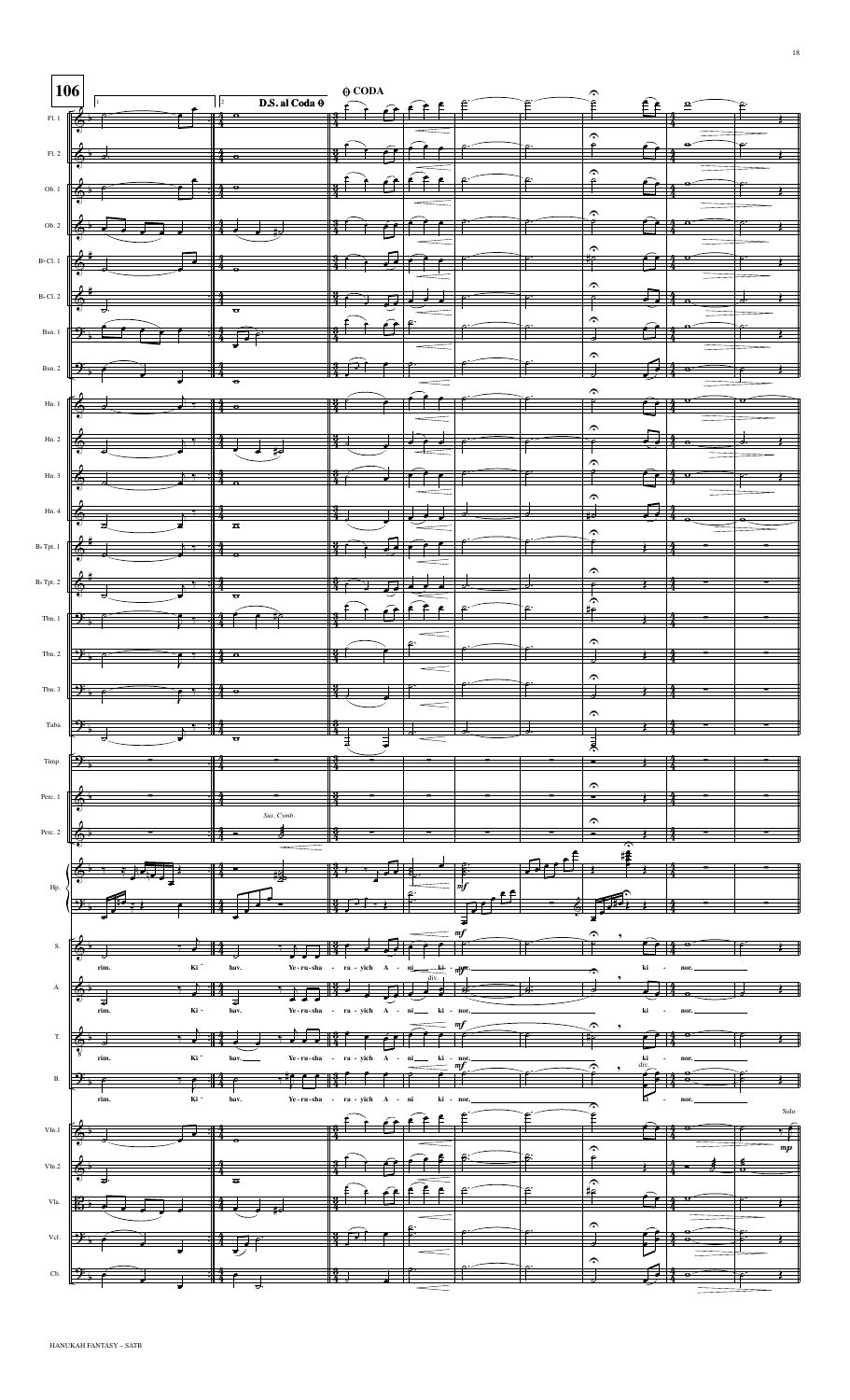|                                                                 | 106                                                                                                                                                                                                                                                                                                                    | $\sqrt{2}$<br>D.S. al Coda $\overline{\Theta}$ | $\bigoplus$ CODA                             |                     |               | Ę.                 | $\widehat{\mathbb{F}}$           |                                     | $\frac{1}{2}$ $\frac{1}{4}$   |  |
|-----------------------------------------------------------------|------------------------------------------------------------------------------------------------------------------------------------------------------------------------------------------------------------------------------------------------------------------------------------------------------------------------|------------------------------------------------|----------------------------------------------|---------------------|---------------|--------------------|----------------------------------|-------------------------------------|-------------------------------|--|
|                                                                 | F1.1                                                                                                                                                                                                                                                                                                                   | $\frac{4}{4}$                                  |                                              |                     |               |                    | $\hat{\cdot}$                    |                                     |                               |  |
| $\rm Fl.$ 2                                                     |                                                                                                                                                                                                                                                                                                                        | $\frac{4}{4}$ o                                |                                              |                     |               |                    |                                  |                                     |                               |  |
|                                                                 |                                                                                                                                                                                                                                                                                                                        |                                                |                                              |                     |               | ิ้⊯                | $\hat{\mathbf{r}}$               | $\left  \right $                    |                               |  |
| Ob. 1                                                           | $\bullet$ 4 $\circ$<br>牵                                                                                                                                                                                                                                                                                               |                                                |                                              |                     |               |                    |                                  |                                     |                               |  |
|                                                                 | Ob. 2 $\frac{1}{\sqrt{2}}$                                                                                                                                                                                                                                                                                             | ∉                                              | $\frac{1}{4}$                                |                     |               |                    | $\widehat{\cdot}$                | $\bigcap$                           |                               |  |
|                                                                 |                                                                                                                                                                                                                                                                                                                        |                                                |                                              |                     |               |                    |                                  |                                     |                               |  |
|                                                                 | $B \triangleright C1.1$<br>$\overline{\phantom{a}}$                                                                                                                                                                                                                                                                    | $\frac{1}{4}$                                  | $\frac{3}{4}$<br>$\overline{U}$              |                     |               |                    | 論                                | $\epsilon$ 1                        |                               |  |
|                                                                 |                                                                                                                                                                                                                                                                                                                        |                                                | $\frac{3}{4}$                                |                     |               |                    | $\frac{1}{\epsilon}$             | Л,                                  |                               |  |
|                                                                 |                                                                                                                                                                                                                                                                                                                        |                                                |                                              | $7 \leftrightarrow$ |               |                    | $\hat{\phantom{a}}$              |                                     |                               |  |
|                                                                 | $Bsn.1$ $\frac{1}{2}$ $\frac{1}{2}$ $\frac{1}{2}$ $\frac{1}{2}$ $\frac{1}{2}$ $\frac{1}{2}$ $\frac{1}{2}$ $\frac{1}{2}$ $\frac{1}{2}$ $\frac{1}{2}$ $\frac{1}{2}$ $\frac{1}{2}$ $\frac{1}{2}$ $\frac{1}{2}$ $\frac{1}{2}$ $\frac{1}{2}$ $\frac{1}{2}$ $\frac{1}{2}$ $\frac{1}{2}$ $\frac{1}{2}$ $\frac{1}{2}$ $\frac{$ |                                                |                                              | $\hat{C}$ final     |               |                    |                                  | $\sim$ $\frac{1}{2}$                |                               |  |
|                                                                 |                                                                                                                                                                                                                                                                                                                        |                                                |                                              |                     |               |                    |                                  |                                     |                               |  |
|                                                                 | Bsn. 2 $\frac{1}{2}$                                                                                                                                                                                                                                                                                                   | :14                                            | 话                                            | $\mathbb{P}^1$      |               |                    |                                  | $\sim$ 1                            |                               |  |
| Hn. 1                                                           | <b>E</b><br>$\rightarrow$                                                                                                                                                                                                                                                                                              | :∥∤ ∘                                          | $\frac{3}{4}$                                |                     |               |                    | $\hat{\cdot}$                    | $\bigcap$                           |                               |  |
|                                                                 |                                                                                                                                                                                                                                                                                                                        |                                                |                                              |                     |               |                    | $\hat{\cdot}$                    |                                     |                               |  |
|                                                                 | $\frac{Hn.2}{100}$<br>$\frac{1}{2}$ $\frac{1}{4}$                                                                                                                                                                                                                                                                      | $\overline{\mathbf{r}}$                        | $\frac{3}{4}$                                |                     |               | $\curvearrowright$ |                                  |                                     | $\frac{1}{2}$ $\frac{1}{4}$ o |  |
|                                                                 |                                                                                                                                                                                                                                                                                                                        |                                                |                                              |                     |               |                    | $\frac{1}{\epsilon}$             |                                     |                               |  |
| Hn.3                                                            | $\overrightarrow{y}$<br>噂                                                                                                                                                                                                                                                                                              | $\frac{1}{2}$                                  | $\frac{3}{4}$                                |                     |               |                    |                                  | $\bigcap$                           |                               |  |
| Hn.4                                                            | $\frac{1}{\sqrt{1-\frac{1}{2}}}\cdot\frac{1}{4}$<br>$\blacklozenge$                                                                                                                                                                                                                                                    |                                                | $\frac{3}{4}$                                |                     |               |                    |                                  | $\Box$                              |                               |  |
|                                                                 |                                                                                                                                                                                                                                                                                                                        |                                                |                                              |                     |               |                    |                                  |                                     |                               |  |
|                                                                 | $\frac{1}{\sqrt{1-\frac{1}{2}}}\sqrt{1-\frac{1}{2}}$<br>$B \triangleright Tpt.1$                                                                                                                                                                                                                                       | $\frac{1}{4}$                                  | $\frac{3}{4}$<br>م لولو                      |                     |               |                    |                                  |                                     |                               |  |
|                                                                 |                                                                                                                                                                                                                                                                                                                        |                                                |                                              |                     |               |                    | $\frac{\partial}{\partial \phi}$ |                                     |                               |  |
|                                                                 | $B \rightarrow Tpt. 2$<br>$\frac{1}{2}$ $\frac{1}{4}$                                                                                                                                                                                                                                                                  |                                                | $\frac{3}{4}$<br>$\Box$                      |                     |               |                    | $\frac{1}{2}$                    |                                     |                               |  |
| Tbn. $\mathbf l$                                                | $\overline{5}$ $\overline{7}$<br>$\mathbb{P}$                                                                                                                                                                                                                                                                          |                                                |                                              | $\hat{c}$ for       | $\triangleq$  | ≜                  |                                  |                                     |                               |  |
|                                                                 |                                                                                                                                                                                                                                                                                                                        |                                                |                                              | $f^2$               |               |                    | $\hat{\mathbf{r}}$               |                                     |                               |  |
| Tbn. $2\,$                                                      | $\mathbf{\mathcal{P}}$ ,<br>$5^{\circ}$                                                                                                                                                                                                                                                                                |                                                |                                              |                     |               |                    |                                  |                                     |                               |  |
| Tbn.3                                                           | $\mathbf{P}$ , $\mathbf{P}$<br>$\rightarrow$ $\frac{4}{4}$ $\circ$                                                                                                                                                                                                                                                     |                                                | $\frac{3}{4}$<br>∙م                          |                     |               |                    | $\widehat{\phantom{a}}$          | $\frac{4}{4}$<br>$\overline{\cdot}$ |                               |  |
|                                                                 |                                                                                                                                                                                                                                                                                                                        |                                                |                                              |                     |               |                    | ↷                                |                                     |                               |  |
| Tuba                                                            |                                                                                                                                                                                                                                                                                                                        |                                                |                                              |                     |               |                    |                                  |                                     |                               |  |
| Timp.                                                           |                                                                                                                                                                                                                                                                                                                        |                                                |                                              |                     |               |                    | ₹                                |                                     |                               |  |
|                                                                 |                                                                                                                                                                                                                                                                                                                        |                                                |                                              |                     |               |                    |                                  |                                     |                               |  |
| Perc. 1                                                         |                                                                                                                                                                                                                                                                                                                        |                                                |                                              |                     |               |                    | ↷                                |                                     |                               |  |
|                                                                 |                                                                                                                                                                                                                                                                                                                        | Sus. Cymb.                                     |                                              |                     |               |                    | ↷                                |                                     |                               |  |
| Perc. 2                                                         |                                                                                                                                                                                                                                                                                                                        |                                                |                                              |                     |               |                    |                                  |                                     |                               |  |
|                                                                 |                                                                                                                                                                                                                                                                                                                        |                                                |                                              |                     |               |                    |                                  |                                     |                               |  |
| Hp.                                                             |                                                                                                                                                                                                                                                                                                                        |                                                |                                              |                     | mf            |                    |                                  |                                     |                               |  |
|                                                                 |                                                                                                                                                                                                                                                                                                                        |                                                |                                              |                     |               |                    |                                  |                                     |                               |  |
|                                                                 |                                                                                                                                                                                                                                                                                                                        |                                                |                                              |                     |               |                    |                                  |                                     |                               |  |
|                                                                 |                                                                                                                                                                                                                                                                                                                        |                                                |                                              |                     |               |                    |                                  |                                     |                               |  |
|                                                                 | Ki <sup>-</sup><br>rim.                                                                                                                                                                                                                                                                                                | hav.<br>Ye - ru - sha                          | ra - yich<br>$\sim$<br>A                     | ni                  |               |                    |                                  |                                     |                               |  |
|                                                                 |                                                                                                                                                                                                                                                                                                                        |                                                |                                              | div.                |               |                    |                                  |                                     |                               |  |
|                                                                 | ∙                                                                                                                                                                                                                                                                                                                      | ਡ                                              |                                              |                     |               |                    |                                  |                                     |                               |  |
|                                                                 | Ki-<br>rim.                                                                                                                                                                                                                                                                                                            | hav.<br>Ye - ru - sha                          | ra - yich A - ni<br>$\overline{\phantom{a}}$ | ki                  | nor,<br>mf    |                    |                                  |                                     | nor                           |  |
|                                                                 |                                                                                                                                                                                                                                                                                                                        |                                                |                                              |                     |               |                    |                                  |                                     |                               |  |
|                                                                 | $\mathbf{S}$<br>Ki <sup>-</sup><br>rim.                                                                                                                                                                                                                                                                                | Ye - ru - sha<br>hav.                          | ra<br>vich                                   | ki                  | $-$ nor<br>mf |                    |                                  |                                     |                               |  |
|                                                                 |                                                                                                                                                                                                                                                                                                                        |                                                |                                              |                     |               |                    |                                  |                                     |                               |  |
|                                                                 | Ki <sup>-</sup><br>rim.                                                                                                                                                                                                                                                                                                | hav.<br>Ye - ru - sha                          | $\sim$<br>ra - yich<br>A                     | ki<br>ni            | nor           |                    | ۶                                | ki                                  | nor.                          |  |
|                                                                 |                                                                                                                                                                                                                                                                                                                        |                                                |                                              |                     |               |                    |                                  |                                     |                               |  |
|                                                                 |                                                                                                                                                                                                                                                                                                                        |                                                |                                              |                     |               |                    | $\hat{\phantom{a}}$              |                                     |                               |  |
|                                                                 |                                                                                                                                                                                                                                                                                                                        |                                                |                                              |                     |               |                    |                                  |                                     |                               |  |
| S.<br>Α.<br>$\mathbf T.$<br><b>B.</b><br>Vln.1<br>Vln.2<br>Vla. |                                                                                                                                                                                                                                                                                                                        |                                                |                                              |                     |               |                    | $\hat{\phantom{a}}$<br>Ħρ        |                                     |                               |  |
|                                                                 |                                                                                                                                                                                                                                                                                                                        |                                                |                                              |                     |               |                    |                                  |                                     |                               |  |
| Vcl.                                                            |                                                                                                                                                                                                                                                                                                                        |                                                |                                              |                     |               |                    | ۶                                |                                     |                               |  |
| Cb.                                                             |                                                                                                                                                                                                                                                                                                                        |                                                |                                              |                     |               |                    | ↷                                |                                     |                               |  |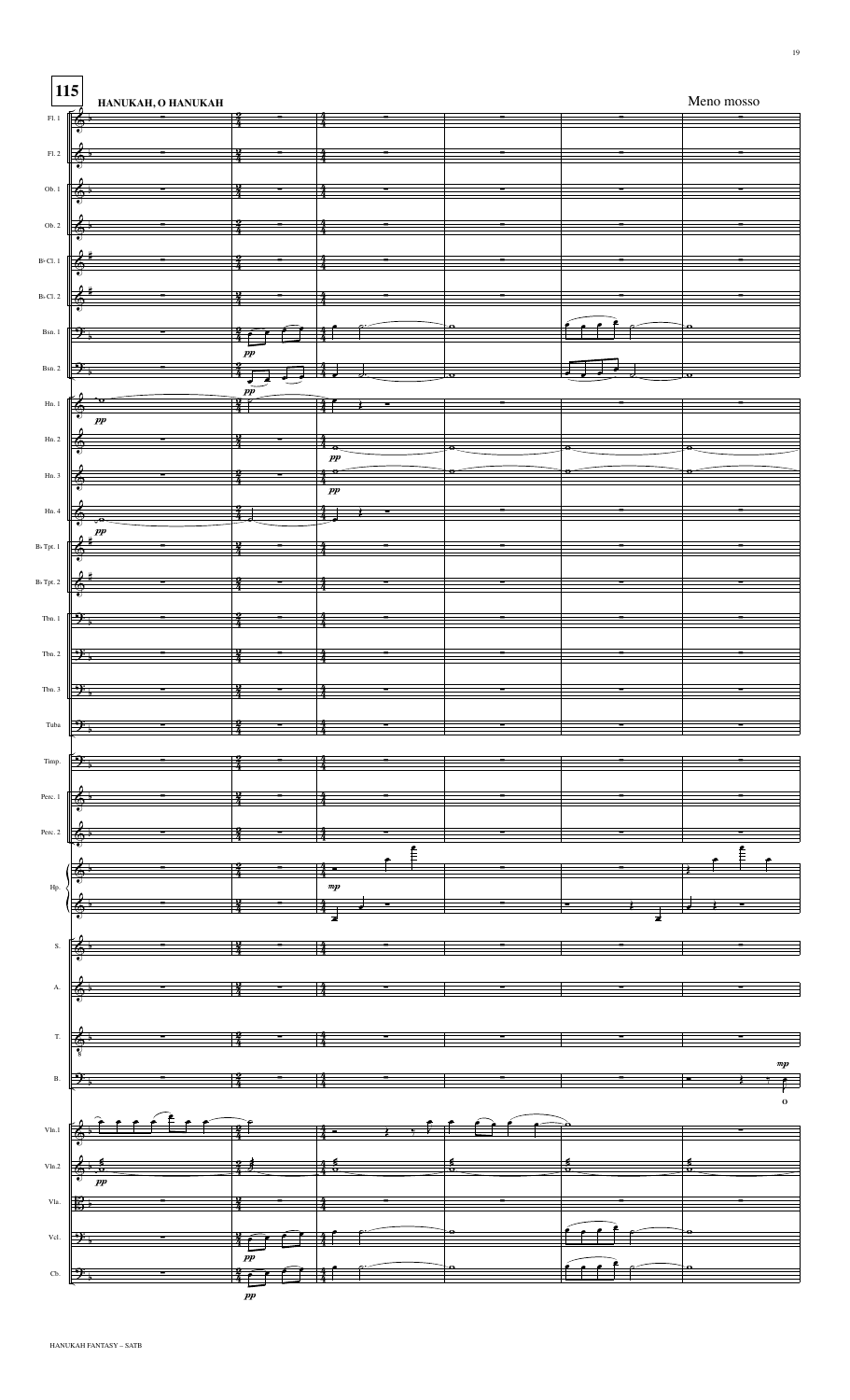|                           | 115 | HANUKAH, O HANUKAH                                                                                                                                                                                                                                                                                                                                                                                                                                                                                                                                                                   |                   |                               |                                                                                                                                                                                                                                                                                                                     |                                                                    |  | Meno mosso           |  |
|---------------------------|-----|--------------------------------------------------------------------------------------------------------------------------------------------------------------------------------------------------------------------------------------------------------------------------------------------------------------------------------------------------------------------------------------------------------------------------------------------------------------------------------------------------------------------------------------------------------------------------------------|-------------------|-------------------------------|---------------------------------------------------------------------------------------------------------------------------------------------------------------------------------------------------------------------------------------------------------------------------------------------------------------------|--------------------------------------------------------------------|--|----------------------|--|
| F1.1                      |     |                                                                                                                                                                                                                                                                                                                                                                                                                                                                                                                                                                                      |                   |                               |                                                                                                                                                                                                                                                                                                                     |                                                                    |  |                      |  |
| FI.2                      |     |                                                                                                                                                                                                                                                                                                                                                                                                                                                                                                                                                                                      |                   |                               |                                                                                                                                                                                                                                                                                                                     |                                                                    |  |                      |  |
| Ob.1                      |     |                                                                                                                                                                                                                                                                                                                                                                                                                                                                                                                                                                                      |                   |                               |                                                                                                                                                                                                                                                                                                                     |                                                                    |  |                      |  |
| Ob.2                      |     |                                                                                                                                                                                                                                                                                                                                                                                                                                                                                                                                                                                      |                   |                               |                                                                                                                                                                                                                                                                                                                     |                                                                    |  |                      |  |
| $B \triangleright C1.1$   |     |                                                                                                                                                                                                                                                                                                                                                                                                                                                                                                                                                                                      |                   |                               |                                                                                                                                                                                                                                                                                                                     |                                                                    |  |                      |  |
|                           |     |                                                                                                                                                                                                                                                                                                                                                                                                                                                                                                                                                                                      |                   |                               |                                                                                                                                                                                                                                                                                                                     |                                                                    |  |                      |  |
| $\rm B \flat$ Cl. 2       |     |                                                                                                                                                                                                                                                                                                                                                                                                                                                                                                                                                                                      |                   |                               |                                                                                                                                                                                                                                                                                                                     |                                                                    |  |                      |  |
| Bsn. 1                    |     |                                                                                                                                                                                                                                                                                                                                                                                                                                                                                                                                                                                      |                   |                               |                                                                                                                                                                                                                                                                                                                     |                                                                    |  |                      |  |
| Bsn. 2                    |     |                                                                                                                                                                                                                                                                                                                                                                                                                                                                                                                                                                                      | $\boldsymbol{pp}$ |                               |                                                                                                                                                                                                                                                                                                                     |                                                                    |  |                      |  |
| Hn.1                      |     |                                                                                                                                                                                                                                                                                                                                                                                                                                                                                                                                                                                      | pp                |                               |                                                                                                                                                                                                                                                                                                                     |                                                                    |  |                      |  |
|                           |     | $\boldsymbol{pp}$                                                                                                                                                                                                                                                                                                                                                                                                                                                                                                                                                                    |                   |                               |                                                                                                                                                                                                                                                                                                                     |                                                                    |  |                      |  |
| Hn. 2                     |     |                                                                                                                                                                                                                                                                                                                                                                                                                                                                                                                                                                                      |                   | pp                            |                                                                                                                                                                                                                                                                                                                     |                                                                    |  |                      |  |
| Hn. 3                     |     |                                                                                                                                                                                                                                                                                                                                                                                                                                                                                                                                                                                      |                   | $\overline{\mathbf{o}}$<br>pp |                                                                                                                                                                                                                                                                                                                     |                                                                    |  |                      |  |
| Hn. 4                     |     |                                                                                                                                                                                                                                                                                                                                                                                                                                                                                                                                                                                      |                   |                               |                                                                                                                                                                                                                                                                                                                     |                                                                    |  |                      |  |
| B♭ Tpt. 1                 |     | $_{pp}$                                                                                                                                                                                                                                                                                                                                                                                                                                                                                                                                                                              |                   |                               |                                                                                                                                                                                                                                                                                                                     |                                                                    |  |                      |  |
| Bb Tpt. 2                 |     |                                                                                                                                                                                                                                                                                                                                                                                                                                                                                                                                                                                      |                   |                               |                                                                                                                                                                                                                                                                                                                     |                                                                    |  |                      |  |
|                           |     |                                                                                                                                                                                                                                                                                                                                                                                                                                                                                                                                                                                      |                   |                               |                                                                                                                                                                                                                                                                                                                     |                                                                    |  |                      |  |
| Tbn. 1                    |     | ソー                                                                                                                                                                                                                                                                                                                                                                                                                                                                                                                                                                                   |                   |                               |                                                                                                                                                                                                                                                                                                                     |                                                                    |  |                      |  |
| Tbn. 2                    |     | <u>) - </u>                                                                                                                                                                                                                                                                                                                                                                                                                                                                                                                                                                          |                   |                               |                                                                                                                                                                                                                                                                                                                     |                                                                    |  |                      |  |
| Tbn. 3                    |     | ≓י                                                                                                                                                                                                                                                                                                                                                                                                                                                                                                                                                                                   |                   |                               |                                                                                                                                                                                                                                                                                                                     |                                                                    |  |                      |  |
| Tuba                      |     | $\mathbf{P}$                                                                                                                                                                                                                                                                                                                                                                                                                                                                                                                                                                         | $\frac{2}{3}$     |                               |                                                                                                                                                                                                                                                                                                                     |                                                                    |  |                      |  |
| Timp.                     |     | $\mathbf{P}$                                                                                                                                                                                                                                                                                                                                                                                                                                                                                                                                                                         | $-3\frac{2}{4}$   |                               |                                                                                                                                                                                                                                                                                                                     |                                                                    |  |                      |  |
|                           |     |                                                                                                                                                                                                                                                                                                                                                                                                                                                                                                                                                                                      |                   |                               |                                                                                                                                                                                                                                                                                                                     |                                                                    |  |                      |  |
|                           |     | Perc. 1 $\begin{array}{ c c c c c c }\n\hline\n\text{Per } & \text{1} & \text{2} & \text{3} & \text{4} & \text{5} \\ \hline\n\text{Per } & \text{1} & \text{2} & \text{3} & \text{4} & \text{5} & \text{5} \\ \hline\n\text{Per } & \text{1} & \text{2} & \text{3} & \text{5} & \text{6} & \text{6} \\ \hline\n\text{Per } & \text{1} & \text{2} & \text{3} & \text{6} & \text{6} & \text{7} & \text{8} \\ \hline\n\text{Per$                                                                                                                                                        |                   |                               |                                                                                                                                                                                                                                                                                                                     |                                                                    |  |                      |  |
| Perc. 2 $\sqrt{6}$        |     | $\frac{2}{3}$ $\frac{1}{4}$ $\frac{1}{4}$                                                                                                                                                                                                                                                                                                                                                                                                                                                                                                                                            |                   |                               |                                                                                                                                                                                                                                                                                                                     |                                                                    |  |                      |  |
|                           |     | $\begin{pmatrix} \frac{2}{\sqrt{3}} & \frac{1}{\sqrt{3}} & \frac{1}{\sqrt{3}} & \frac{1}{\sqrt{3}} & \frac{1}{\sqrt{3}} & \frac{1}{\sqrt{3}} & \frac{1}{\sqrt{3}} & \frac{1}{\sqrt{3}} & \frac{1}{\sqrt{3}} & \frac{1}{\sqrt{3}} & \frac{1}{\sqrt{3}} & \frac{1}{\sqrt{3}} & \frac{1}{\sqrt{3}} & \frac{1}{\sqrt{3}} & \frac{1}{\sqrt{3}} & \frac{1}{\sqrt{3}} & \frac{1}{\sqrt{3}} & \frac{1}{\sqrt{3}} & \frac{1}{\sqrt{3}} & \frac{1}{$                                                                                                                                           |                   |                               |                                                                                                                                                                                                                                                                                                                     |                                                                    |  |                      |  |
| Hp.                       |     |                                                                                                                                                                                                                                                                                                                                                                                                                                                                                                                                                                                      |                   |                               |                                                                                                                                                                                                                                                                                                                     |                                                                    |  |                      |  |
|                           |     |                                                                                                                                                                                                                                                                                                                                                                                                                                                                                                                                                                                      |                   |                               |                                                                                                                                                                                                                                                                                                                     |                                                                    |  |                      |  |
|                           |     | s $\frac{2}{3}$ $\frac{1}{3}$ $\frac{1}{3}$ $\frac{1}{3}$ $\frac{1}{3}$ $\frac{1}{3}$ $\frac{1}{3}$ $\frac{1}{3}$ $\frac{1}{3}$ $\frac{1}{3}$ $\frac{1}{3}$ $\frac{1}{3}$ $\frac{1}{3}$ $\frac{1}{3}$ $\frac{1}{3}$ $\frac{1}{3}$ $\frac{1}{3}$ $\frac{1}{3}$ $\frac{1}{3}$ $\frac{1}{3}$ $\frac{1}{3}$ $\frac{1}{3}$                                                                                                                                                                                                                                                                |                   |                               |                                                                                                                                                                                                                                                                                                                     |                                                                    |  |                      |  |
|                           |     | $\begin{array}{ccc} \begin{array}{ccc} \begin{array}{ccc} \end{array} & \begin{array}{ccc} \end{array} & \begin{array}{ccc} \end{array} & \begin{array}{ccc} \end{array} & \begin{array}{ccc} \end{array} & \begin{array}{ccc} \end{array} & \begin{array}{ccc} \end{array} & \begin{array}{ccc} \end{array} & \begin{array}{ccc} \end{array} & \begin{array}{ccc} \end{array} & \begin{array}{ccc} \end{array} & \begin{array}{ccc} \end{array} & \begin{array}{ccc} \end{array} & \begin{array}{ccc} \end{array} & \begin{array}{ccc} \end{array} & \begin{array}{ccc} \end{array$ |                   |                               |                                                                                                                                                                                                                                                                                                                     |                                                                    |  |                      |  |
|                           |     |                                                                                                                                                                                                                                                                                                                                                                                                                                                                                                                                                                                      |                   |                               |                                                                                                                                                                                                                                                                                                                     |                                                                    |  |                      |  |
|                           |     | $\frac{2}{3}$ $\frac{2}{3}$ $\frac{2}{3}$ $\frac{2}{3}$ $\frac{2}{3}$ $\frac{2}{3}$ $\frac{2}{3}$ $\frac{2}{3}$ $\frac{2}{3}$ $\frac{2}{3}$ $\frac{2}{3}$ $\frac{2}{3}$ $\frac{2}{3}$ $\frac{2}{3}$ $\frac{2}{3}$ $\frac{2}{3}$ $\frac{2}{3}$ $\frac{2}{3}$ $\frac{2}{3}$ $\frac{2}{3}$ $\frac{2}{3}$ $\frac{2}{3}$                                                                                                                                                                                                                                                                  |                   |                               |                                                                                                                                                                                                                                                                                                                     |                                                                    |  |                      |  |
|                           |     | $\mathbf{B}$ .                                                                                                                                                                                                                                                                                                                                                                                                                                                                                                                                                                       | $\frac{2}{3}$     |                               |                                                                                                                                                                                                                                                                                                                     | $\overline{\phantom{a}}$ , and the set of $\overline{\phantom{a}}$ |  |                      |  |
|                           |     |                                                                                                                                                                                                                                                                                                                                                                                                                                                                                                                                                                                      |                   |                               |                                                                                                                                                                                                                                                                                                                     |                                                                    |  |                      |  |
|                           |     | $\begin{picture}(180,10) \put(0,0){\vector(1,0){100}} \put(10,0){\vector(1,0){100}} \put(10,0){\vector(1,0){100}} \put(10,0){\vector(1,0){100}} \put(10,0){\vector(1,0){100}} \put(10,0){\vector(1,0){100}} \put(10,0){\vector(1,0){100}} \put(10,0){\vector(1,0){100}} \put(10,0){\vector(1,0){100}} \put(10,0){\vector(1,0){100}} \put(10,0){\vector(1,0){100}}$                                                                                                                                                                                                                   |                   |                               |                                                                                                                                                                                                                                                                                                                     |                                                                    |  |                      |  |
|                           |     | $\frac{1}{2}$ $\frac{1}{2}$ $\frac{1}{2}$ $\frac{1}{2}$ $\frac{1}{2}$ $\frac{1}{2}$ $\frac{1}{2}$ $\frac{1}{2}$ $\frac{1}{2}$ $\frac{1}{2}$ $\frac{1}{2}$ $\frac{1}{2}$ $\frac{1}{2}$ $\frac{1}{2}$ $\frac{1}{2}$ $\frac{1}{2}$ $\frac{1}{2}$ $\frac{1}{2}$ $\frac{1}{2}$ $\frac{1}{2}$ $\frac{1}{2}$ $\frac{1}{2}$                                                                                                                                                                                                                                                                  |                   |                               |                                                                                                                                                                                                                                                                                                                     |                                                                    |  |                      |  |
| Vla.                      |     | $\mathbb{B}^-$                                                                                                                                                                                                                                                                                                                                                                                                                                                                                                                                                                       | $\frac{2}{4}$     |                               |                                                                                                                                                                                                                                                                                                                     |                                                                    |  |                      |  |
| Vcl.                      |     |                                                                                                                                                                                                                                                                                                                                                                                                                                                                                                                                                                                      |                   |                               | $\frac{1}{2}$ $\frac{1}{2}$ $\frac{1}{2}$ $\frac{1}{2}$ $\frac{1}{2}$ $\frac{1}{2}$ $\frac{1}{2}$ $\frac{1}{2}$ $\frac{1}{2}$ $\frac{1}{2}$ $\frac{1}{2}$ $\frac{1}{2}$ $\frac{1}{2}$ $\frac{1}{2}$ $\frac{1}{2}$ $\frac{1}{2}$ $\frac{1}{2}$ $\frac{1}{2}$ $\frac{1}{2}$ $\frac{1}{2}$ $\frac{1}{2}$ $\frac{1}{2}$ |                                                                    |  |                      |  |
|                           |     |                                                                                                                                                                                                                                                                                                                                                                                                                                                                                                                                                                                      |                   |                               |                                                                                                                                                                                                                                                                                                                     |                                                                    |  |                      |  |
| $\mathbf{C} \mathbf{b}$ . |     | $\frac{1}{2}$ $\frac{1}{2}$ $\frac{1}{2}$ $\frac{1}{2}$ $\frac{1}{2}$ $\frac{1}{2}$ $\frac{1}{2}$ $\frac{1}{2}$                                                                                                                                                                                                                                                                                                                                                                                                                                                                      | $_{pp}$           |                               |                                                                                                                                                                                                                                                                                                                     |                                                                    |  | $\frac{1}{\sqrt{2}}$ |  |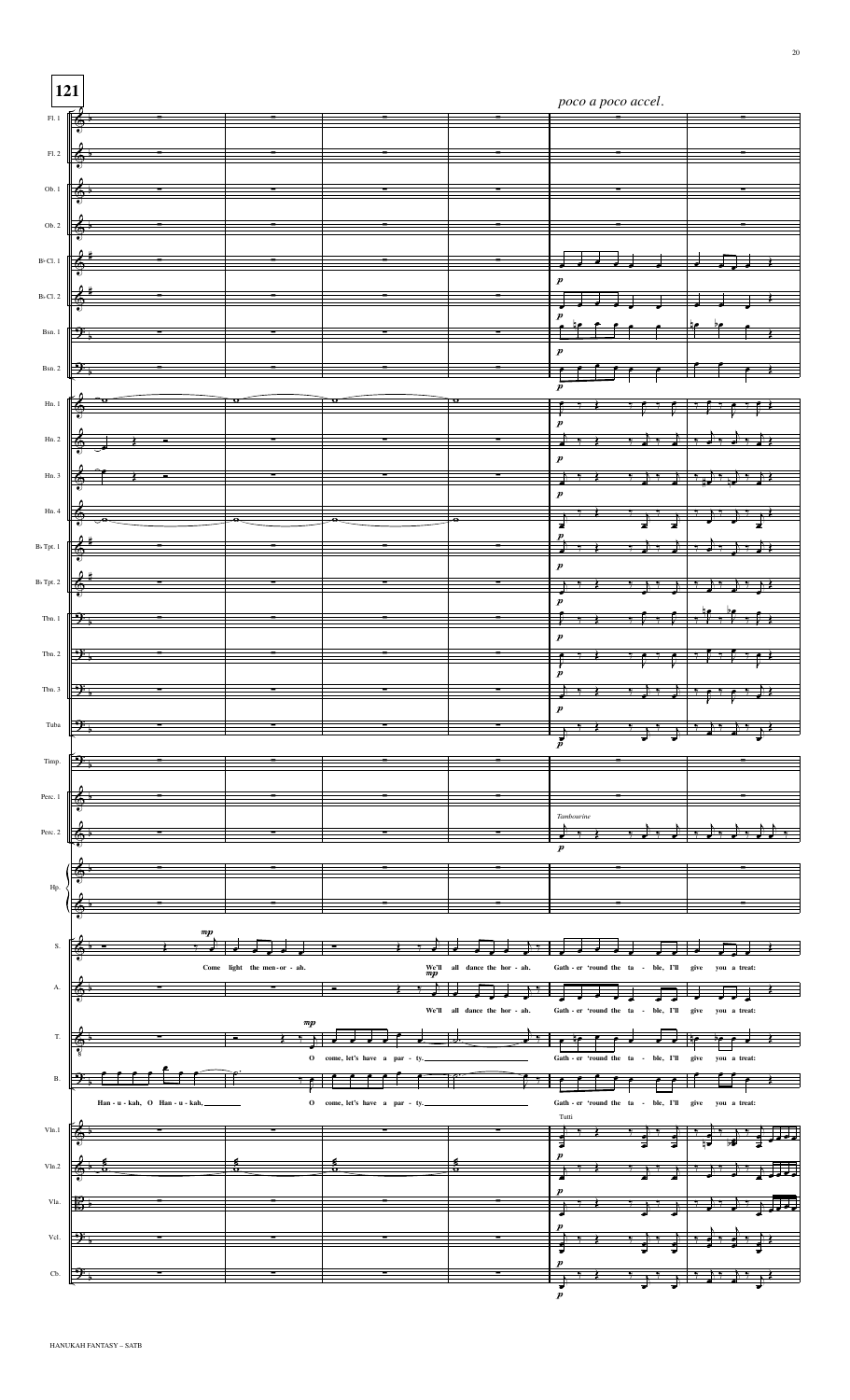| 121                         |                                     |                         |                             |                                |                                  |                               |                                                                |                           |
|-----------------------------|-------------------------------------|-------------------------|-----------------------------|--------------------------------|----------------------------------|-------------------------------|----------------------------------------------------------------|---------------------------|
| FL.1                        | 庵                                   |                         |                             |                                |                                  |                               | poco a poco accel.                                             |                           |
| $\rm{Fl.}$ 2                | $\Phi^*$                            |                         |                             |                                |                                  |                               |                                                                |                           |
|                             | $\bullet$                           |                         |                             |                                |                                  |                               |                                                                |                           |
| Ob. $1$                     | क़                                  |                         |                             |                                |                                  |                               |                                                                |                           |
| Ob. $2\,$                   | G<br>∙                              |                         |                             |                                |                                  |                               |                                                                |                           |
| $\rm B \flat$ Cl. 1         |                                     |                         |                             |                                |                                  |                               |                                                                |                           |
| $\mathrm{B}\!\!\flat$ Cl. 2 | ⊕                                   |                         |                             |                                |                                  |                               | $\boldsymbol{p}$                                               |                           |
|                             |                                     |                         |                             |                                |                                  |                               | $\boldsymbol{p}$                                               |                           |
| Bsn. 1                      | $\mathbf{\Theta}$                   |                         |                             |                                |                                  |                               | $\boldsymbol{p}$                                               |                           |
| Bsn. 2                      | $\mathbf{\mathcal{Y}}$ ,            |                         |                             |                                |                                  |                               | ∙<br>$\boldsymbol{p}$                                          |                           |
| Hn.1                        | €                                   | $\mathbf o$             |                             |                                |                                  | o                             |                                                                |                           |
| Hn. 2                       | G                                   |                         |                             |                                |                                  |                               | $\boldsymbol{p}$                                               |                           |
|                             |                                     |                         |                             |                                |                                  |                               | $\boldsymbol{p}$                                               |                           |
| Hn.3                        |                                     |                         |                             |                                |                                  |                               | $\boldsymbol{p}$                                               | →∗<br>$\tau_{\rm w}$<br># |
| Hn.4                        |                                     |                         |                             |                                |                                  |                               | 寺                                                              |                           |
| $\rm B \flat$ Tpt. $1$      | €                                   |                         |                             |                                |                                  |                               |                                                                |                           |
| $\mathbf{B}\flat$ Tpt. 2    |                                     |                         |                             |                                |                                  |                               | $\boldsymbol{p}$                                               |                           |
| Tbn. 1                      | $\mathbf{\mathcal{D}_{\mathrm{b}}}$ |                         |                             |                                |                                  |                               | $\boldsymbol{p}$                                               |                           |
|                             |                                     |                         |                             |                                |                                  |                               | $\boldsymbol{p}$                                               |                           |
| Tbn. $2$                    | $\mathbf{\mathfrak{R}}_{+}$         |                         |                             |                                |                                  |                               | ₹<br>$\boldsymbol{p}$                                          |                           |
| $T_{\text{bn.3}}$           |                                     |                         |                             |                                |                                  |                               | $\boldsymbol{p}$                                               |                           |
| Tuba                        | ₹                                   |                         |                             |                                |                                  |                               |                                                                |                           |
| Timp.                       | :י                                  |                         |                             |                                |                                  |                               | $\vec{p}$                                                      |                           |
| Perc. $\boldsymbol{1}$      |                                     |                         |                             |                                |                                  |                               |                                                                |                           |
|                             |                                     |                         |                             |                                |                                  |                               | Tambourine                                                     |                           |
| $\mbox{Perc.}$ $2$          |                                     |                         |                             |                                |                                  |                               | $\boldsymbol{p}$                                               |                           |
| $_{\rm{Hp.}}$               |                                     |                         |                             |                                |                                  |                               |                                                                |                           |
|                             | <b>€</b>                            |                         |                             |                                |                                  |                               |                                                                |                           |
| ${\bf S}.$                  |                                     | $\mathbf{m} \mathbf{p}$ |                             |                                |                                  |                               |                                                                |                           |
|                             |                                     |                         | Come light the men-or - ah. |                                | $\frac{\text{We'll}}{\text{mp}}$ | all dance the hor - ah.       | Gath - er 'round the ta - ble, I'll give                       | you a treat:              |
| <b>A.</b>                   |                                     |                         |                             |                                |                                  | We'll all dance the hor - ah. | Gath - er 'round the ta - ble, I'll give you a treat:          |                           |
| $\mathcal{T}.$              |                                     |                         | $_{\it mp}$                 |                                |                                  |                               |                                                                |                           |
|                             |                                     |                         |                             | O come, let's have a par - ty. |                                  |                               | Gath - er 'round the ta - ble, I'll give                       | you a treat:              |
| $\, {\bf B} . \,$           |                                     |                         |                             |                                |                                  |                               |                                                                |                           |
|                             | Han - u - kah, O Han - u - kah,     |                         | 0                           | come, let's have a par - ty.   |                                  |                               | Gath - er 'round the ta - ble, I'll give you a treat:<br>Tutti |                           |
| $_{\rm Vln.l}$              |                                     |                         |                             |                                |                                  |                               |                                                                |                           |
| $_{\rm Vln.2}$              |                                     |                         |                             |                                |                                  |                               |                                                                | 刀                         |
| Vla.                        |                                     |                         |                             |                                |                                  |                               |                                                                |                           |
| Vcl.                        |                                     |                         |                             |                                |                                  |                               |                                                                |                           |
| Cb.                         |                                     |                         |                             |                                |                                  |                               | $\boldsymbol{p}$                                               |                           |
|                             |                                     |                         |                             |                                |                                  |                               | $\overline{\phantom{a}}$<br>$\boldsymbol{p}$                   |                           |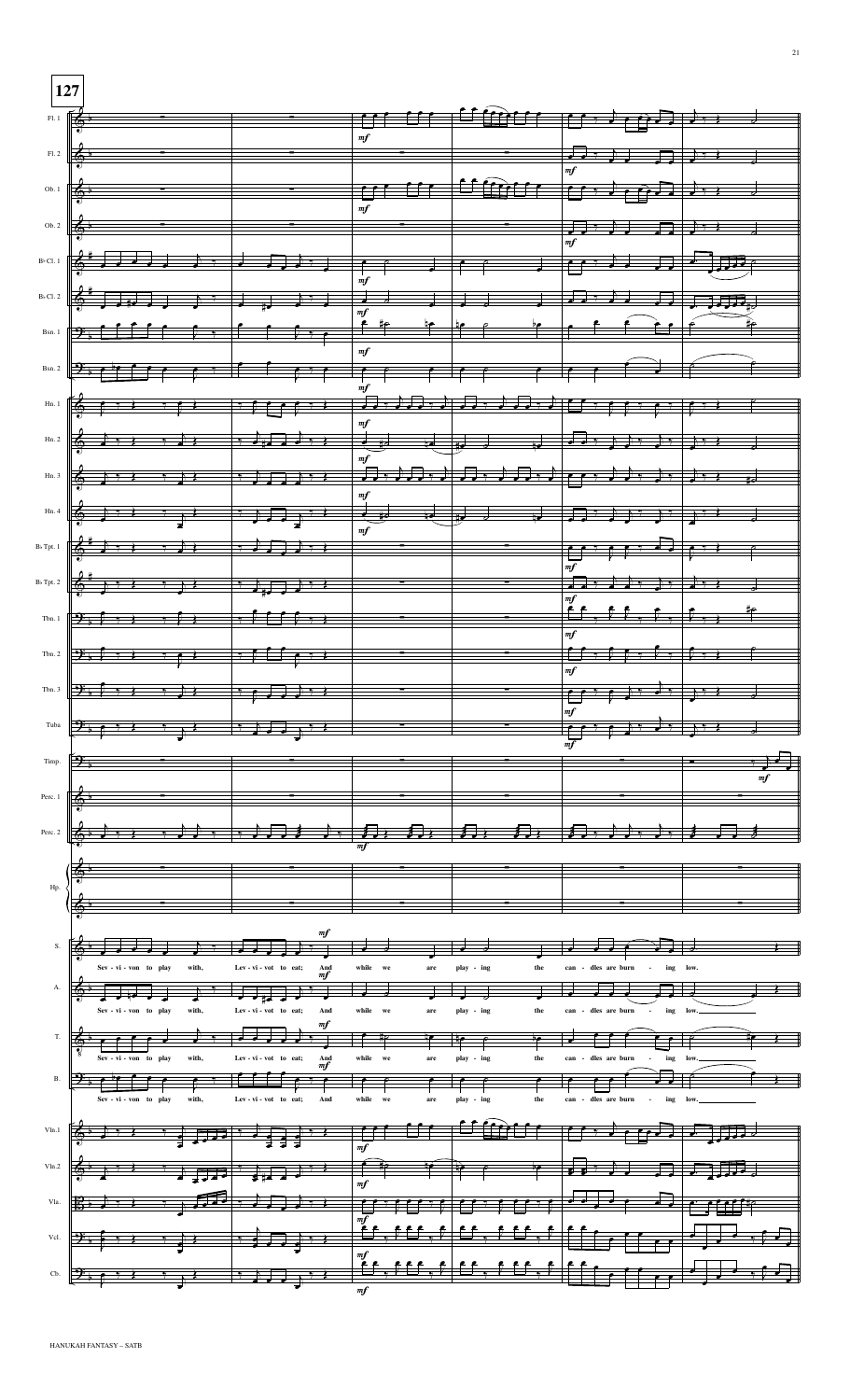|                  | 127 |                                                                                                                                                                                                                                                                                                                                                                                                                                                    |                                                                       |                                                                |                      |                                                                                                                                                                                                                                                                                                                                                     |     |
|------------------|-----|----------------------------------------------------------------------------------------------------------------------------------------------------------------------------------------------------------------------------------------------------------------------------------------------------------------------------------------------------------------------------------------------------------------------------------------------------|-----------------------------------------------------------------------|----------------------------------------------------------------|----------------------|-----------------------------------------------------------------------------------------------------------------------------------------------------------------------------------------------------------------------------------------------------------------------------------------------------------------------------------------------------|-----|
| FI.1 <b>16</b>   |     |                                                                                                                                                                                                                                                                                                                                                                                                                                                    |                                                                       | <u>rri 11</u> 1                                                |                      | $\frac{1}{2}$                                                                                                                                                                                                                                                                                                                                       |     |
|                  |     |                                                                                                                                                                                                                                                                                                                                                                                                                                                    |                                                                       | mf                                                             |                      |                                                                                                                                                                                                                                                                                                                                                     |     |
|                  |     | F1.2                                                                                                                                                                                                                                                                                                                                                                                                                                               |                                                                       |                                                                |                      | $\sqrt{2}$ , $\sqrt{2}$ , $\sqrt{2}$ , $\sqrt{2}$ , $\sqrt{2}$                                                                                                                                                                                                                                                                                      |     |
|                  |     |                                                                                                                                                                                                                                                                                                                                                                                                                                                    |                                                                       |                                                                |                      |                                                                                                                                                                                                                                                                                                                                                     |     |
| Ob. 1 $\sqrt{6}$ |     |                                                                                                                                                                                                                                                                                                                                                                                                                                                    |                                                                       |                                                                |                      | gr Gr   G GeGr   gr ) <sub>r G</sub> D   ) + + =                                                                                                                                                                                                                                                                                                    |     |
|                  |     |                                                                                                                                                                                                                                                                                                                                                                                                                                                    |                                                                       | mf                                                             |                      |                                                                                                                                                                                                                                                                                                                                                     |     |
|                  |     | Ob. 2 $\sqrt{6}$                                                                                                                                                                                                                                                                                                                                                                                                                                   |                                                                       |                                                                |                      | $\frac{1}{2}$ $\frac{1}{2}$ $\frac{1}{2}$ $\frac{1}{2}$ $\frac{1}{2}$ $\frac{1}{2}$ $\frac{1}{2}$                                                                                                                                                                                                                                                   |     |
|                  |     | $B(G,1)$ $\begin{bmatrix} 1 & 1 & 1 \\ 0 & 0 & 0 \end{bmatrix}$ $\begin{bmatrix} 1 & 1 & 1 \\ 0 & 0 & 0 \end{bmatrix}$ $\begin{bmatrix} 1 & 1 & 1 \\ 0 & 1 & 1 \end{bmatrix}$                                                                                                                                                                                                                                                                      |                                                                       | $\left  \begin{array}{cc} \bullet & \circ \end{array} \right $ | $\vdash$ $\vdash$    | $\overline{a}$ , $\overline{a}$ , $\overline{a}$ , $\overline{a}$ , $\overline{a}$ , $\overline{a}$ , $\overline{a}$ , $\overline{a}$ , $\overline{a}$ , $\overline{a}$ , $\overline{a}$ , $\overline{a}$ , $\overline{a}$ , $\overline{a}$ , $\overline{a}$ , $\overline{a}$ , $\overline{a}$ , $\overline{a}$ , $\overline{a}$ , $\overline{a}$ , |     |
|                  |     |                                                                                                                                                                                                                                                                                                                                                                                                                                                    |                                                                       |                                                                |                      |                                                                                                                                                                                                                                                                                                                                                     |     |
|                  |     | $B_{\rm b}$ Cl. 2 $\frac{1}{2}$ $\frac{1}{2}$ $\frac{1}{2}$ $\frac{1}{2}$ $\frac{1}{2}$ $\frac{1}{2}$ $\frac{1}{2}$ $\frac{1}{2}$ $\frac{1}{2}$ $\frac{1}{2}$ $\frac{1}{2}$ $\frac{1}{2}$ $\frac{1}{2}$ $\frac{1}{2}$ $\frac{1}{2}$                                                                                                                                                                                                                |                                                                       |                                                                |                      | $\sqrt{2}$ , $\sqrt{2}$ , $\sqrt{2}$ , $\sqrt{2}$ , $\sqrt{2}$                                                                                                                                                                                                                                                                                      |     |
|                  |     |                                                                                                                                                                                                                                                                                                                                                                                                                                                    |                                                                       | $+$ $+$                                                        |                      |                                                                                                                                                                                                                                                                                                                                                     |     |
|                  |     | $Bsn.1$ $\frac{1}{2}$ $\frac{1}{2}$ $\frac{1}{2}$ $\frac{1}{2}$ $\frac{1}{2}$ $\frac{1}{2}$ $\frac{1}{2}$ $\frac{1}{2}$ $\frac{1}{2}$ $\frac{1}{2}$ $\frac{1}{2}$ $\frac{1}{2}$ $\frac{1}{2}$ $\frac{1}{2}$ $\frac{1}{2}$ $\frac{1}{2}$ $\frac{1}{2}$ $\frac{1}{2}$ $\frac{1}{2}$ $\frac{1}{2}$ $\frac{1}{2}$ $\frac{$                                                                                                                             |                                                                       | ≝                                                              |                      | <u>المعاصر المستعمر المستعمر المستعمر المستعمر المستعمر المستعمر المستعمر المستعمر المستعمر المستعمر المستعمر الم</u>                                                                                                                                                                                                                               |     |
|                  |     |                                                                                                                                                                                                                                                                                                                                                                                                                                                    |                                                                       |                                                                |                      |                                                                                                                                                                                                                                                                                                                                                     |     |
|                  |     | $Bsn.2$ $\frac{1}{2}$ $\frac{1}{2}$ $\frac{1}{2}$ $\frac{1}{2}$ $\frac{1}{2}$ $\frac{1}{2}$ $\frac{1}{2}$ $\frac{1}{2}$ $\frac{1}{2}$ $\frac{1}{2}$ $\frac{1}{2}$ $\frac{1}{2}$ $\frac{1}{2}$ $\frac{1}{2}$ $\frac{1}{2}$ $\frac{1}{2}$ $\frac{1}{2}$ $\frac{1}{2}$ $\frac{1}{2}$ $\frac{1}{2}$ $\frac{1}{2}$ $\frac{$                                                                                                                             |                                                                       |                                                                |                      | <u>   e e   e e   e e f d   f =</u>                                                                                                                                                                                                                                                                                                                 |     |
|                  |     |                                                                                                                                                                                                                                                                                                                                                                                                                                                    |                                                                       |                                                                |                      |                                                                                                                                                                                                                                                                                                                                                     |     |
|                  |     |                                                                                                                                                                                                                                                                                                                                                                                                                                                    |                                                                       |                                                                |                      |                                                                                                                                                                                                                                                                                                                                                     |     |
|                  |     | Hn. 2 $\left[\begin{array}{ccc} 1 & 0 & 0 \\ 0 & 0 & 0 \\ 0 & 0 & 0 \end{array} \right]$ , $\left[\begin{array}{ccc} 1 & 0 & 0 \\ 0 & 0 & 0 \\ 0 & 0 & 0 \end{array} \right]$                                                                                                                                                                                                                                                                      |                                                                       |                                                                |                      | $\frac{1}{2}$ is the set of $\frac{1}{2}$ , $\frac{1}{2}$ , $\frac{1}{2}$ , $\frac{1}{2}$ , $\frac{1}{2}$ , $\frac{1}{2}$ , $\frac{1}{2}$ , $\frac{1}{2}$ , $\frac{1}{2}$                                                                                                                                                                           |     |
|                  |     |                                                                                                                                                                                                                                                                                                                                                                                                                                                    |                                                                       |                                                                |                      |                                                                                                                                                                                                                                                                                                                                                     |     |
|                  |     | Hn.3 6 37 38 7 38 7 39 37 37 38 37 38 38 39 39 39 39 39 39 39 39 39 39 30 30 30 30 30 30 30 30 30 30 30 30 30                                                                                                                                                                                                                                                                                                                                      |                                                                       |                                                                |                      |                                                                                                                                                                                                                                                                                                                                                     |     |
|                  |     |                                                                                                                                                                                                                                                                                                                                                                                                                                                    |                                                                       | mf                                                             |                      |                                                                                                                                                                                                                                                                                                                                                     |     |
|                  |     |                                                                                                                                                                                                                                                                                                                                                                                                                                                    |                                                                       |                                                                |                      |                                                                                                                                                                                                                                                                                                                                                     |     |
|                  |     | B>Tpt.1 $\left  \bigotimes_{i=0}^{\infty} \bigoplus_{i=1}^{\infty} \gamma_i \bigotimes_{i=1}^{\infty} \gamma_i \bigotimes_{i=1}^{\infty} \bigotimes_{i=1}^{\infty} \gamma_i \bigotimes_{i=1}^{\infty} \bigotimes_{i=1}^{\infty} \gamma_i \bigotimes_{i=1}^{\infty} \gamma_i \bigotimes_{i=1}^{\infty} \gamma_i \bigotimes_{i=1}^{\infty} \gamma_i \bigotimes_{i=1}^{\infty} \gamma_i \bigotimes_{i=1}^{\infty} \gamma_i \bigotimes_{i=1}^{\infty}$ |                                                                       |                                                                |                      |                                                                                                                                                                                                                                                                                                                                                     |     |
|                  |     |                                                                                                                                                                                                                                                                                                                                                                                                                                                    |                                                                       |                                                                |                      |                                                                                                                                                                                                                                                                                                                                                     |     |
|                  |     | $B_3$ Tpt. 2 $\left[\begin{array}{ccc} \overline{4} & \overline{5} & \overline{7} & \overline{8} & \overline{7} & \overline{8} \\ \overline{10} & \overline{10} & \overline{10} & \overline{10} & \overline{10} & \overline{10} \\ \end{array}\right]$                                                                                                                                                                                             |                                                                       |                                                                |                      | $\int$ $\frac{1}{2}$ $\frac{1}{2}$ $\int$ $\frac{1}{2}$ $\int$ $\frac{1}{2}$ $\int$ $\frac{1}{2}$ $\int$ $\frac{1}{2}$ $\int$ $\frac{1}{2}$ $\int$ $\frac{1}{2}$ $\int$ $\frac{1}{2}$ $\int$ $\frac{1}{2}$ $\int$ $\frac{1}{2}$ $\int$ $\frac{1}{2}$ $\int$ $\frac{1}{2}$ $\int$ $\frac{1}{2}$ $\int$ $\frac{1}{2}$                                 |     |
| Tbn. 1           |     | $ \mathcal{Y}, \mathcal{Y} \rightarrow$ :                                                                                                                                                                                                                                                                                                                                                                                                          | $\vert \cdot \rangle$ ( $\int$ $\int$ $\cdot$ $\rightarrow$ $\lambda$ |                                                                |                      | $\mathbb{C}$ , $\mathfrak{p}$ , $\mathfrak{p}$ , $\mathfrak{p}$ , $\mathfrak{p}$ , $\mathfrak{p}$                                                                                                                                                                                                                                                   |     |
|                  |     |                                                                                                                                                                                                                                                                                                                                                                                                                                                    |                                                                       |                                                                |                      |                                                                                                                                                                                                                                                                                                                                                     |     |
|                  |     | Tbn.2 $\frac{1}{2}$ , $\frac{1}{2}$ , $\frac{1}{2}$ , $\frac{1}{2}$ , $\frac{1}{2}$ , $\frac{1}{2}$ , $\frac{1}{2}$ , $\frac{1}{2}$ , $\frac{1}{2}$ , $\frac{1}{2}$ , $\frac{1}{2}$ , $\frac{1}{2}$ , $\frac{1}{2}$ , $\frac{1}{2}$ , $\frac{1}{2}$ , $\frac{1}{2}$ , $\frac{1}{2}$ , $\frac{1}{2}$ , $\frac{1}{2}$ , $\frac{1}{$                                                                                                                  |                                                                       |                                                                |                      | $f$ , $f$ , $f$ , $f$ , $f$ , $f$                                                                                                                                                                                                                                                                                                                   |     |
|                  |     |                                                                                                                                                                                                                                                                                                                                                                                                                                                    |                                                                       |                                                                |                      |                                                                                                                                                                                                                                                                                                                                                     |     |
|                  |     | Tbn. 3 $\frac{1}{2}$ $\frac{1}{2}$ $\frac{1}{2}$ $\frac{1}{2}$ $\frac{1}{2}$ $\frac{1}{2}$ $\frac{1}{2}$ $\frac{1}{2}$ $\frac{1}{2}$ $\frac{1}{2}$ $\frac{1}{2}$ $\frac{1}{2}$ $\frac{1}{2}$ $\frac{1}{2}$ $\frac{1}{2}$ $\frac{1}{2}$ $\frac{1}{2}$ $\frac{1}{2}$ $\frac{1}{2}$ $\frac{1}{2}$ $\frac{1}{2}$ $\frac{$                                                                                                                              |                                                                       |                                                                |                      |                                                                                                                                                                                                                                                                                                                                                     |     |
|                  |     |                                                                                                                                                                                                                                                                                                                                                                                                                                                    |                                                                       |                                                                |                      | mf                                                                                                                                                                                                                                                                                                                                                  |     |
| Tuba             |     |                                                                                                                                                                                                                                                                                                                                                                                                                                                    |                                                                       |                                                                |                      |                                                                                                                                                                                                                                                                                                                                                     |     |
| Timp.            |     |                                                                                                                                                                                                                                                                                                                                                                                                                                                    |                                                                       |                                                                |                      |                                                                                                                                                                                                                                                                                                                                                     |     |
|                  |     |                                                                                                                                                                                                                                                                                                                                                                                                                                                    |                                                                       |                                                                |                      |                                                                                                                                                                                                                                                                                                                                                     | mf  |
| Perc. 1          |     |                                                                                                                                                                                                                                                                                                                                                                                                                                                    |                                                                       |                                                                |                      |                                                                                                                                                                                                                                                                                                                                                     |     |
|                  |     |                                                                                                                                                                                                                                                                                                                                                                                                                                                    |                                                                       |                                                                |                      |                                                                                                                                                                                                                                                                                                                                                     |     |
| Perc. 2          |     |                                                                                                                                                                                                                                                                                                                                                                                                                                                    |                                                                       |                                                                |                      |                                                                                                                                                                                                                                                                                                                                                     |     |
|                  |     |                                                                                                                                                                                                                                                                                                                                                                                                                                                    |                                                                       |                                                                |                      |                                                                                                                                                                                                                                                                                                                                                     |     |
| Hp.              |     |                                                                                                                                                                                                                                                                                                                                                                                                                                                    |                                                                       |                                                                |                      |                                                                                                                                                                                                                                                                                                                                                     |     |
|                  |     |                                                                                                                                                                                                                                                                                                                                                                                                                                                    |                                                                       |                                                                |                      |                                                                                                                                                                                                                                                                                                                                                     |     |
|                  |     |                                                                                                                                                                                                                                                                                                                                                                                                                                                    |                                                                       |                                                                |                      |                                                                                                                                                                                                                                                                                                                                                     |     |
| S.               |     |                                                                                                                                                                                                                                                                                                                                                                                                                                                    |                                                                       |                                                                |                      |                                                                                                                                                                                                                                                                                                                                                     |     |
|                  |     | Sev - vi - von to play<br>with,                                                                                                                                                                                                                                                                                                                                                                                                                    | Lev - vi - vot to eat;<br>And<br>mf                                   | while<br>are                                                   | the<br>play<br>- ing | can<br>dles are burn<br>ing                                                                                                                                                                                                                                                                                                                         | low |
|                  |     |                                                                                                                                                                                                                                                                                                                                                                                                                                                    |                                                                       |                                                                |                      |                                                                                                                                                                                                                                                                                                                                                     |     |
|                  |     | with,<br>Sev - vi - von<br>to                                                                                                                                                                                                                                                                                                                                                                                                                      | Lev - vi - vot<br>to<br>eat;<br>And                                   | while                                                          | play                 | dles are burn<br>ing<br>can                                                                                                                                                                                                                                                                                                                         |     |
| Т.               |     |                                                                                                                                                                                                                                                                                                                                                                                                                                                    | $m\bm{f}$                                                             |                                                                |                      |                                                                                                                                                                                                                                                                                                                                                     |     |
|                  |     | - vi - von<br>to<br>play<br>with,                                                                                                                                                                                                                                                                                                                                                                                                                  | And<br>Lev-vi-vot to<br>eat:                                          | while<br>are                                                   | the<br>play<br>- ing | dles are burn<br>can                                                                                                                                                                                                                                                                                                                                |     |
| В.               |     |                                                                                                                                                                                                                                                                                                                                                                                                                                                    | mf                                                                    |                                                                |                      |                                                                                                                                                                                                                                                                                                                                                     |     |
|                  |     | with,<br>Sev - vi - von to play                                                                                                                                                                                                                                                                                                                                                                                                                    | Lev - vi - vot to eat;<br>And                                         | while<br>are                                                   | the<br>play - ing    | dles are burn<br>can -<br>ing                                                                                                                                                                                                                                                                                                                       | low |
|                  |     |                                                                                                                                                                                                                                                                                                                                                                                                                                                    |                                                                       |                                                                |                      |                                                                                                                                                                                                                                                                                                                                                     |     |
| Vln.1            |     |                                                                                                                                                                                                                                                                                                                                                                                                                                                    |                                                                       | mf                                                             |                      |                                                                                                                                                                                                                                                                                                                                                     |     |
| Vln.2            |     |                                                                                                                                                                                                                                                                                                                                                                                                                                                    |                                                                       |                                                                |                      |                                                                                                                                                                                                                                                                                                                                                     |     |
|                  |     |                                                                                                                                                                                                                                                                                                                                                                                                                                                    |                                                                       |                                                                |                      |                                                                                                                                                                                                                                                                                                                                                     |     |
| Vla              |     |                                                                                                                                                                                                                                                                                                                                                                                                                                                    |                                                                       |                                                                |                      |                                                                                                                                                                                                                                                                                                                                                     |     |
|                  |     |                                                                                                                                                                                                                                                                                                                                                                                                                                                    |                                                                       |                                                                |                      |                                                                                                                                                                                                                                                                                                                                                     |     |
| Vcl.             |     |                                                                                                                                                                                                                                                                                                                                                                                                                                                    |                                                                       | mf                                                             |                      |                                                                                                                                                                                                                                                                                                                                                     |     |
| Cb.              |     |                                                                                                                                                                                                                                                                                                                                                                                                                                                    |                                                                       |                                                                |                      |                                                                                                                                                                                                                                                                                                                                                     |     |
|                  |     |                                                                                                                                                                                                                                                                                                                                                                                                                                                    |                                                                       | $m\mathbf{f}$                                                  |                      |                                                                                                                                                                                                                                                                                                                                                     |     |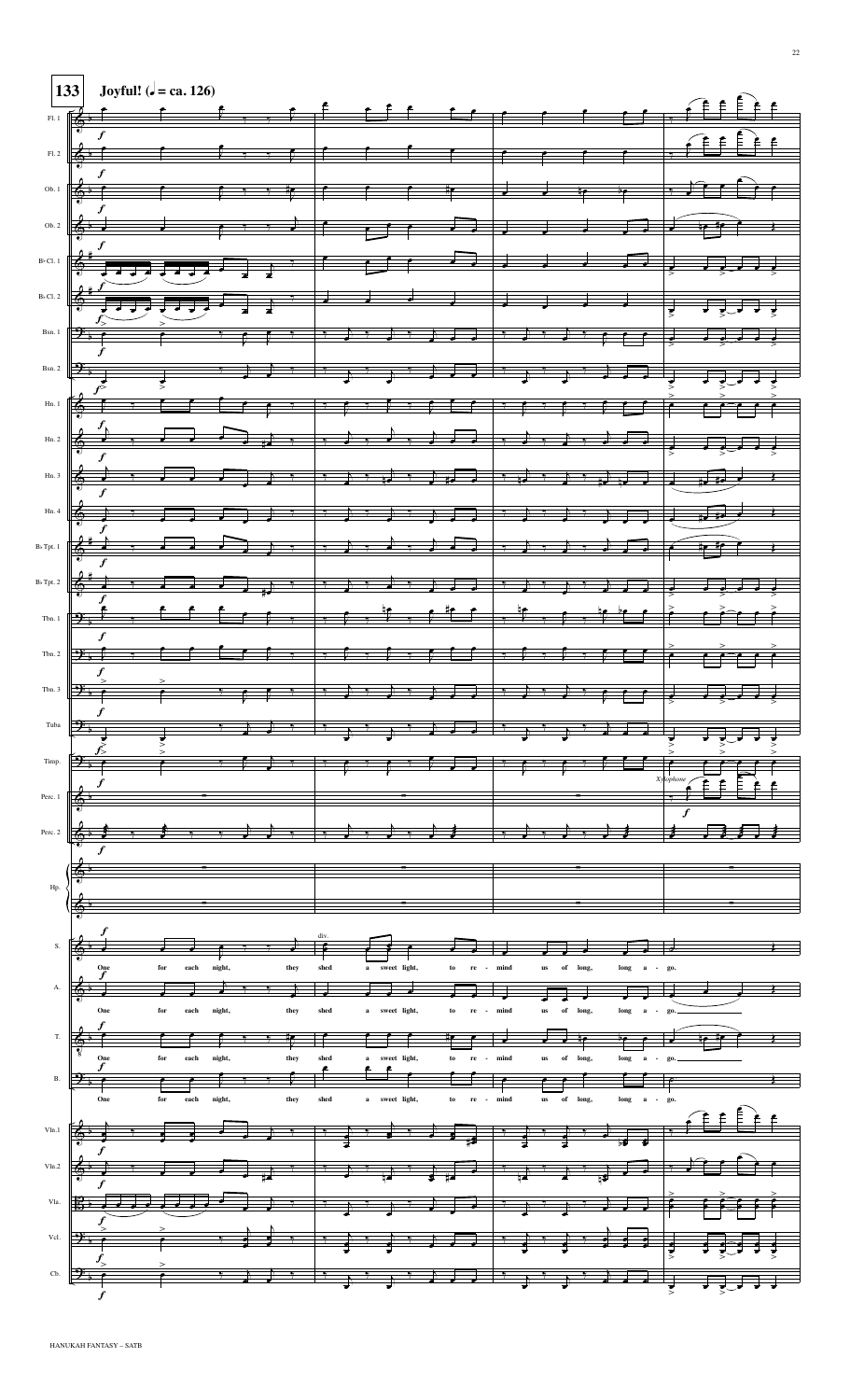